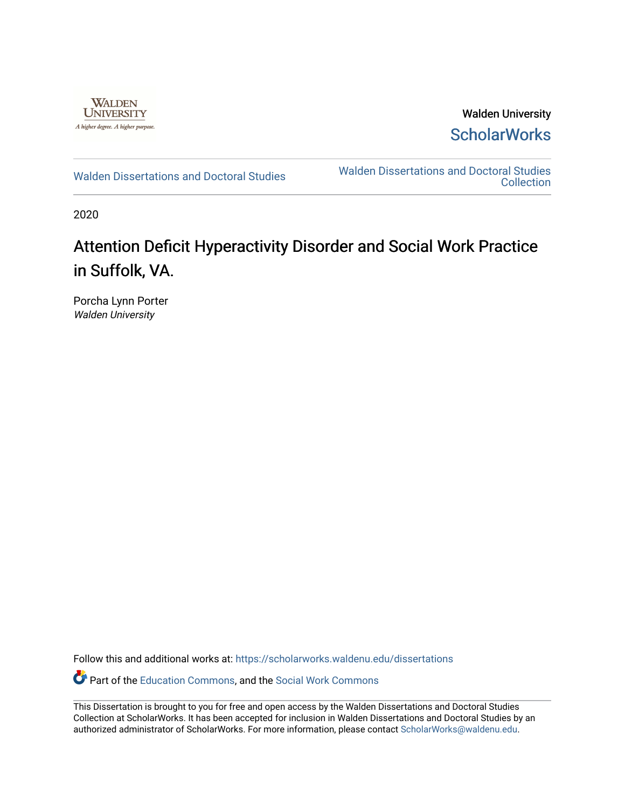

Walden University **ScholarWorks** 

[Walden Dissertations and Doctoral Studies](https://scholarworks.waldenu.edu/dissertations) Walden Dissertations and Doctoral Studies **Collection** 

2020

# Attention Deficit Hyperactivity Disorder and Social Work Practice in Suffolk, VA.

Porcha Lynn Porter Walden University

Follow this and additional works at: [https://scholarworks.waldenu.edu/dissertations](https://scholarworks.waldenu.edu/dissertations?utm_source=scholarworks.waldenu.edu%2Fdissertations%2F8788&utm_medium=PDF&utm_campaign=PDFCoverPages)

Part of the [Education Commons](http://network.bepress.com/hgg/discipline/784?utm_source=scholarworks.waldenu.edu%2Fdissertations%2F8788&utm_medium=PDF&utm_campaign=PDFCoverPages), and the [Social Work Commons](http://network.bepress.com/hgg/discipline/713?utm_source=scholarworks.waldenu.edu%2Fdissertations%2F8788&utm_medium=PDF&utm_campaign=PDFCoverPages)

This Dissertation is brought to you for free and open access by the Walden Dissertations and Doctoral Studies Collection at ScholarWorks. It has been accepted for inclusion in Walden Dissertations and Doctoral Studies by an authorized administrator of ScholarWorks. For more information, please contact [ScholarWorks@waldenu.edu](mailto:ScholarWorks@waldenu.edu).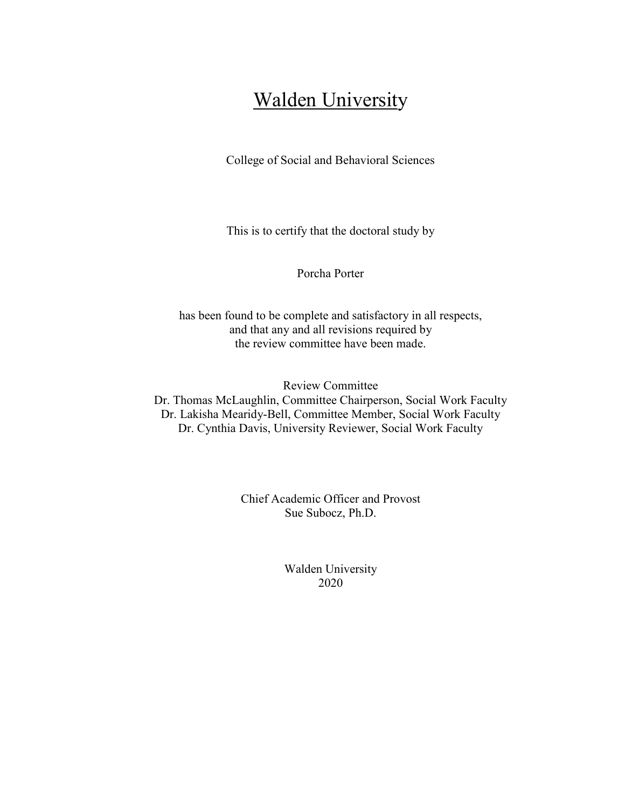# **Walden University**

College of Social and Behavioral Sciences

This is to certify that the doctoral study by

Porcha Porter

has been found to be complete and satisfactory in all respects, and that any and all revisions required by the review committee have been made.

Review Committee Dr. Thomas McLaughlin, Committee Chairperson, Social Work Faculty Dr. Lakisha Mearidy-Bell, Committee Member, Social Work Faculty Dr. Cynthia Davis, University Reviewer, Social Work Faculty

> Chief Academic Officer and Provost Sue Subocz, Ph.D.

> > Walden University 2020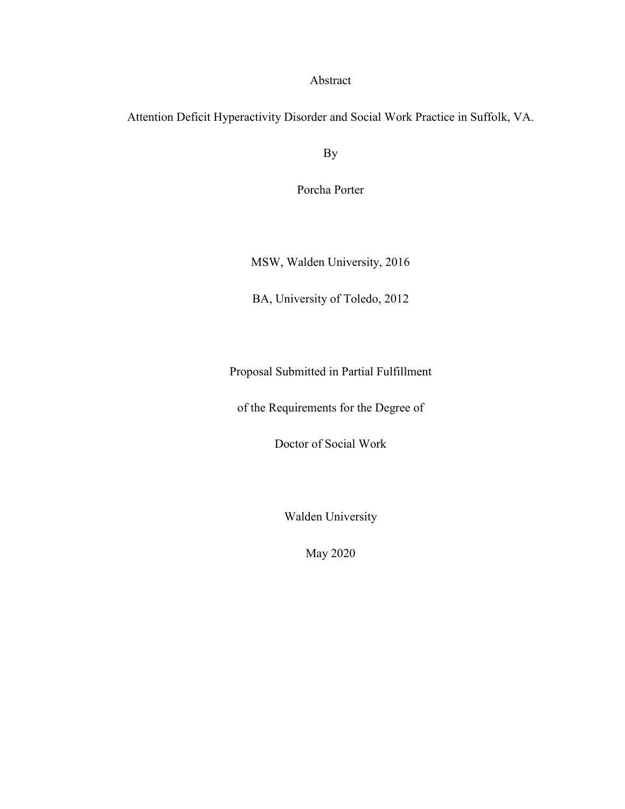### Abstract

Attention Deficit Hyperactivity Disorder and Social Work Practice in Suffolk, VA.

By

Porcha Porter

MSW, Walden University, 2016

BA, University of Toledo, 2012

Proposal Submitted in Partial Fulfillment

of the Requirements for the Degree of

Doctor of Social Work

Walden University

May 2020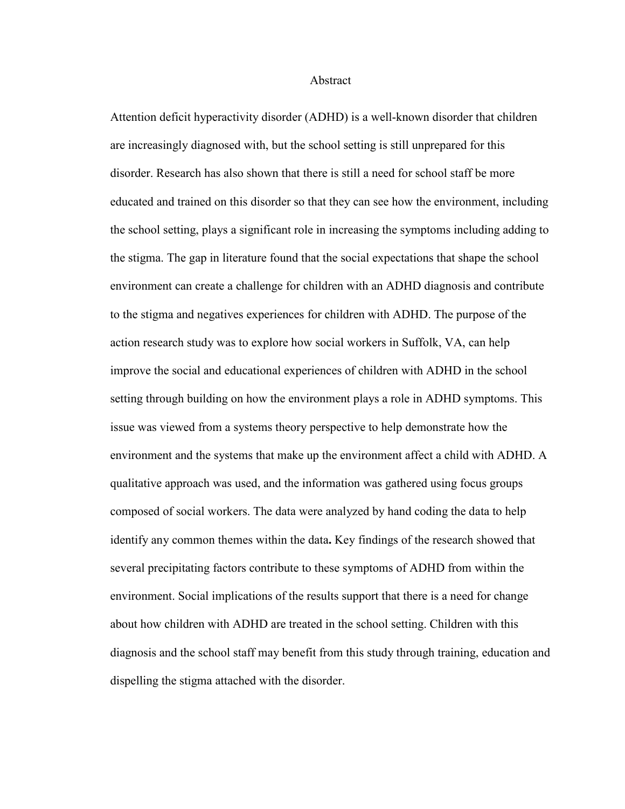#### Abstract

Attention deficit hyperactivity disorder (ADHD) is a well-known disorder that children are increasingly diagnosed with, but the school setting is still unprepared for this disorder. Research has also shown that there is still a need for school staff be more educated and trained on this disorder so that they can see how the environment, including the school setting, plays a significant role in increasing the symptoms including adding to the stigma. The gap in literature found that the social expectations that shape the school environment can create a challenge for children with an ADHD diagnosis and contribute to the stigma and negatives experiences for children with ADHD. The purpose of the action research study was to explore how social workers in Suffolk, VA, can help improve the social and educational experiences of children with ADHD in the school setting through building on how the environment plays a role in ADHD symptoms. This issue was viewed from a systems theory perspective to help demonstrate how the environment and the systems that make up the environment affect a child with ADHD. A qualitative approach was used, and the information was gathered using focus groups composed of social workers. The data were analyzed by hand coding the data to help identify any common themes within the data**.** Key findings of the research showed that several precipitating factors contribute to these symptoms of ADHD from within the environment. Social implications of the results support that there is a need for change about how children with ADHD are treated in the school setting. Children with this diagnosis and the school staff may benefit from this study through training, education and dispelling the stigma attached with the disorder.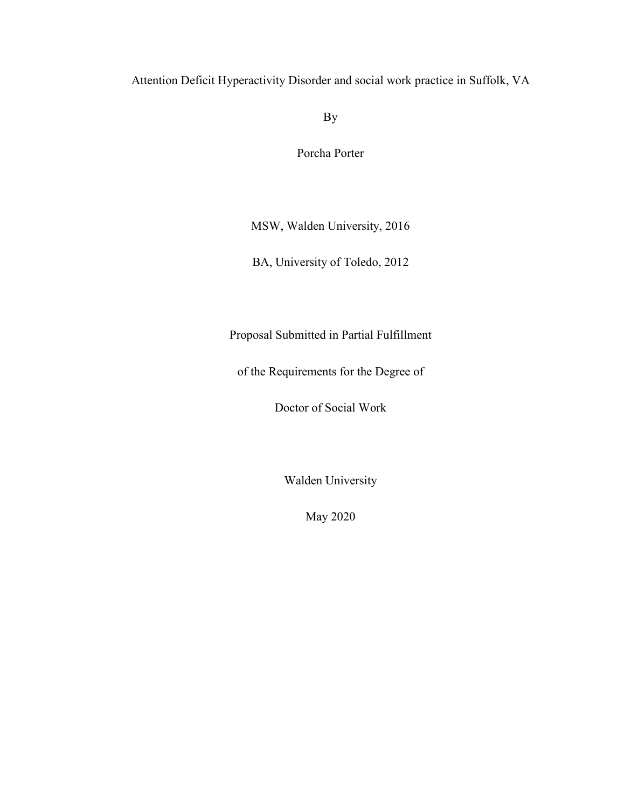Attention Deficit Hyperactivity Disorder and social work practice in Suffolk, VA

By

Porcha Porter

MSW, Walden University, 2016

BA, University of Toledo, 2012

Proposal Submitted in Partial Fulfillment

of the Requirements for the Degree of

Doctor of Social Work

Walden University

May 2020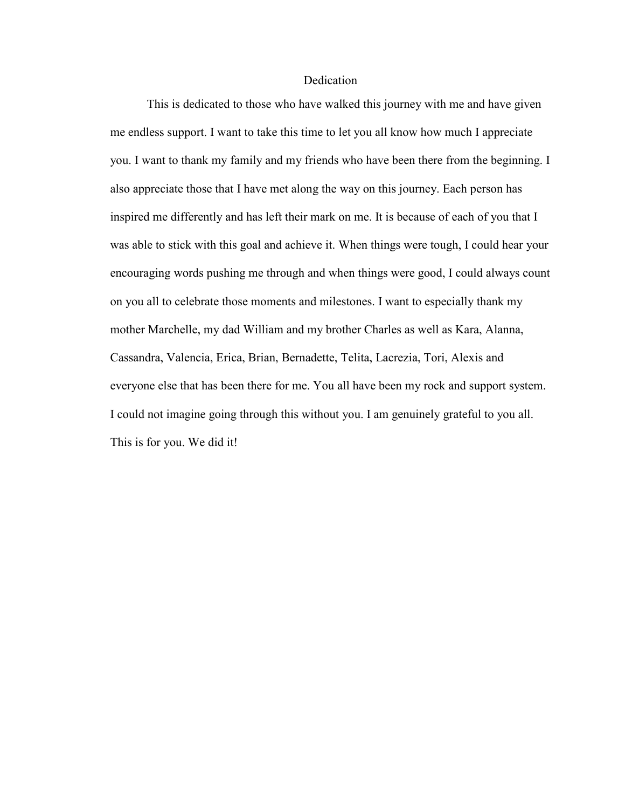#### **Dedication**

This is dedicated to those who have walked this journey with me and have given me endless support. I want to take this time to let you all know how much I appreciate you. I want to thank my family and my friends who have been there from the beginning. I also appreciate those that I have met along the way on this journey. Each person has inspired me differently and has left their mark on me. It is because of each of you that I was able to stick with this goal and achieve it. When things were tough, I could hear your encouraging words pushing me through and when things were good, I could always count on you all to celebrate those moments and milestones. I want to especially thank my mother Marchelle, my dad William and my brother Charles as well as Kara, Alanna, Cassandra, Valencia, Erica, Brian, Bernadette, Telita, Lacrezia, Tori, Alexis and everyone else that has been there for me. You all have been my rock and support system. I could not imagine going through this without you. I am genuinely grateful to you all. This is for you. We did it!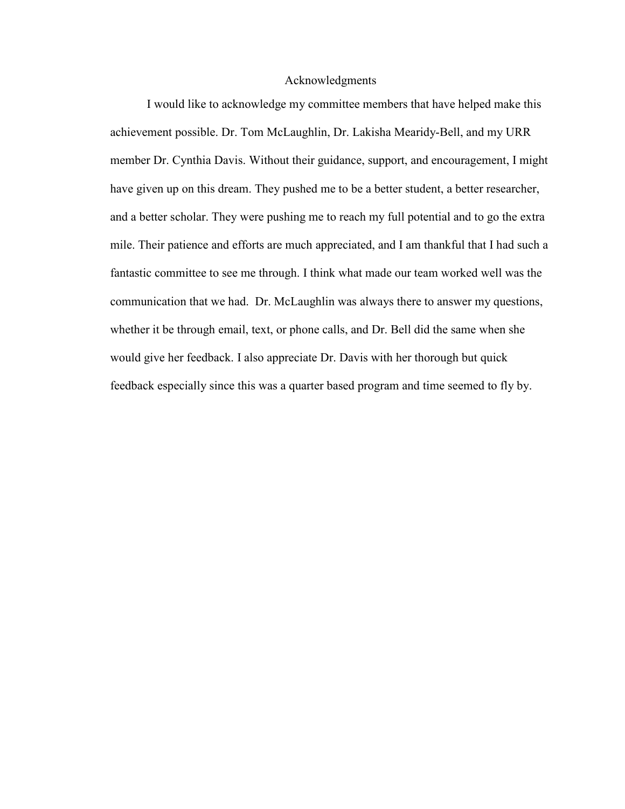#### Acknowledgments

I would like to acknowledge my committee members that have helped make this achievement possible. Dr. Tom McLaughlin, Dr. Lakisha Mearidy-Bell, and my URR member Dr. Cynthia Davis. Without their guidance, support, and encouragement, I might have given up on this dream. They pushed me to be a better student, a better researcher, and a better scholar. They were pushing me to reach my full potential and to go the extra mile. Their patience and efforts are much appreciated, and I am thankful that I had such a fantastic committee to see me through. I think what made our team worked well was the communication that we had. Dr. McLaughlin was always there to answer my questions, whether it be through email, text, or phone calls, and Dr. Bell did the same when she would give her feedback. I also appreciate Dr. Davis with her thorough but quick feedback especially since this was a quarter based program and time seemed to fly by.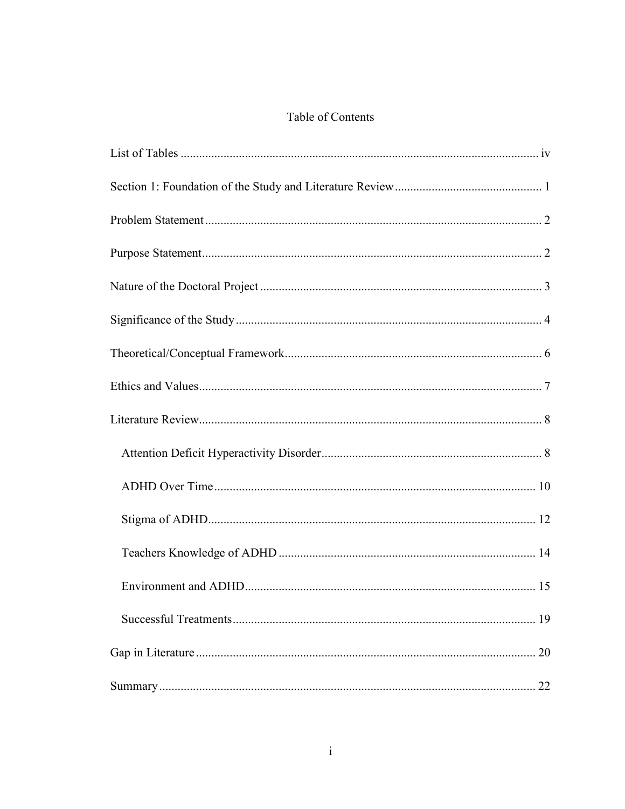## Table of Contents

| 19 |
|----|
| 20 |
| 22 |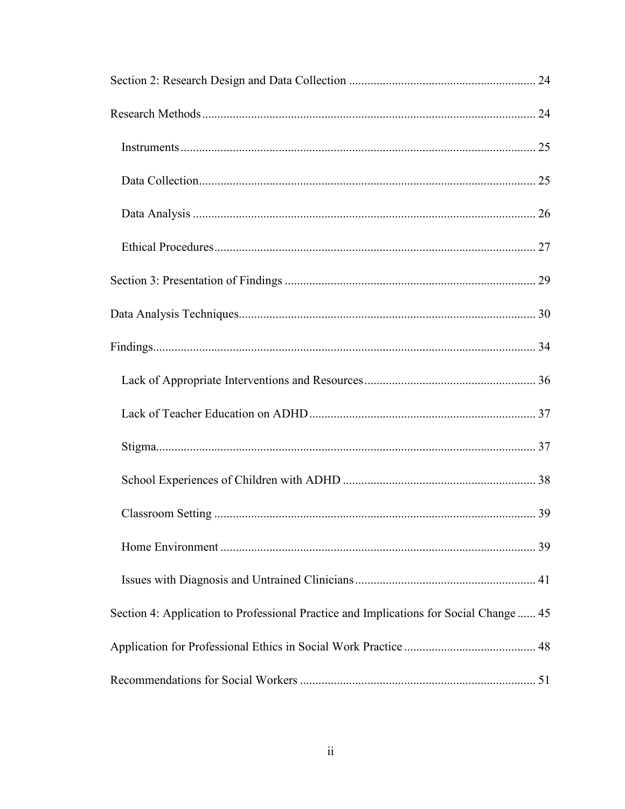| Section 4: Application to Professional Practice and Implications for Social Change 45 |  |
|---------------------------------------------------------------------------------------|--|
|                                                                                       |  |
|                                                                                       |  |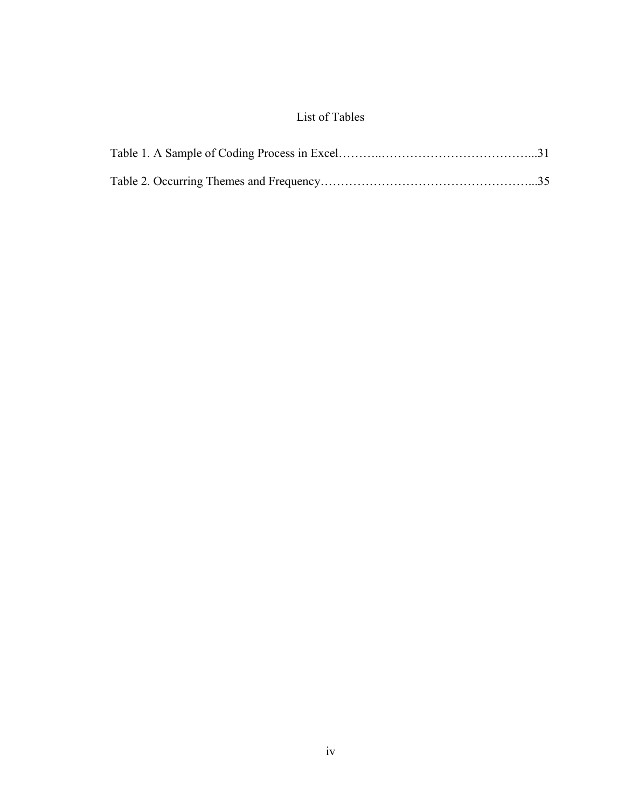## List of Tables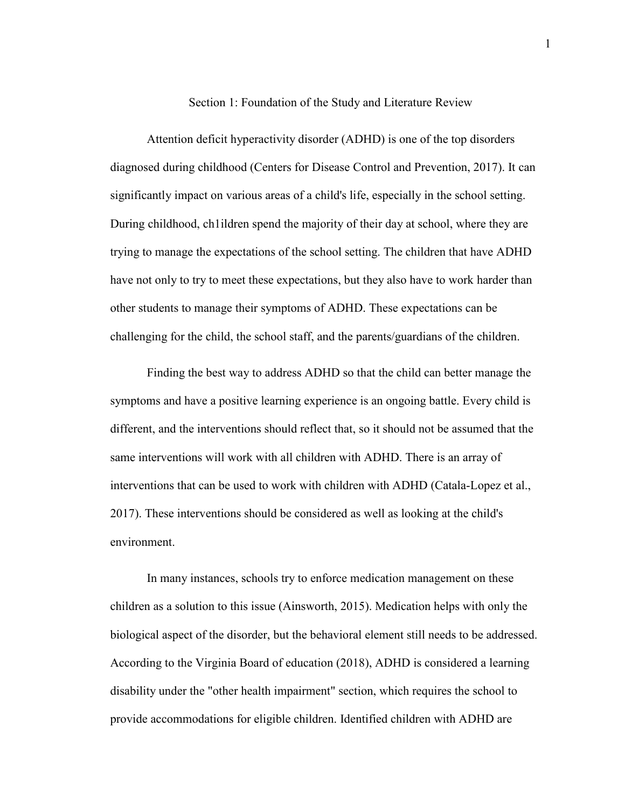#### Section 1: Foundation of the Study and Literature Review

Attention deficit hyperactivity disorder (ADHD) is one of the top disorders diagnosed during childhood (Centers for Disease Control and Prevention, 2017). It can significantly impact on various areas of a child's life, especially in the school setting. During childhood, ch1ildren spend the majority of their day at school, where they are trying to manage the expectations of the school setting. The children that have ADHD have not only to try to meet these expectations, but they also have to work harder than other students to manage their symptoms of ADHD. These expectations can be challenging for the child, the school staff, and the parents/guardians of the children.

Finding the best way to address ADHD so that the child can better manage the symptoms and have a positive learning experience is an ongoing battle. Every child is different, and the interventions should reflect that, so it should not be assumed that the same interventions will work with all children with ADHD. There is an array of interventions that can be used to work with children with ADHD (Catala-Lopez et al., 2017). These interventions should be considered as well as looking at the child's environment.

 In many instances, schools try to enforce medication management on these children as a solution to this issue (Ainsworth, 2015). Medication helps with only the biological aspect of the disorder, but the behavioral element still needs to be addressed. According to the Virginia Board of education (2018), ADHD is considered a learning disability under the "other health impairment" section, which requires the school to provide accommodations for eligible children. Identified children with ADHD are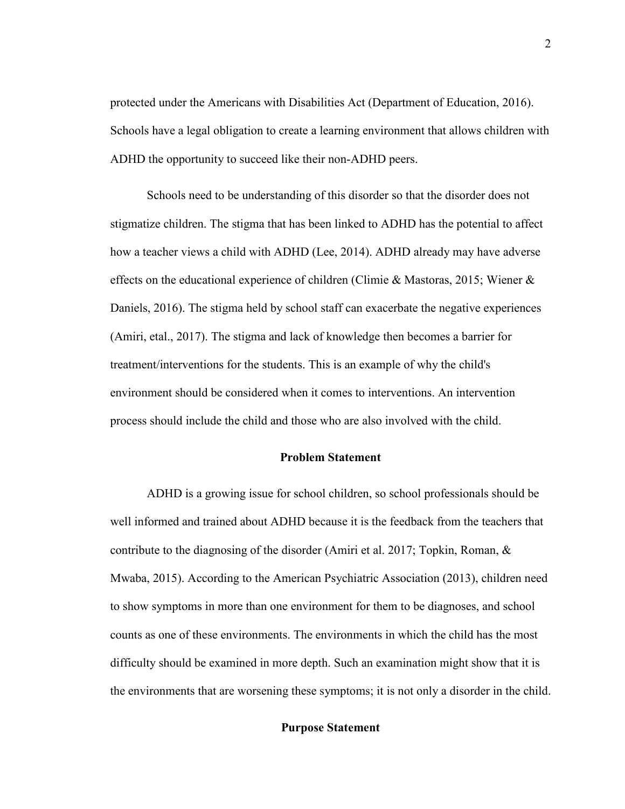protected under the Americans with Disabilities Act (Department of Education, 2016). Schools have a legal obligation to create a learning environment that allows children with ADHD the opportunity to succeed like their non-ADHD peers.

Schools need to be understanding of this disorder so that the disorder does not stigmatize children. The stigma that has been linked to ADHD has the potential to affect how a teacher views a child with ADHD (Lee, 2014). ADHD already may have adverse effects on the educational experience of children (Climie & Mastoras, 2015; Wiener & Daniels, 2016). The stigma held by school staff can exacerbate the negative experiences (Amiri, etal., 2017). The stigma and lack of knowledge then becomes a barrier for treatment/interventions for the students. This is an example of why the child's environment should be considered when it comes to interventions. An intervention process should include the child and those who are also involved with the child.

#### **Problem Statement**

 ADHD is a growing issue for school children, so school professionals should be well informed and trained about ADHD because it is the feedback from the teachers that contribute to the diagnosing of the disorder (Amiri et al. 2017; Topkin, Roman, & Mwaba, 2015). According to the American Psychiatric Association (2013), children need to show symptoms in more than one environment for them to be diagnoses, and school counts as one of these environments. The environments in which the child has the most difficulty should be examined in more depth. Such an examination might show that it is the environments that are worsening these symptoms; it is not only a disorder in the child.

#### **Purpose Statement**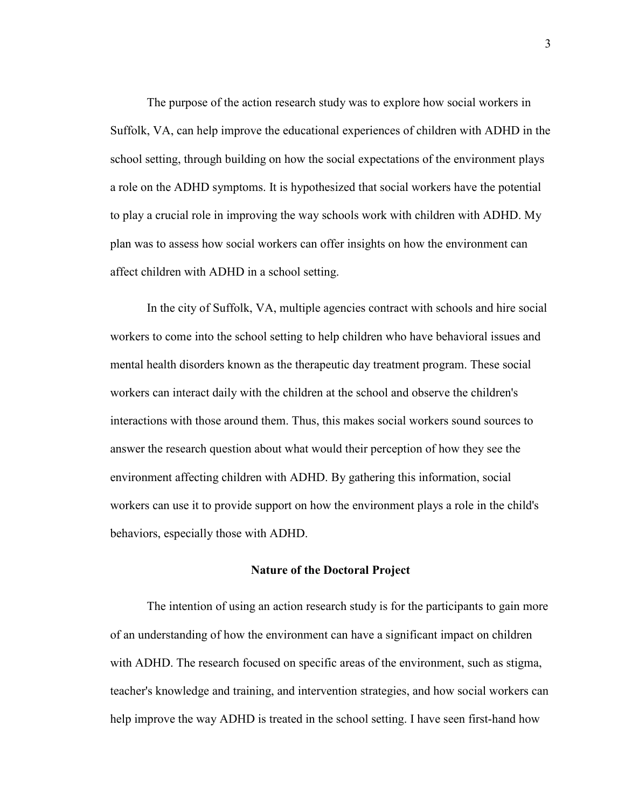The purpose of the action research study was to explore how social workers in Suffolk, VA, can help improve the educational experiences of children with ADHD in the school setting, through building on how the social expectations of the environment plays a role on the ADHD symptoms. It is hypothesized that social workers have the potential to play a crucial role in improving the way schools work with children with ADHD. My plan was to assess how social workers can offer insights on how the environment can affect children with ADHD in a school setting.

In the city of Suffolk, VA, multiple agencies contract with schools and hire social workers to come into the school setting to help children who have behavioral issues and mental health disorders known as the therapeutic day treatment program. These social workers can interact daily with the children at the school and observe the children's interactions with those around them. Thus, this makes social workers sound sources to answer the research question about what would their perception of how they see the environment affecting children with ADHD. By gathering this information, social workers can use it to provide support on how the environment plays a role in the child's behaviors, especially those with ADHD.

#### **Nature of the Doctoral Project**

The intention of using an action research study is for the participants to gain more of an understanding of how the environment can have a significant impact on children with ADHD. The research focused on specific areas of the environment, such as stigma, teacher's knowledge and training, and intervention strategies, and how social workers can help improve the way ADHD is treated in the school setting. I have seen first-hand how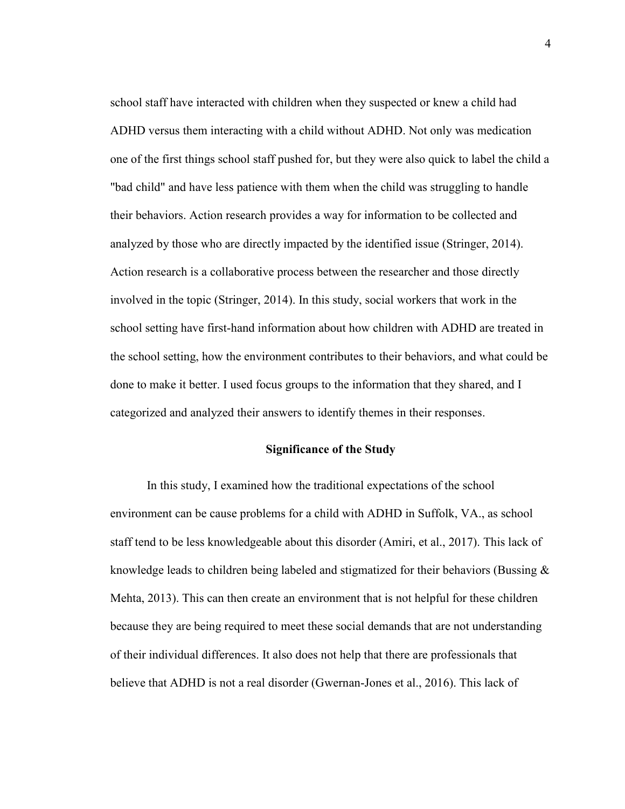school staff have interacted with children when they suspected or knew a child had ADHD versus them interacting with a child without ADHD. Not only was medication one of the first things school staff pushed for, but they were also quick to label the child a "bad child" and have less patience with them when the child was struggling to handle their behaviors. Action research provides a way for information to be collected and analyzed by those who are directly impacted by the identified issue (Stringer, 2014). Action research is a collaborative process between the researcher and those directly involved in the topic (Stringer, 2014). In this study, social workers that work in the school setting have first-hand information about how children with ADHD are treated in the school setting, how the environment contributes to their behaviors, and what could be done to make it better. I used focus groups to the information that they shared, and I categorized and analyzed their answers to identify themes in their responses.

#### **Significance of the Study**

In this study, I examined how the traditional expectations of the school environment can be cause problems for a child with ADHD in Suffolk, VA., as school staff tend to be less knowledgeable about this disorder (Amiri, et al., 2017). This lack of knowledge leads to children being labeled and stigmatized for their behaviors (Bussing & Mehta, 2013). This can then create an environment that is not helpful for these children because they are being required to meet these social demands that are not understanding of their individual differences. It also does not help that there are professionals that believe that ADHD is not a real disorder (Gwernan-Jones et al., 2016). This lack of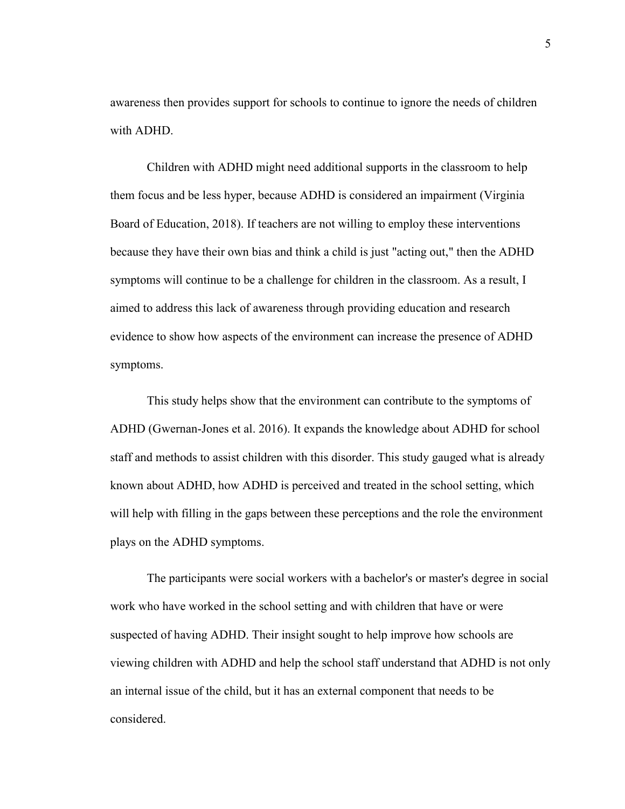awareness then provides support for schools to continue to ignore the needs of children with ADHD.

Children with ADHD might need additional supports in the classroom to help them focus and be less hyper, because ADHD is considered an impairment (Virginia Board of Education, 2018). If teachers are not willing to employ these interventions because they have their own bias and think a child is just "acting out," then the ADHD symptoms will continue to be a challenge for children in the classroom. As a result, I aimed to address this lack of awareness through providing education and research evidence to show how aspects of the environment can increase the presence of ADHD symptoms.

This study helps show that the environment can contribute to the symptoms of ADHD (Gwernan-Jones et al. 2016). It expands the knowledge about ADHD for school staff and methods to assist children with this disorder. This study gauged what is already known about ADHD, how ADHD is perceived and treated in the school setting, which will help with filling in the gaps between these perceptions and the role the environment plays on the ADHD symptoms.

The participants were social workers with a bachelor's or master's degree in social work who have worked in the school setting and with children that have or were suspected of having ADHD. Their insight sought to help improve how schools are viewing children with ADHD and help the school staff understand that ADHD is not only an internal issue of the child, but it has an external component that needs to be considered.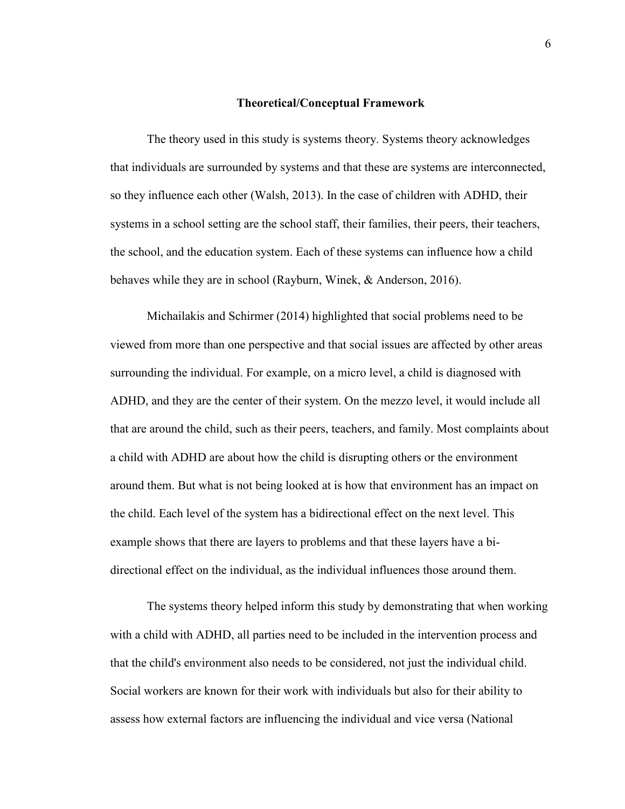#### **Theoretical/Conceptual Framework**

The theory used in this study is systems theory. Systems theory acknowledges that individuals are surrounded by systems and that these are systems are interconnected, so they influence each other (Walsh, 2013). In the case of children with ADHD, their systems in a school setting are the school staff, their families, their peers, their teachers, the school, and the education system. Each of these systems can influence how a child behaves while they are in school (Rayburn, Winek, & Anderson, 2016).

Michailakis and Schirmer (2014) highlighted that social problems need to be viewed from more than one perspective and that social issues are affected by other areas surrounding the individual. For example, on a micro level, a child is diagnosed with ADHD, and they are the center of their system. On the mezzo level, it would include all that are around the child, such as their peers, teachers, and family. Most complaints about a child with ADHD are about how the child is disrupting others or the environment around them. But what is not being looked at is how that environment has an impact on the child. Each level of the system has a bidirectional effect on the next level. This example shows that there are layers to problems and that these layers have a bidirectional effect on the individual, as the individual influences those around them.

The systems theory helped inform this study by demonstrating that when working with a child with ADHD, all parties need to be included in the intervention process and that the child's environment also needs to be considered, not just the individual child. Social workers are known for their work with individuals but also for their ability to assess how external factors are influencing the individual and vice versa (National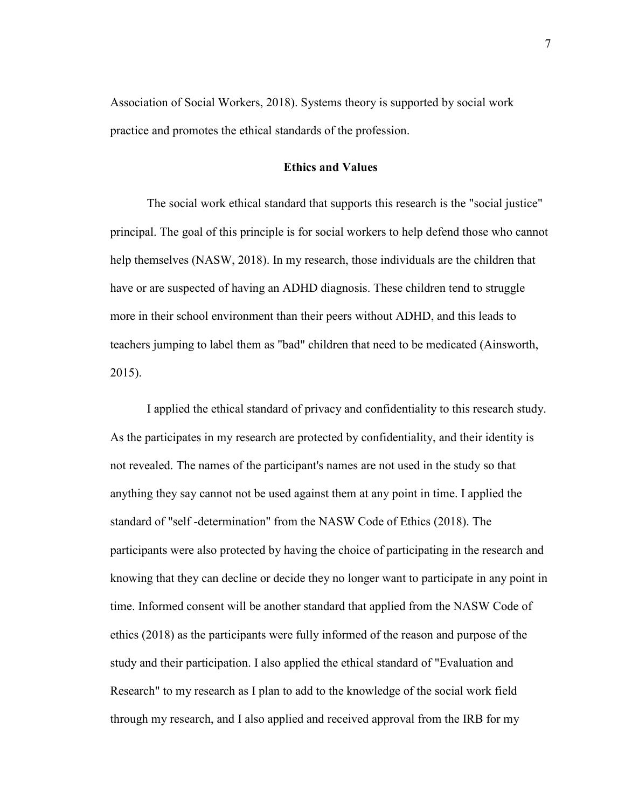Association of Social Workers, 2018). Systems theory is supported by social work practice and promotes the ethical standards of the profession.

#### **Ethics and Values**

The social work ethical standard that supports this research is the "social justice" principal. The goal of this principle is for social workers to help defend those who cannot help themselves (NASW, 2018). In my research, those individuals are the children that have or are suspected of having an ADHD diagnosis. These children tend to struggle more in their school environment than their peers without ADHD, and this leads to teachers jumping to label them as "bad" children that need to be medicated (Ainsworth, 2015).

 I applied the ethical standard of privacy and confidentiality to this research study. As the participates in my research are protected by confidentiality, and their identity is not revealed. The names of the participant's names are not used in the study so that anything they say cannot not be used against them at any point in time. I applied the standard of "self -determination" from the NASW Code of Ethics (2018). The participants were also protected by having the choice of participating in the research and knowing that they can decline or decide they no longer want to participate in any point in time. Informed consent will be another standard that applied from the NASW Code of ethics (2018) as the participants were fully informed of the reason and purpose of the study and their participation. I also applied the ethical standard of "Evaluation and Research" to my research as I plan to add to the knowledge of the social work field through my research, and I also applied and received approval from the IRB for my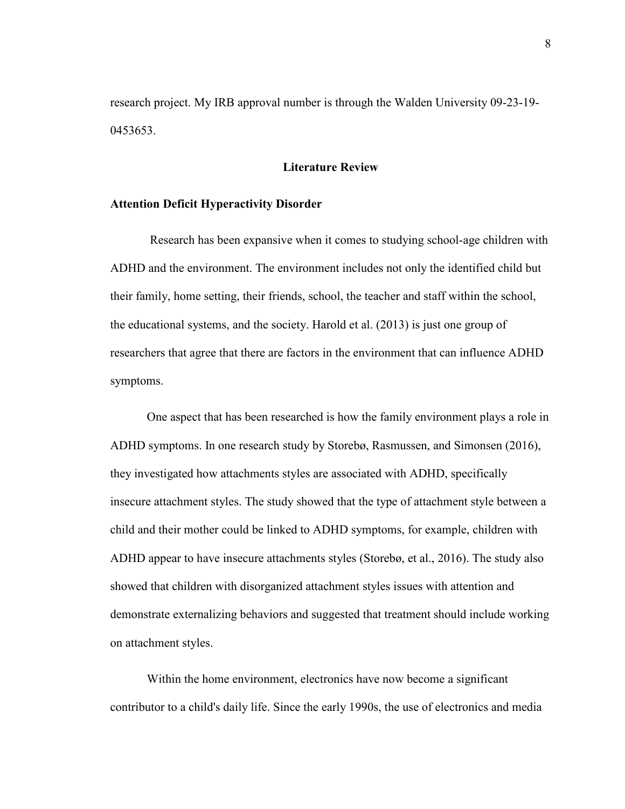research project. My IRB approval number is through the Walden University 09-23-19- 0453653.

#### **Literature Review**

#### **Attention Deficit Hyperactivity Disorder**

Research has been expansive when it comes to studying school-age children with ADHD and the environment. The environment includes not only the identified child but their family, home setting, their friends, school, the teacher and staff within the school, the educational systems, and the society. Harold et al. (2013) is just one group of researchers that agree that there are factors in the environment that can influence ADHD symptoms.

One aspect that has been researched is how the family environment plays a role in ADHD symptoms. In one research study by Storebø, Rasmussen, and Simonsen (2016), they investigated how attachments styles are associated with ADHD, specifically insecure attachment styles. The study showed that the type of attachment style between a child and their mother could be linked to ADHD symptoms, for example, children with ADHD appear to have insecure attachments styles (Storebø, et al., 2016). The study also showed that children with disorganized attachment styles issues with attention and demonstrate externalizing behaviors and suggested that treatment should include working on attachment styles.

Within the home environment, electronics have now become a significant contributor to a child's daily life. Since the early 1990s, the use of electronics and media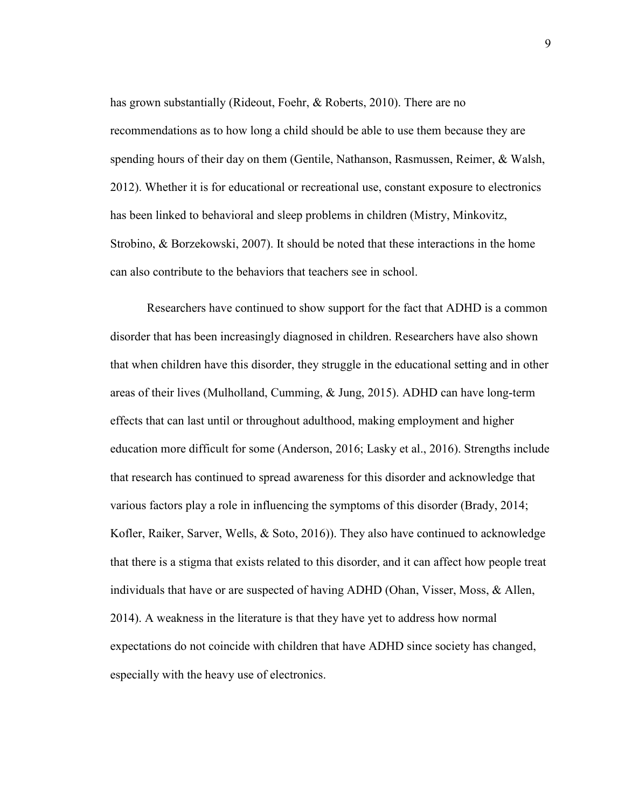has grown substantially (Rideout, Foehr, & Roberts, 2010). There are no recommendations as to how long a child should be able to use them because they are spending hours of their day on them (Gentile, Nathanson, Rasmussen, Reimer, & Walsh, 2012). Whether it is for educational or recreational use, constant exposure to electronics has been linked to behavioral and sleep problems in children (Mistry, Minkovitz, Strobino, & Borzekowski, 2007). It should be noted that these interactions in the home can also contribute to the behaviors that teachers see in school.

Researchers have continued to show support for the fact that ADHD is a common disorder that has been increasingly diagnosed in children. Researchers have also shown that when children have this disorder, they struggle in the educational setting and in other areas of their lives (Mulholland, Cumming, & Jung, 2015). ADHD can have long-term effects that can last until or throughout adulthood, making employment and higher education more difficult for some (Anderson, 2016; Lasky et al., 2016). Strengths include that research has continued to spread awareness for this disorder and acknowledge that various factors play a role in influencing the symptoms of this disorder (Brady, 2014; Kofler, Raiker, Sarver, Wells, & Soto, 2016)). They also have continued to acknowledge that there is a stigma that exists related to this disorder, and it can affect how people treat individuals that have or are suspected of having ADHD (Ohan, Visser, Moss, & Allen, 2014). A weakness in the literature is that they have yet to address how normal expectations do not coincide with children that have ADHD since society has changed, especially with the heavy use of electronics.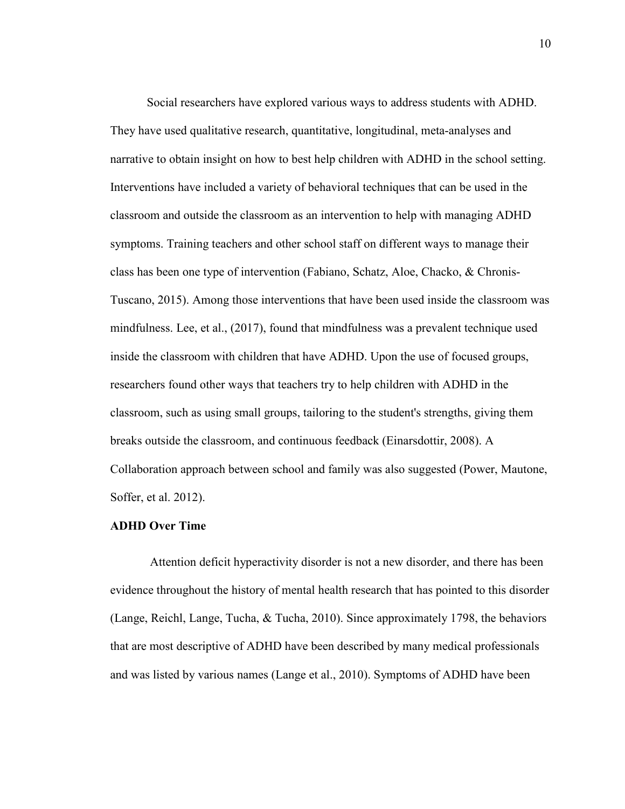Social researchers have explored various ways to address students with ADHD. They have used qualitative research, quantitative, longitudinal, meta-analyses and narrative to obtain insight on how to best help children with ADHD in the school setting. Interventions have included a variety of behavioral techniques that can be used in the classroom and outside the classroom as an intervention to help with managing ADHD symptoms. Training teachers and other school staff on different ways to manage their class has been one type of intervention (Fabiano, Schatz, Aloe, Chacko, & Chronis-Tuscano, 2015). Among those interventions that have been used inside the classroom was mindfulness. Lee, et al., (2017), found that mindfulness was a prevalent technique used inside the classroom with children that have ADHD. Upon the use of focused groups, researchers found other ways that teachers try to help children with ADHD in the classroom, such as using small groups, tailoring to the student's strengths, giving them breaks outside the classroom, and continuous feedback (Einarsdottir, 2008). A Collaboration approach between school and family was also suggested (Power, Mautone, Soffer, et al. 2012).

#### **ADHD Over Time**

Attention deficit hyperactivity disorder is not a new disorder, and there has been evidence throughout the history of mental health research that has pointed to this disorder (Lange, Reichl, Lange, Tucha, & Tucha, 2010). Since approximately 1798, the behaviors that are most descriptive of ADHD have been described by many medical professionals and was listed by various names (Lange et al., 2010). Symptoms of ADHD have been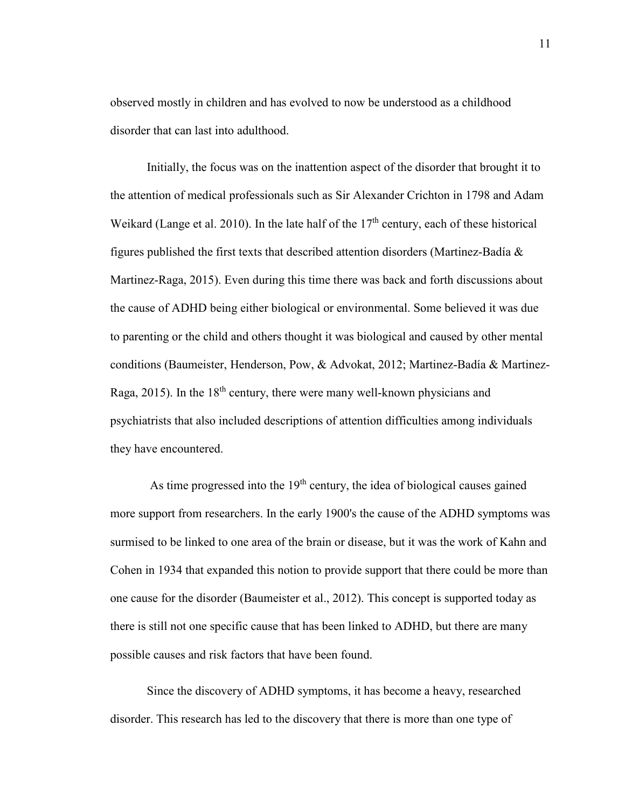observed mostly in children and has evolved to now be understood as a childhood disorder that can last into adulthood.

Initially, the focus was on the inattention aspect of the disorder that brought it to the attention of medical professionals such as Sir Alexander Crichton in 1798 and Adam Weikard (Lange et al. 2010). In the late half of the  $17<sup>th</sup>$  century, each of these historical figures published the first texts that described attention disorders (Martinez-Badía & Martinez-Raga, 2015). Even during this time there was back and forth discussions about the cause of ADHD being either biological or environmental. Some believed it was due to parenting or the child and others thought it was biological and caused by other mental conditions (Baumeister, Henderson, Pow, & Advokat, 2012; Martinez-Badía & Martinez-Raga,  $2015$ ). In the  $18<sup>th</sup>$  century, there were many well-known physicians and psychiatrists that also included descriptions of attention difficulties among individuals they have encountered.

As time progressed into the 19<sup>th</sup> century, the idea of biological causes gained more support from researchers. In the early 1900's the cause of the ADHD symptoms was surmised to be linked to one area of the brain or disease, but it was the work of Kahn and Cohen in 1934 that expanded this notion to provide support that there could be more than one cause for the disorder (Baumeister et al., 2012). This concept is supported today as there is still not one specific cause that has been linked to ADHD, but there are many possible causes and risk factors that have been found.

Since the discovery of ADHD symptoms, it has become a heavy, researched disorder. This research has led to the discovery that there is more than one type of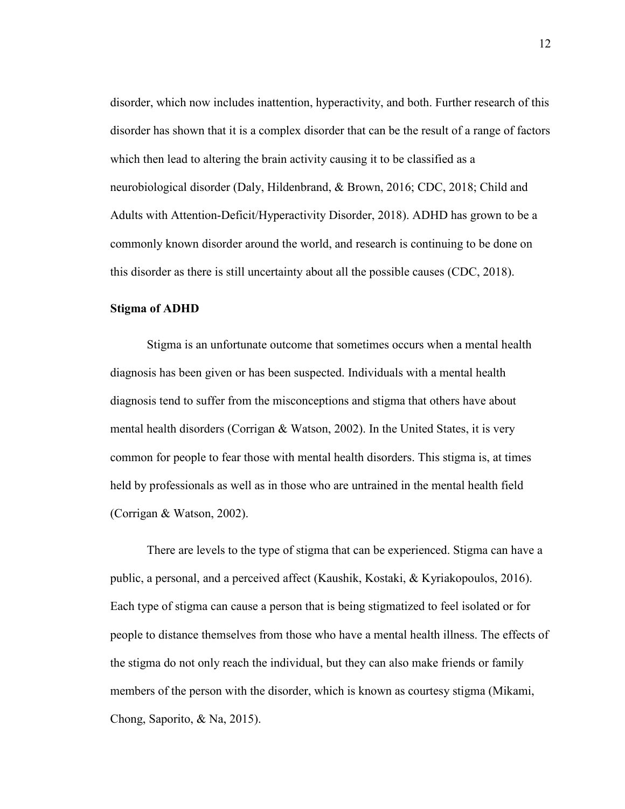disorder, which now includes inattention, hyperactivity, and both. Further research of this disorder has shown that it is a complex disorder that can be the result of a range of factors which then lead to altering the brain activity causing it to be classified as a neurobiological disorder (Daly, Hildenbrand, & Brown, 2016; CDC, 2018; Child and Adults with Attention-Deficit/Hyperactivity Disorder, 2018). ADHD has grown to be a commonly known disorder around the world, and research is continuing to be done on this disorder as there is still uncertainty about all the possible causes (CDC, 2018).

#### **Stigma of ADHD**

Stigma is an unfortunate outcome that sometimes occurs when a mental health diagnosis has been given or has been suspected. Individuals with a mental health diagnosis tend to suffer from the misconceptions and stigma that others have about mental health disorders (Corrigan & Watson, 2002). In the United States, it is very common for people to fear those with mental health disorders. This stigma is, at times held by professionals as well as in those who are untrained in the mental health field (Corrigan & Watson, 2002).

There are levels to the type of stigma that can be experienced. Stigma can have a public, a personal, and a perceived affect (Kaushik, Kostaki, & Kyriakopoulos, 2016). Each type of stigma can cause a person that is being stigmatized to feel isolated or for people to distance themselves from those who have a mental health illness. The effects of the stigma do not only reach the individual, but they can also make friends or family members of the person with the disorder, which is known as courtesy stigma (Mikami, Chong, Saporito, & Na, 2015).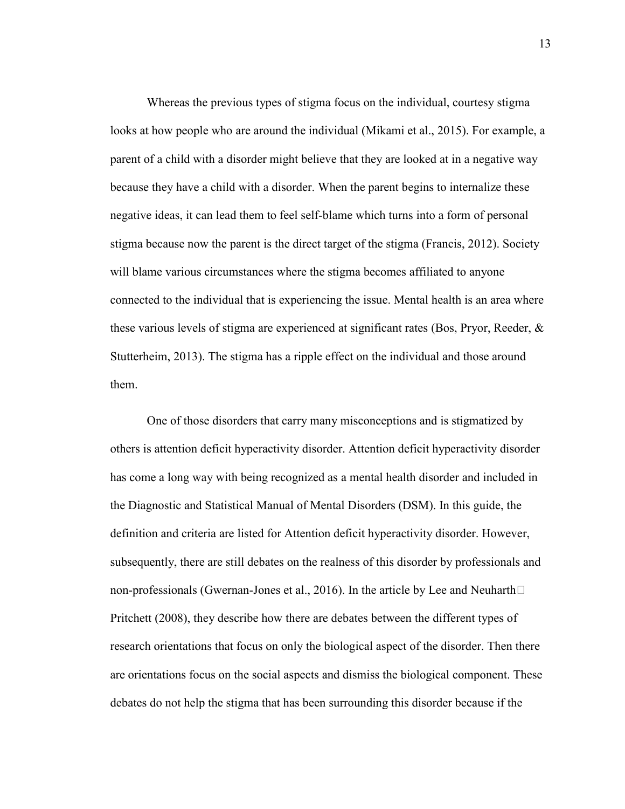Whereas the previous types of stigma focus on the individual, courtesy stigma looks at how people who are around the individual (Mikami et al., 2015). For example, a parent of a child with a disorder might believe that they are looked at in a negative way because they have a child with a disorder. When the parent begins to internalize these negative ideas, it can lead them to feel self-blame which turns into a form of personal stigma because now the parent is the direct target of the stigma (Francis, 2012). Society will blame various circumstances where the stigma becomes affiliated to anyone connected to the individual that is experiencing the issue. Mental health is an area where these various levels of stigma are experienced at significant rates (Bos, Pryor, Reeder, & Stutterheim, 2013). The stigma has a ripple effect on the individual and those around them.

One of those disorders that carry many misconceptions and is stigmatized by others is attention deficit hyperactivity disorder. Attention deficit hyperactivity disorder has come a long way with being recognized as a mental health disorder and included in the Diagnostic and Statistical Manual of Mental Disorders (DSM). In this guide, the definition and criteria are listed for Attention deficit hyperactivity disorder. However, subsequently, there are still debates on the realness of this disorder by professionals and non-professionals (Gwernan-Jones et al., 2016). In the article by Lee and Neuharth $\Box$ Pritchett (2008), they describe how there are debates between the different types of research orientations that focus on only the biological aspect of the disorder. Then there are orientations focus on the social aspects and dismiss the biological component. These debates do not help the stigma that has been surrounding this disorder because if the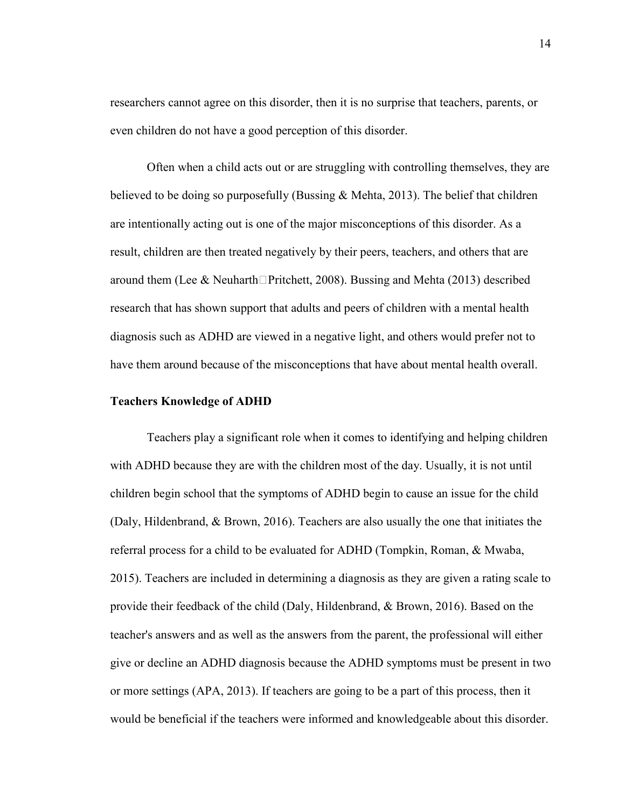researchers cannot agree on this disorder, then it is no surprise that teachers, parents, or even children do not have a good perception of this disorder.

Often when a child acts out or are struggling with controlling themselves, they are believed to be doing so purposefully (Bussing  $\&$  Mehta, 2013). The belief that children are intentionally acting out is one of the major misconceptions of this disorder. As a result, children are then treated negatively by their peers, teachers, and others that are around them (Lee & Neuharth $\Box$ Pritchett, 2008). Bussing and Mehta (2013) described research that has shown support that adults and peers of children with a mental health diagnosis such as ADHD are viewed in a negative light, and others would prefer not to have them around because of the misconceptions that have about mental health overall.

#### **Teachers Knowledge of ADHD**

Teachers play a significant role when it comes to identifying and helping children with ADHD because they are with the children most of the day. Usually, it is not until children begin school that the symptoms of ADHD begin to cause an issue for the child (Daly, Hildenbrand, & Brown, 2016). Teachers are also usually the one that initiates the referral process for a child to be evaluated for ADHD (Tompkin, Roman, & Mwaba, 2015). Teachers are included in determining a diagnosis as they are given a rating scale to provide their feedback of the child (Daly, Hildenbrand, & Brown, 2016). Based on the teacher's answers and as well as the answers from the parent, the professional will either give or decline an ADHD diagnosis because the ADHD symptoms must be present in two or more settings (APA, 2013). If teachers are going to be a part of this process, then it would be beneficial if the teachers were informed and knowledgeable about this disorder.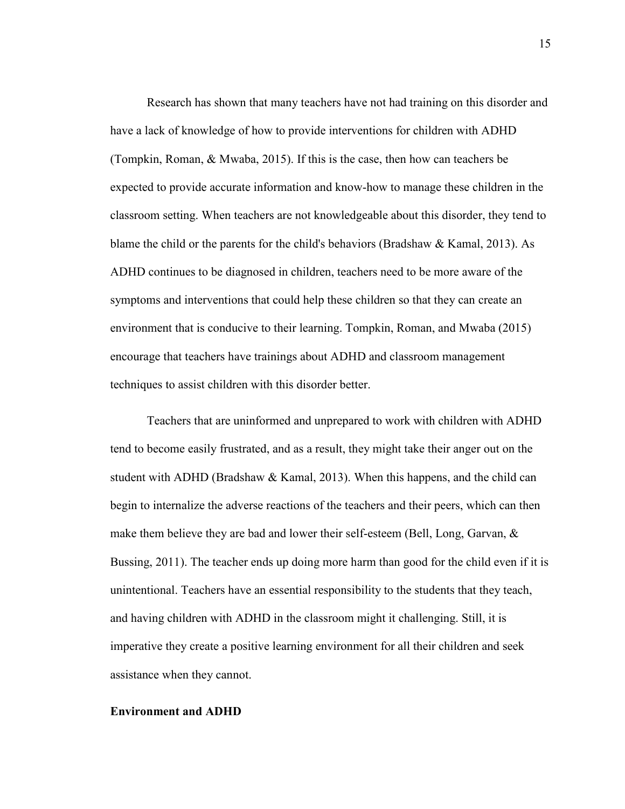Research has shown that many teachers have not had training on this disorder and have a lack of knowledge of how to provide interventions for children with ADHD (Tompkin, Roman, & Mwaba, 2015). If this is the case, then how can teachers be expected to provide accurate information and know-how to manage these children in the classroom setting. When teachers are not knowledgeable about this disorder, they tend to blame the child or the parents for the child's behaviors (Bradshaw & Kamal, 2013). As ADHD continues to be diagnosed in children, teachers need to be more aware of the symptoms and interventions that could help these children so that they can create an environment that is conducive to their learning. Tompkin, Roman, and Mwaba (2015) encourage that teachers have trainings about ADHD and classroom management techniques to assist children with this disorder better.

Teachers that are uninformed and unprepared to work with children with ADHD tend to become easily frustrated, and as a result, they might take their anger out on the student with ADHD (Bradshaw & Kamal, 2013). When this happens, and the child can begin to internalize the adverse reactions of the teachers and their peers, which can then make them believe they are bad and lower their self-esteem (Bell, Long, Garvan,  $\&$ Bussing, 2011). The teacher ends up doing more harm than good for the child even if it is unintentional. Teachers have an essential responsibility to the students that they teach, and having children with ADHD in the classroom might it challenging. Still, it is imperative they create a positive learning environment for all their children and seek assistance when they cannot.

#### **Environment and ADHD**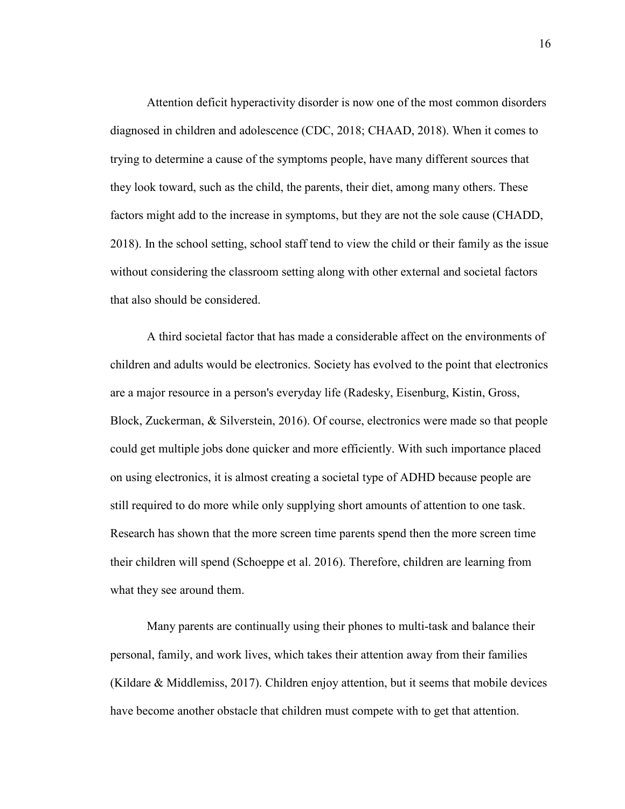Attention deficit hyperactivity disorder is now one of the most common disorders diagnosed in children and adolescence (CDC, 2018; CHAAD, 2018). When it comes to trying to determine a cause of the symptoms people, have many different sources that they look toward, such as the child, the parents, their diet, among many others. These factors might add to the increase in symptoms, but they are not the sole cause (CHADD, 2018). In the school setting, school staff tend to view the child or their family as the issue without considering the classroom setting along with other external and societal factors that also should be considered.

A third societal factor that has made a considerable affect on the environments of children and adults would be electronics. Society has evolved to the point that electronics are a major resource in a person's everyday life (Radesky, Eisenburg, Kistin, Gross, Block, Zuckerman, & Silverstein, 2016). Of course, electronics were made so that people could get multiple jobs done quicker and more efficiently. With such importance placed on using electronics, it is almost creating a societal type of ADHD because people are still required to do more while only supplying short amounts of attention to one task. Research has shown that the more screen time parents spend then the more screen time their children will spend (Schoeppe et al. 2016). Therefore, children are learning from what they see around them.

Many parents are continually using their phones to multi-task and balance their personal, family, and work lives, which takes their attention away from their families (Kildare & Middlemiss, 2017). Children enjoy attention, but it seems that mobile devices have become another obstacle that children must compete with to get that attention.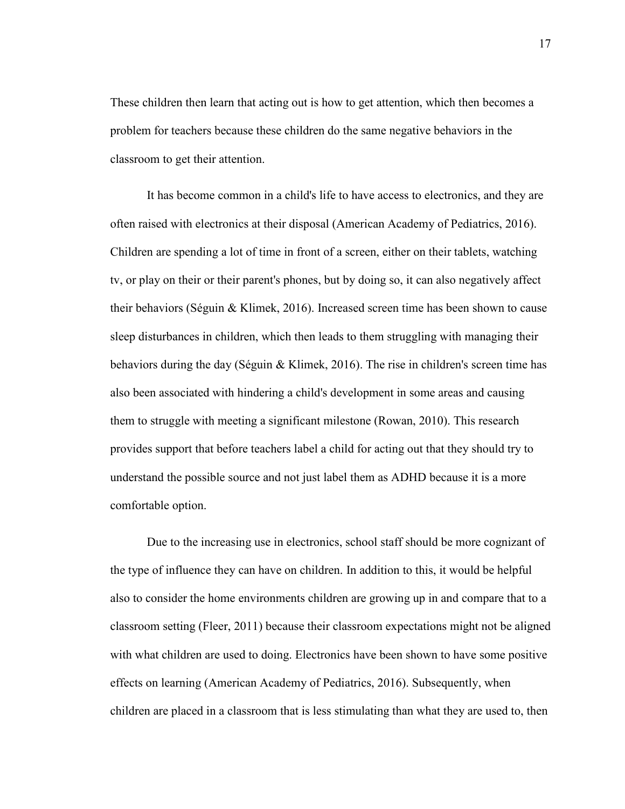These children then learn that acting out is how to get attention, which then becomes a problem for teachers because these children do the same negative behaviors in the classroom to get their attention.

It has become common in a child's life to have access to electronics, and they are often raised with electronics at their disposal (American Academy of Pediatrics, 2016). Children are spending a lot of time in front of a screen, either on their tablets, watching tv, or play on their or their parent's phones, but by doing so, it can also negatively affect their behaviors (Séguin & Klimek, 2016). Increased screen time has been shown to cause sleep disturbances in children, which then leads to them struggling with managing their behaviors during the day (Séguin & Klimek, 2016). The rise in children's screen time has also been associated with hindering a child's development in some areas and causing them to struggle with meeting a significant milestone (Rowan, 2010). This research provides support that before teachers label a child for acting out that they should try to understand the possible source and not just label them as ADHD because it is a more comfortable option.

Due to the increasing use in electronics, school staff should be more cognizant of the type of influence they can have on children. In addition to this, it would be helpful also to consider the home environments children are growing up in and compare that to a classroom setting (Fleer, 2011) because their classroom expectations might not be aligned with what children are used to doing. Electronics have been shown to have some positive effects on learning (American Academy of Pediatrics, 2016). Subsequently, when children are placed in a classroom that is less stimulating than what they are used to, then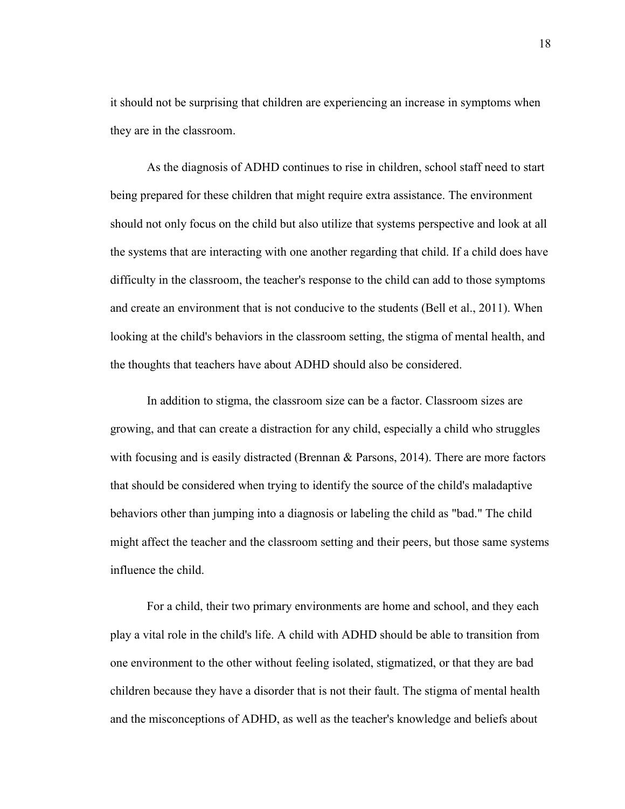it should not be surprising that children are experiencing an increase in symptoms when they are in the classroom.

 As the diagnosis of ADHD continues to rise in children, school staff need to start being prepared for these children that might require extra assistance. The environment should not only focus on the child but also utilize that systems perspective and look at all the systems that are interacting with one another regarding that child. If a child does have difficulty in the classroom, the teacher's response to the child can add to those symptoms and create an environment that is not conducive to the students (Bell et al., 2011). When looking at the child's behaviors in the classroom setting, the stigma of mental health, and the thoughts that teachers have about ADHD should also be considered.

In addition to stigma, the classroom size can be a factor. Classroom sizes are growing, and that can create a distraction for any child, especially a child who struggles with focusing and is easily distracted (Brennan  $\&$  Parsons, 2014). There are more factors that should be considered when trying to identify the source of the child's maladaptive behaviors other than jumping into a diagnosis or labeling the child as "bad." The child might affect the teacher and the classroom setting and their peers, but those same systems influence the child.

For a child, their two primary environments are home and school, and they each play a vital role in the child's life. A child with ADHD should be able to transition from one environment to the other without feeling isolated, stigmatized, or that they are bad children because they have a disorder that is not their fault. The stigma of mental health and the misconceptions of ADHD, as well as the teacher's knowledge and beliefs about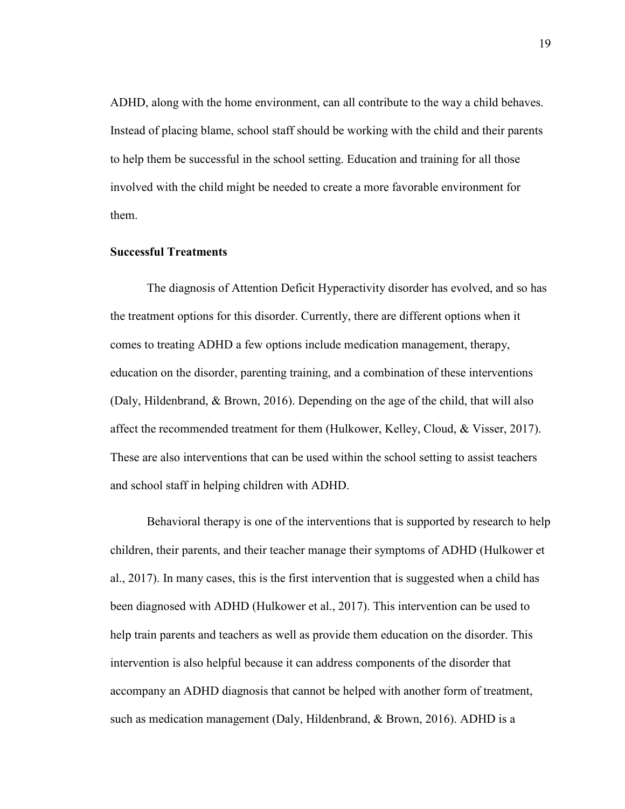ADHD, along with the home environment, can all contribute to the way a child behaves. Instead of placing blame, school staff should be working with the child and their parents to help them be successful in the school setting. Education and training for all those involved with the child might be needed to create a more favorable environment for them.

#### **Successful Treatments**

The diagnosis of Attention Deficit Hyperactivity disorder has evolved, and so has the treatment options for this disorder. Currently, there are different options when it comes to treating ADHD a few options include medication management, therapy, education on the disorder, parenting training, and a combination of these interventions (Daly, Hildenbrand, & Brown, 2016). Depending on the age of the child, that will also affect the recommended treatment for them (Hulkower, Kelley, Cloud, & Visser, 2017). These are also interventions that can be used within the school setting to assist teachers and school staff in helping children with ADHD.

Behavioral therapy is one of the interventions that is supported by research to help children, their parents, and their teacher manage their symptoms of ADHD (Hulkower et al., 2017). In many cases, this is the first intervention that is suggested when a child has been diagnosed with ADHD (Hulkower et al., 2017). This intervention can be used to help train parents and teachers as well as provide them education on the disorder. This intervention is also helpful because it can address components of the disorder that accompany an ADHD diagnosis that cannot be helped with another form of treatment, such as medication management (Daly, Hildenbrand, & Brown, 2016). ADHD is a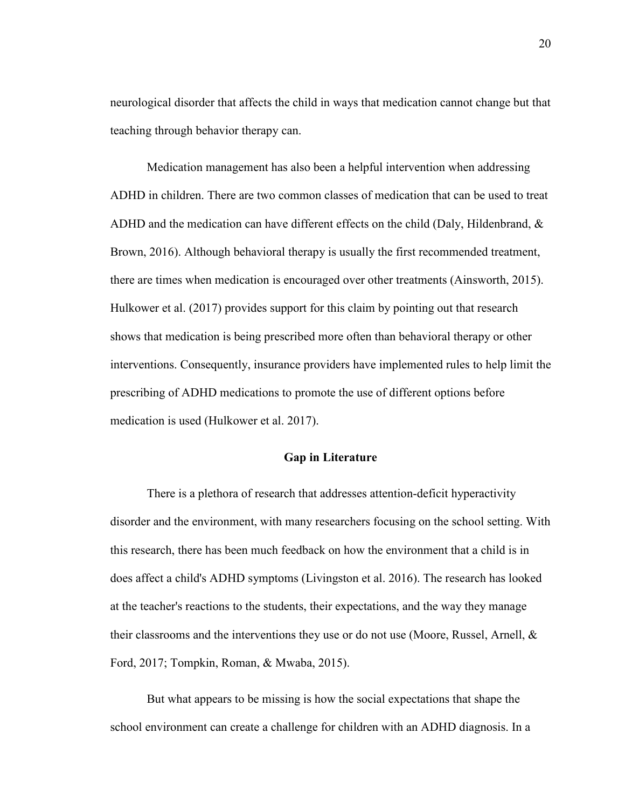neurological disorder that affects the child in ways that medication cannot change but that teaching through behavior therapy can.

Medication management has also been a helpful intervention when addressing ADHD in children. There are two common classes of medication that can be used to treat ADHD and the medication can have different effects on the child (Daly, Hildenbrand,  $\&$ Brown, 2016). Although behavioral therapy is usually the first recommended treatment, there are times when medication is encouraged over other treatments (Ainsworth, 2015). Hulkower et al. (2017) provides support for this claim by pointing out that research shows that medication is being prescribed more often than behavioral therapy or other interventions. Consequently, insurance providers have implemented rules to help limit the prescribing of ADHD medications to promote the use of different options before medication is used (Hulkower et al. 2017).

#### **Gap in Literature**

There is a plethora of research that addresses attention-deficit hyperactivity disorder and the environment, with many researchers focusing on the school setting. With this research, there has been much feedback on how the environment that a child is in does affect a child's ADHD symptoms (Livingston et al. 2016). The research has looked at the teacher's reactions to the students, their expectations, and the way they manage their classrooms and the interventions they use or do not use (Moore, Russel, Arnell, & Ford, 2017; Tompkin, Roman, & Mwaba, 2015).

But what appears to be missing is how the social expectations that shape the school environment can create a challenge for children with an ADHD diagnosis. In a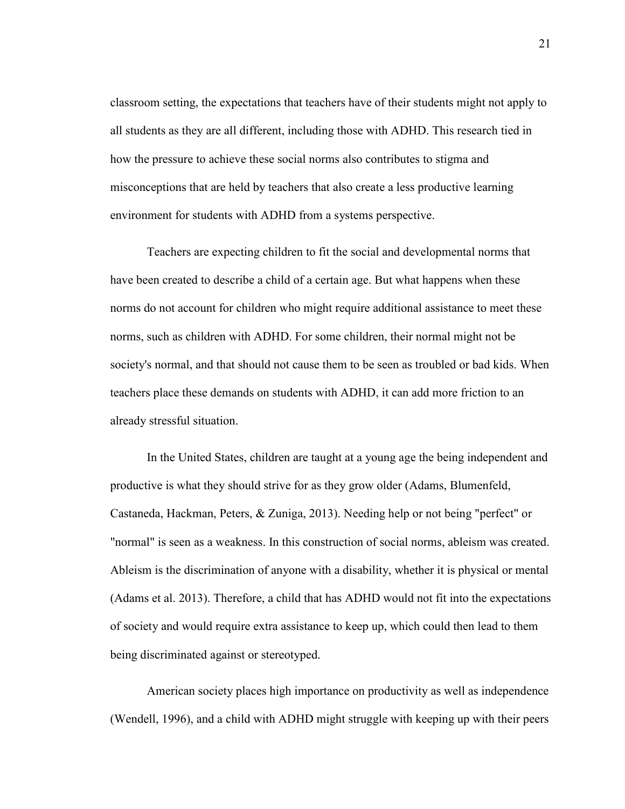classroom setting, the expectations that teachers have of their students might not apply to all students as they are all different, including those with ADHD. This research tied in how the pressure to achieve these social norms also contributes to stigma and misconceptions that are held by teachers that also create a less productive learning environment for students with ADHD from a systems perspective.

Teachers are expecting children to fit the social and developmental norms that have been created to describe a child of a certain age. But what happens when these norms do not account for children who might require additional assistance to meet these norms, such as children with ADHD. For some children, their normal might not be society's normal, and that should not cause them to be seen as troubled or bad kids. When teachers place these demands on students with ADHD, it can add more friction to an already stressful situation.

In the United States, children are taught at a young age the being independent and productive is what they should strive for as they grow older (Adams, Blumenfeld, Castaneda, Hackman, Peters, & Zuniga, 2013). Needing help or not being "perfect" or "normal" is seen as a weakness. In this construction of social norms, ableism was created. Ableism is the discrimination of anyone with a disability, whether it is physical or mental (Adams et al. 2013). Therefore, a child that has ADHD would not fit into the expectations of society and would require extra assistance to keep up, which could then lead to them being discriminated against or stereotyped.

American society places high importance on productivity as well as independence (Wendell, 1996), and a child with ADHD might struggle with keeping up with their peers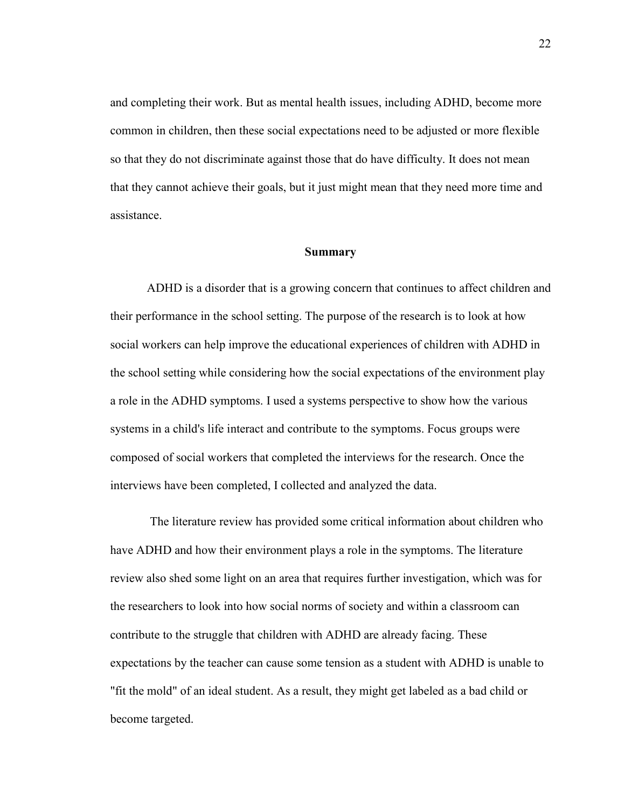and completing their work. But as mental health issues, including ADHD, become more common in children, then these social expectations need to be adjusted or more flexible so that they do not discriminate against those that do have difficulty. It does not mean that they cannot achieve their goals, but it just might mean that they need more time and assistance.

#### **Summary**

ADHD is a disorder that is a growing concern that continues to affect children and their performance in the school setting. The purpose of the research is to look at how social workers can help improve the educational experiences of children with ADHD in the school setting while considering how the social expectations of the environment play a role in the ADHD symptoms. I used a systems perspective to show how the various systems in a child's life interact and contribute to the symptoms. Focus groups were composed of social workers that completed the interviews for the research. Once the interviews have been completed, I collected and analyzed the data.

 The literature review has provided some critical information about children who have ADHD and how their environment plays a role in the symptoms. The literature review also shed some light on an area that requires further investigation, which was for the researchers to look into how social norms of society and within a classroom can contribute to the struggle that children with ADHD are already facing. These expectations by the teacher can cause some tension as a student with ADHD is unable to "fit the mold" of an ideal student. As a result, they might get labeled as a bad child or become targeted.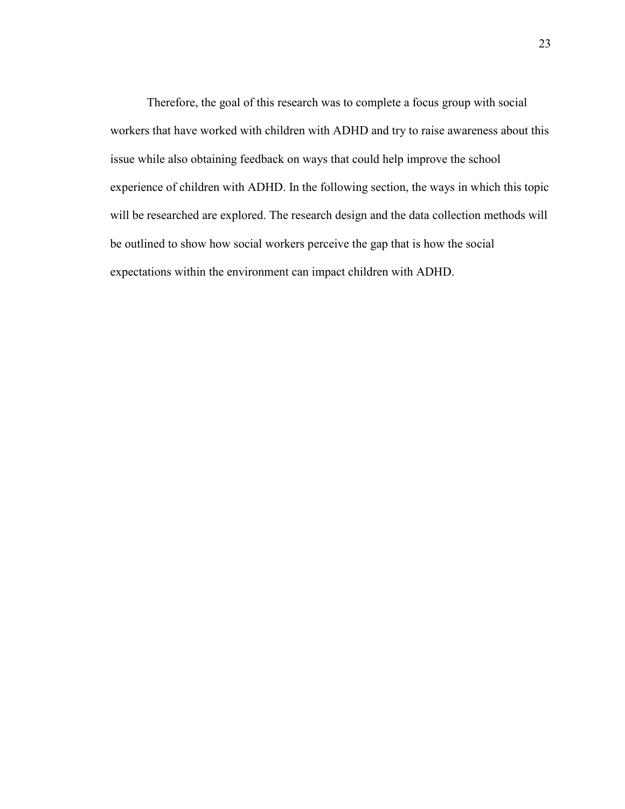Therefore, the goal of this research was to complete a focus group with social workers that have worked with children with ADHD and try to raise awareness about this issue while also obtaining feedback on ways that could help improve the school experience of children with ADHD. In the following section, the ways in which this topic will be researched are explored. The research design and the data collection methods will be outlined to show how social workers perceive the gap that is how the social expectations within the environment can impact children with ADHD.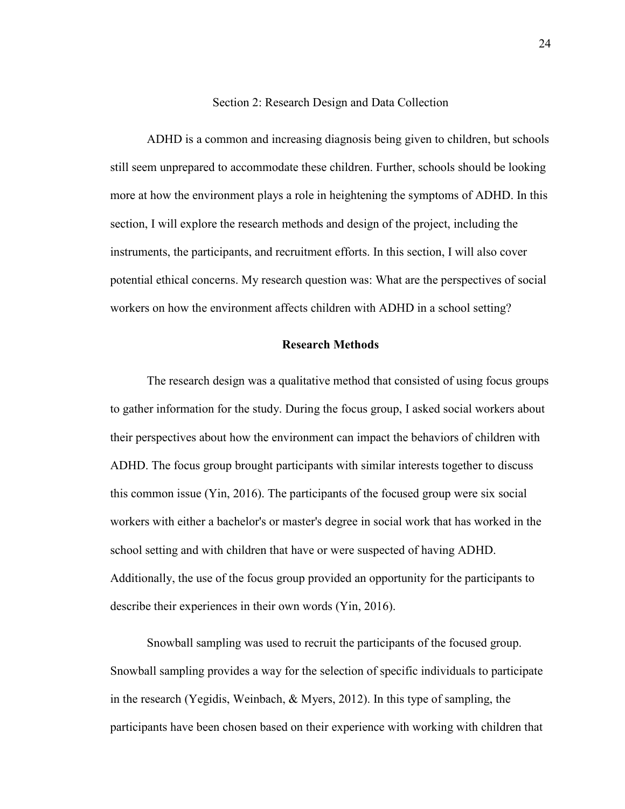#### Section 2: Research Design and Data Collection

ADHD is a common and increasing diagnosis being given to children, but schools still seem unprepared to accommodate these children. Further, schools should be looking more at how the environment plays a role in heightening the symptoms of ADHD. In this section, I will explore the research methods and design of the project, including the instruments, the participants, and recruitment efforts. In this section, I will also cover potential ethical concerns. My research question was: What are the perspectives of social workers on how the environment affects children with ADHD in a school setting?

#### **Research Methods**

The research design was a qualitative method that consisted of using focus groups to gather information for the study. During the focus group, I asked social workers about their perspectives about how the environment can impact the behaviors of children with ADHD. The focus group brought participants with similar interests together to discuss this common issue (Yin, 2016). The participants of the focused group were six social workers with either a bachelor's or master's degree in social work that has worked in the school setting and with children that have or were suspected of having ADHD. Additionally, the use of the focus group provided an opportunity for the participants to describe their experiences in their own words (Yin, 2016).

Snowball sampling was used to recruit the participants of the focused group. Snowball sampling provides a way for the selection of specific individuals to participate in the research (Yegidis, Weinbach, & Myers, 2012). In this type of sampling, the participants have been chosen based on their experience with working with children that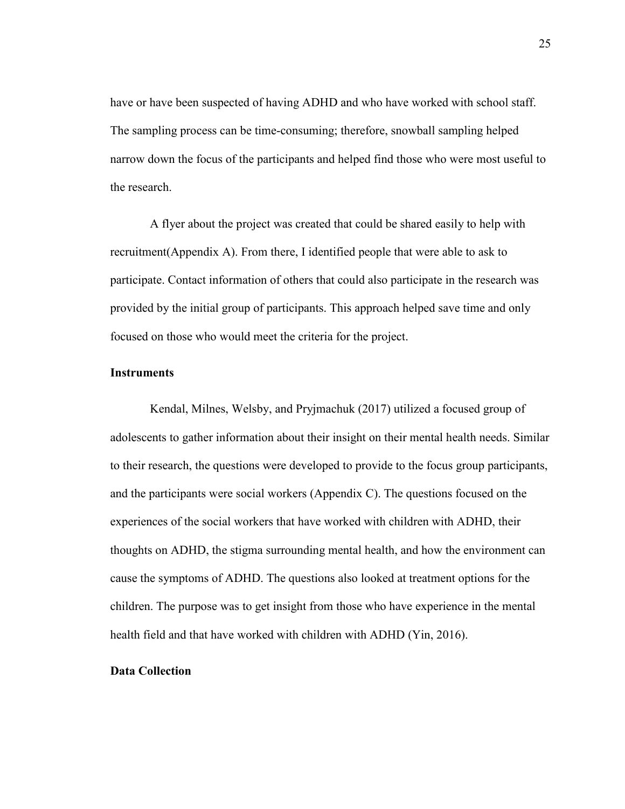have or have been suspected of having ADHD and who have worked with school staff. The sampling process can be time-consuming; therefore, snowball sampling helped narrow down the focus of the participants and helped find those who were most useful to the research.

 A flyer about the project was created that could be shared easily to help with recruitment(Appendix A). From there, I identified people that were able to ask to participate. Contact information of others that could also participate in the research was provided by the initial group of participants. This approach helped save time and only focused on those who would meet the criteria for the project.

#### **Instruments**

Kendal, Milnes, Welsby, and Pryjmachuk (2017) utilized a focused group of adolescents to gather information about their insight on their mental health needs. Similar to their research, the questions were developed to provide to the focus group participants, and the participants were social workers (Appendix C). The questions focused on the experiences of the social workers that have worked with children with ADHD, their thoughts on ADHD, the stigma surrounding mental health, and how the environment can cause the symptoms of ADHD. The questions also looked at treatment options for the children. The purpose was to get insight from those who have experience in the mental health field and that have worked with children with ADHD (Yin, 2016).

### **Data Collection**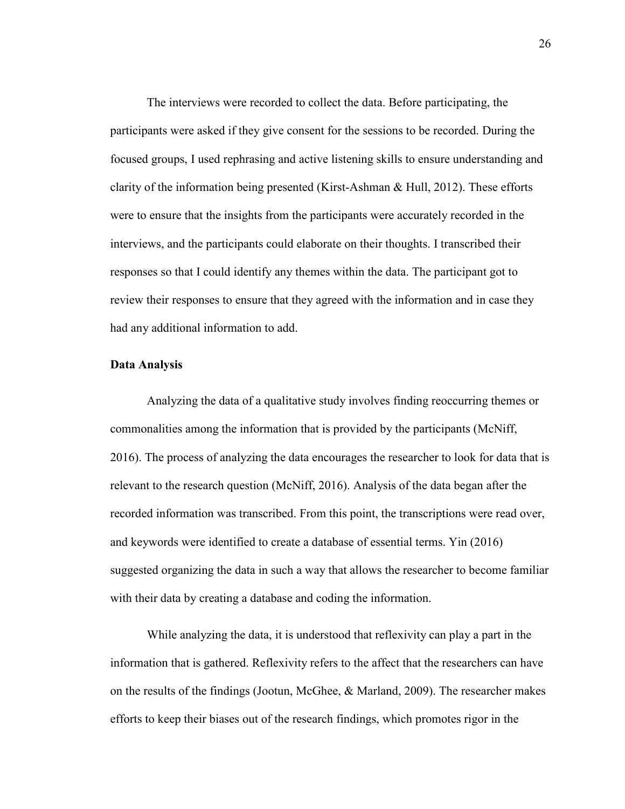The interviews were recorded to collect the data. Before participating, the participants were asked if they give consent for the sessions to be recorded. During the focused groups, I used rephrasing and active listening skills to ensure understanding and clarity of the information being presented (Kirst-Ashman & Hull, 2012). These efforts were to ensure that the insights from the participants were accurately recorded in the interviews, and the participants could elaborate on their thoughts. I transcribed their responses so that I could identify any themes within the data. The participant got to review their responses to ensure that they agreed with the information and in case they had any additional information to add.

### **Data Analysis**

Analyzing the data of a qualitative study involves finding reoccurring themes or commonalities among the information that is provided by the participants (McNiff, 2016). The process of analyzing the data encourages the researcher to look for data that is relevant to the research question (McNiff, 2016). Analysis of the data began after the recorded information was transcribed. From this point, the transcriptions were read over, and keywords were identified to create a database of essential terms. Yin (2016) suggested organizing the data in such a way that allows the researcher to become familiar with their data by creating a database and coding the information.

While analyzing the data, it is understood that reflexivity can play a part in the information that is gathered. Reflexivity refers to the affect that the researchers can have on the results of the findings (Jootun, McGhee, & Marland, 2009). The researcher makes efforts to keep their biases out of the research findings, which promotes rigor in the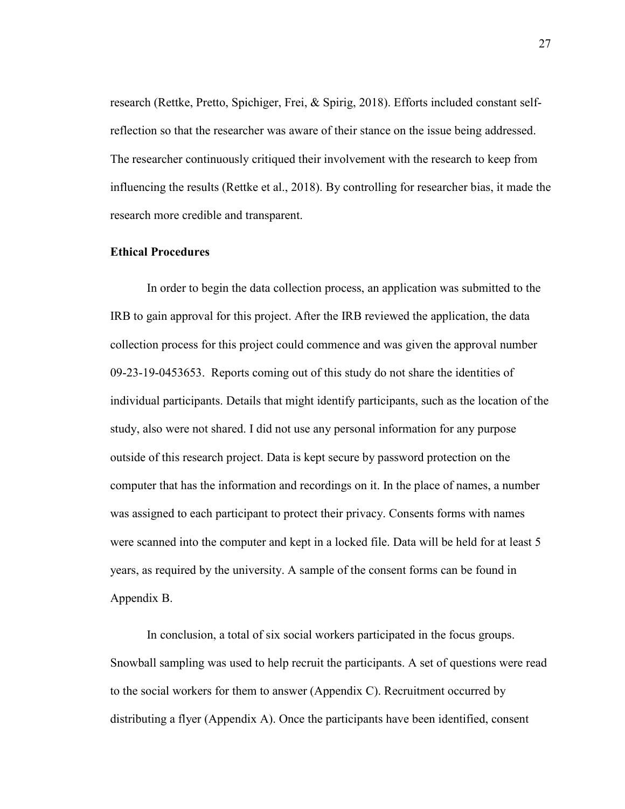research (Rettke, Pretto, Spichiger, Frei, & Spirig, 2018). Efforts included constant selfreflection so that the researcher was aware of their stance on the issue being addressed. The researcher continuously critiqued their involvement with the research to keep from influencing the results (Rettke et al., 2018). By controlling for researcher bias, it made the research more credible and transparent.

### **Ethical Procedures**

In order to begin the data collection process, an application was submitted to the IRB to gain approval for this project. After the IRB reviewed the application, the data collection process for this project could commence and was given the approval number 09-23-19-0453653. Reports coming out of this study do not share the identities of individual participants. Details that might identify participants, such as the location of the study, also were not shared. I did not use any personal information for any purpose outside of this research project. Data is kept secure by password protection on the computer that has the information and recordings on it. In the place of names, a number was assigned to each participant to protect their privacy. Consents forms with names were scanned into the computer and kept in a locked file. Data will be held for at least 5 years, as required by the university. A sample of the consent forms can be found in Appendix B.

In conclusion, a total of six social workers participated in the focus groups. Snowball sampling was used to help recruit the participants. A set of questions were read to the social workers for them to answer (Appendix C). Recruitment occurred by distributing a flyer (Appendix A). Once the participants have been identified, consent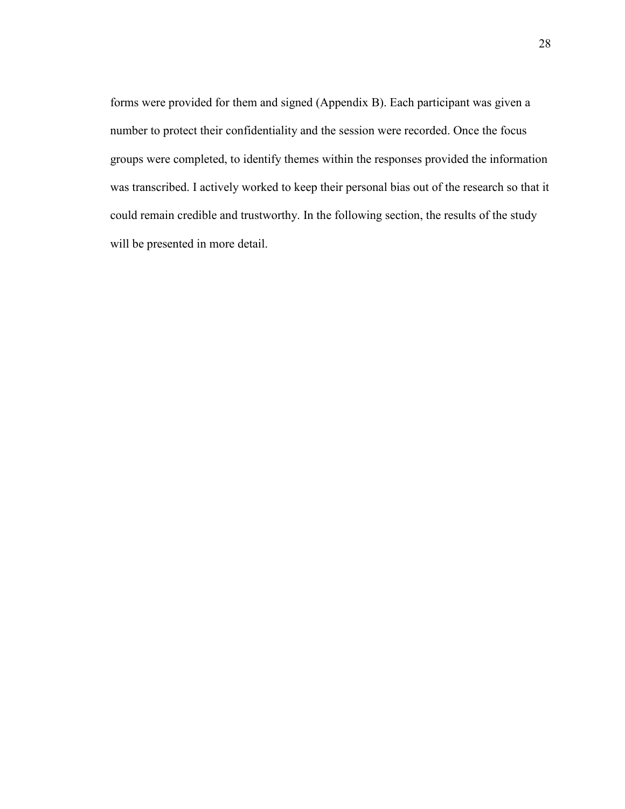forms were provided for them and signed (Appendix B). Each participant was given a number to protect their confidentiality and the session were recorded. Once the focus groups were completed, to identify themes within the responses provided the information was transcribed. I actively worked to keep their personal bias out of the research so that it could remain credible and trustworthy. In the following section, the results of the study will be presented in more detail.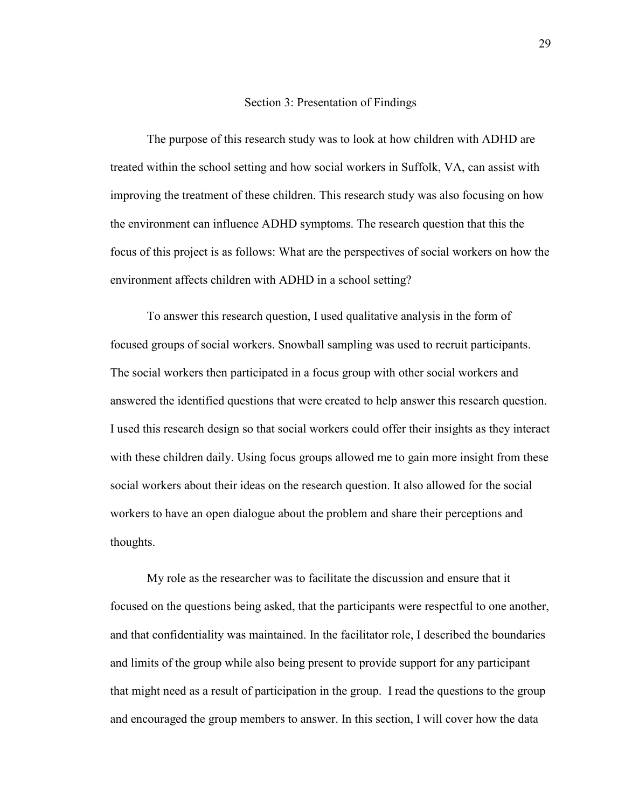#### Section 3: Presentation of Findings

The purpose of this research study was to look at how children with ADHD are treated within the school setting and how social workers in Suffolk, VA, can assist with improving the treatment of these children. This research study was also focusing on how the environment can influence ADHD symptoms. The research question that this the focus of this project is as follows: What are the perspectives of social workers on how the environment affects children with ADHD in a school setting?

To answer this research question, I used qualitative analysis in the form of focused groups of social workers. Snowball sampling was used to recruit participants. The social workers then participated in a focus group with other social workers and answered the identified questions that were created to help answer this research question. I used this research design so that social workers could offer their insights as they interact with these children daily. Using focus groups allowed me to gain more insight from these social workers about their ideas on the research question. It also allowed for the social workers to have an open dialogue about the problem and share their perceptions and thoughts.

My role as the researcher was to facilitate the discussion and ensure that it focused on the questions being asked, that the participants were respectful to one another, and that confidentiality was maintained. In the facilitator role, I described the boundaries and limits of the group while also being present to provide support for any participant that might need as a result of participation in the group. I read the questions to the group and encouraged the group members to answer. In this section, I will cover how the data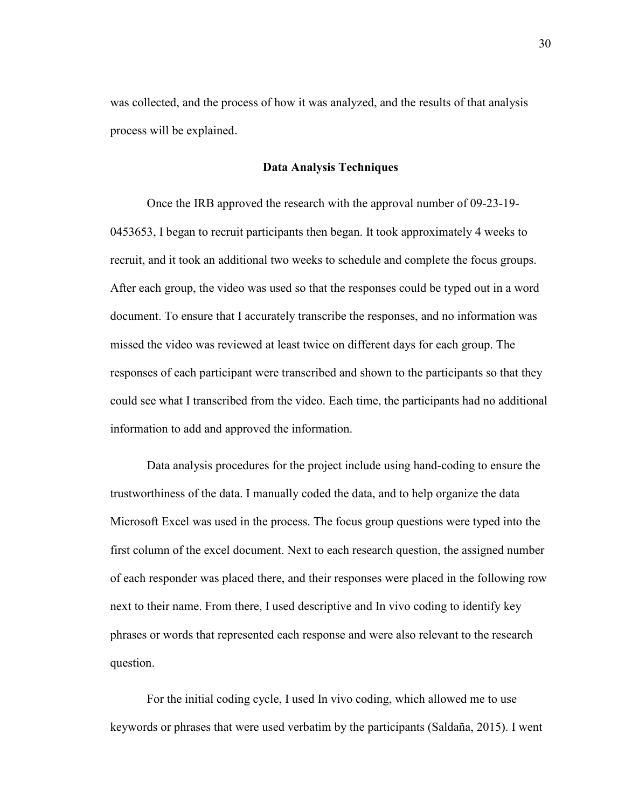was collected, and the process of how it was analyzed, and the results of that analysis process will be explained.

### **Data Analysis Techniques**

Once the IRB approved the research with the approval number of 09-23-19- 0453653, I began to recruit participants then began. It took approximately 4 weeks to recruit, and it took an additional two weeks to schedule and complete the focus groups. After each group, the video was used so that the responses could be typed out in a word document. To ensure that I accurately transcribe the responses, and no information was missed the video was reviewed at least twice on different days for each group. The responses of each participant were transcribed and shown to the participants so that they could see what I transcribed from the video. Each time, the participants had no additional information to add and approved the information.

Data analysis procedures for the project include using hand-coding to ensure the trustworthiness of the data. I manually coded the data, and to help organize the data Microsoft Excel was used in the process. The focus group questions were typed into the first column of the excel document. Next to each research question, the assigned number of each responder was placed there, and their responses were placed in the following row next to their name. From there, I used descriptive and In vivo coding to identify key phrases or words that represented each response and were also relevant to the research question.

For the initial coding cycle, I used In vivo coding, which allowed me to use keywords or phrases that were used verbatim by the participants (Saldaña, 2015). I went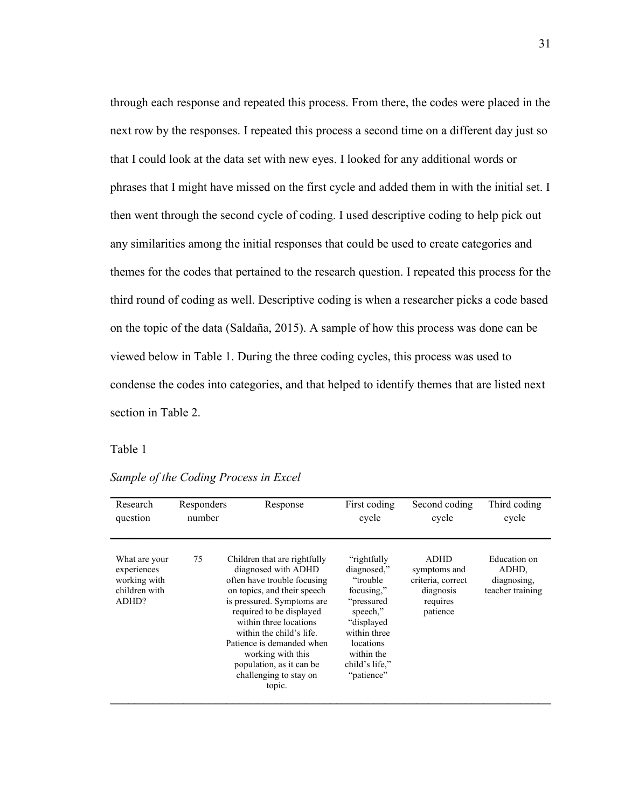through each response and repeated this process. From there, the codes were placed in the next row by the responses. I repeated this process a second time on a different day just so that I could look at the data set with new eyes. I looked for any additional words or phrases that I might have missed on the first cycle and added them in with the initial set. I then went through the second cycle of coding. I used descriptive coding to help pick out any similarities among the initial responses that could be used to create categories and themes for the codes that pertained to the research question. I repeated this process for the third round of coding as well. Descriptive coding is when a researcher picks a code based on the topic of the data (Saldaña, 2015). A sample of how this process was done can be viewed below in Table 1. During the three coding cycles, this process was used to condense the codes into categories, and that helped to identify themes that are listed next section in Table 2.

# Table 1

| Research                                                               | Responders | Response                                                                                                                                                                                                                                                                                                                                            | First coding                                                                                                                                                              | Second coding                                                                         | Third coding                                             |
|------------------------------------------------------------------------|------------|-----------------------------------------------------------------------------------------------------------------------------------------------------------------------------------------------------------------------------------------------------------------------------------------------------------------------------------------------------|---------------------------------------------------------------------------------------------------------------------------------------------------------------------------|---------------------------------------------------------------------------------------|----------------------------------------------------------|
| question                                                               | number     |                                                                                                                                                                                                                                                                                                                                                     | cycle                                                                                                                                                                     | cycle                                                                                 | cycle                                                    |
| What are your<br>experiences<br>working with<br>children with<br>ADHD? | 75         | Children that are rightfully<br>diagnosed with ADHD<br>often have trouble focusing<br>on topics, and their speech<br>is pressured. Symptoms are<br>required to be displayed<br>within three locations<br>within the child's life.<br>Patience is demanded when<br>working with this<br>population, as it can be<br>challenging to stay on<br>topic. | "rightfully"<br>diagnosed,"<br>"trouble"<br>focusing,"<br>"pressured<br>speech,"<br>"displayed<br>within three<br>locations<br>within the<br>child's life,"<br>"patience" | <b>ADHD</b><br>symptoms and<br>criteria, correct<br>diagnosis<br>requires<br>patience | Education on<br>ADHD,<br>diagnosing,<br>teacher training |

*Sample of the Coding Process in Excel*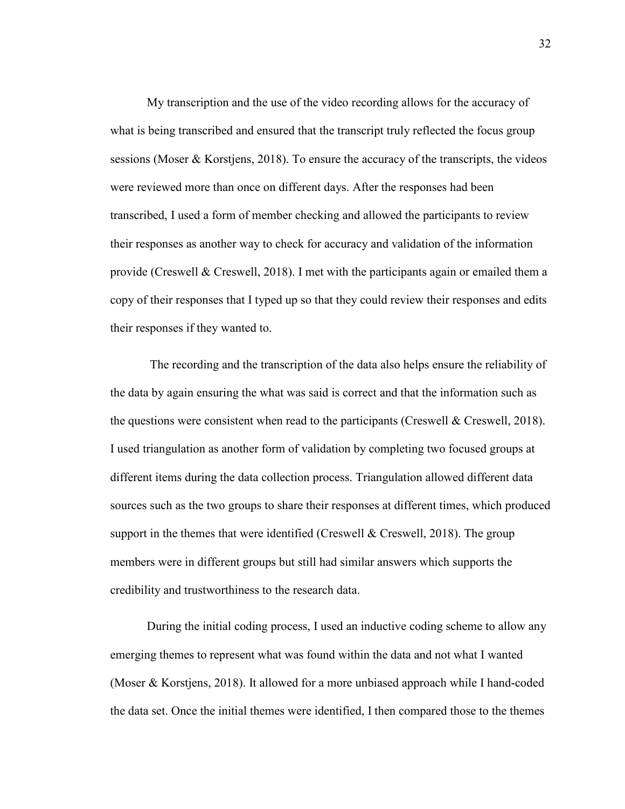My transcription and the use of the video recording allows for the accuracy of what is being transcribed and ensured that the transcript truly reflected the focus group sessions (Moser & Korstjens, 2018). To ensure the accuracy of the transcripts, the videos were reviewed more than once on different days. After the responses had been transcribed, I used a form of member checking and allowed the participants to review their responses as another way to check for accuracy and validation of the information provide (Creswell & Creswell, 2018). I met with the participants again or emailed them a copy of their responses that I typed up so that they could review their responses and edits their responses if they wanted to.

 The recording and the transcription of the data also helps ensure the reliability of the data by again ensuring the what was said is correct and that the information such as the questions were consistent when read to the participants (Creswell  $&$  Creswell, 2018). I used triangulation as another form of validation by completing two focused groups at different items during the data collection process. Triangulation allowed different data sources such as the two groups to share their responses at different times, which produced support in the themes that were identified (Creswell  $\&$  Creswell, 2018). The group members were in different groups but still had similar answers which supports the credibility and trustworthiness to the research data.

During the initial coding process, I used an inductive coding scheme to allow any emerging themes to represent what was found within the data and not what I wanted (Moser & Korstjens, 2018). It allowed for a more unbiased approach while I hand-coded the data set. Once the initial themes were identified, I then compared those to the themes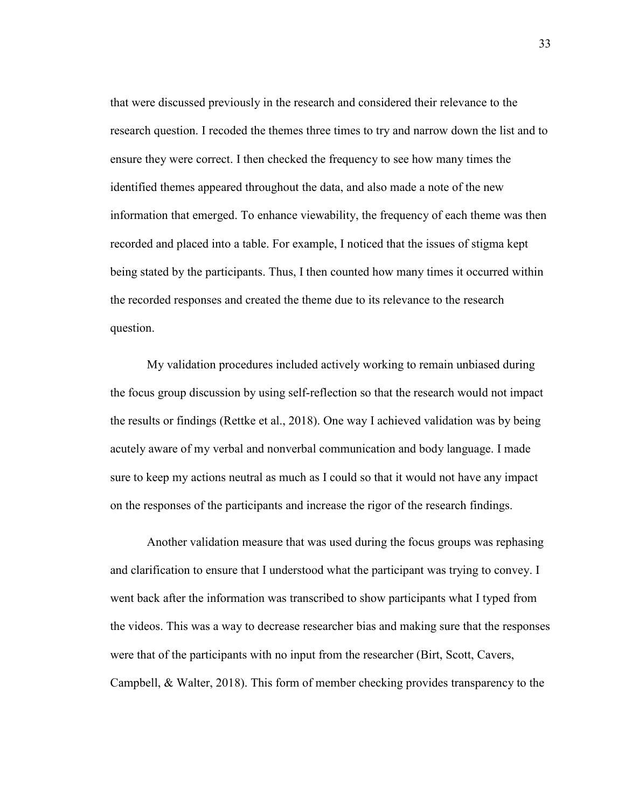that were discussed previously in the research and considered their relevance to the research question. I recoded the themes three times to try and narrow down the list and to ensure they were correct. I then checked the frequency to see how many times the identified themes appeared throughout the data, and also made a note of the new information that emerged. To enhance viewability, the frequency of each theme was then recorded and placed into a table. For example, I noticed that the issues of stigma kept being stated by the participants. Thus, I then counted how many times it occurred within the recorded responses and created the theme due to its relevance to the research question.

My validation procedures included actively working to remain unbiased during the focus group discussion by using self-reflection so that the research would not impact the results or findings (Rettke et al., 2018). One way I achieved validation was by being acutely aware of my verbal and nonverbal communication and body language. I made sure to keep my actions neutral as much as I could so that it would not have any impact on the responses of the participants and increase the rigor of the research findings.

Another validation measure that was used during the focus groups was rephasing and clarification to ensure that I understood what the participant was trying to convey. I went back after the information was transcribed to show participants what I typed from the videos. This was a way to decrease researcher bias and making sure that the responses were that of the participants with no input from the researcher (Birt, Scott, Cavers, Campbell, & Walter, 2018). This form of member checking provides transparency to the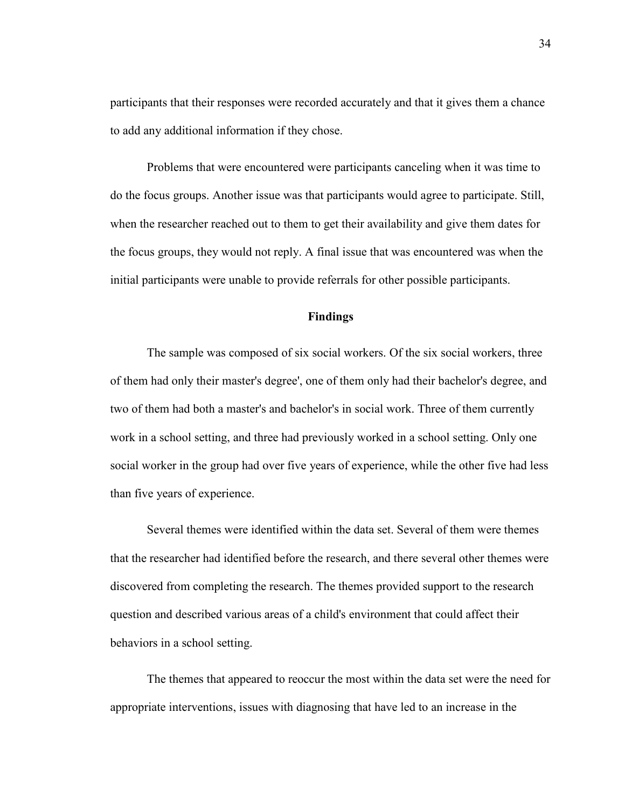participants that their responses were recorded accurately and that it gives them a chance to add any additional information if they chose.

Problems that were encountered were participants canceling when it was time to do the focus groups. Another issue was that participants would agree to participate. Still, when the researcher reached out to them to get their availability and give them dates for the focus groups, they would not reply. A final issue that was encountered was when the initial participants were unable to provide referrals for other possible participants.

### **Findings**

The sample was composed of six social workers. Of the six social workers, three of them had only their master's degree', one of them only had their bachelor's degree, and two of them had both a master's and bachelor's in social work. Three of them currently work in a school setting, and three had previously worked in a school setting. Only one social worker in the group had over five years of experience, while the other five had less than five years of experience.

Several themes were identified within the data set. Several of them were themes that the researcher had identified before the research, and there several other themes were discovered from completing the research. The themes provided support to the research question and described various areas of a child's environment that could affect their behaviors in a school setting.

The themes that appeared to reoccur the most within the data set were the need for appropriate interventions, issues with diagnosing that have led to an increase in the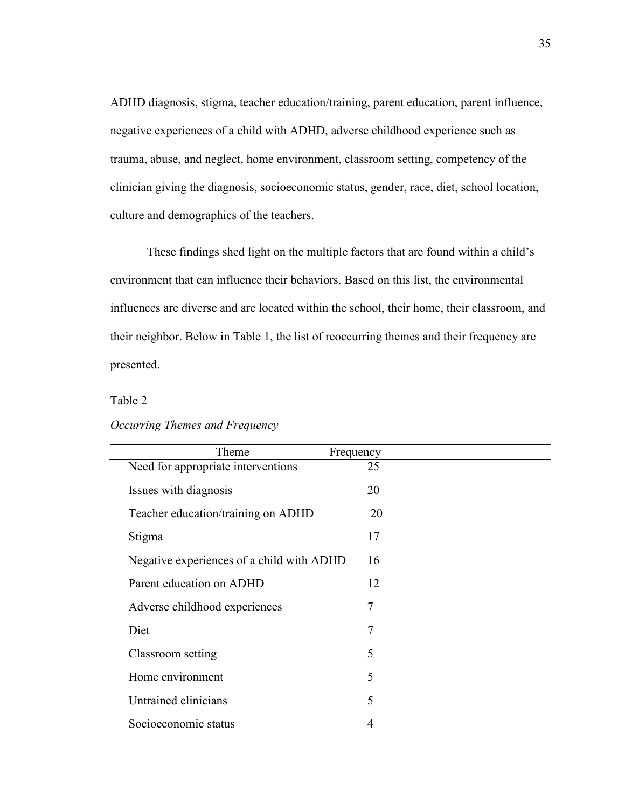ADHD diagnosis, stigma, teacher education/training, parent education, parent influence, negative experiences of a child with ADHD, adverse childhood experience such as trauma, abuse, and neglect, home environment, classroom setting, competency of the clinician giving the diagnosis, socioeconomic status, gender, race, diet, school location, culture and demographics of the teachers.

These findings shed light on the multiple factors that are found within a child's environment that can influence their behaviors. Based on this list, the environmental influences are diverse and are located within the school, their home, their classroom, and their neighbor. Below in Table 1, the list of reoccurring themes and their frequency are presented.

# Table 2

| Theme<br>Frequency                        |    |
|-------------------------------------------|----|
| Need for appropriate interventions        | 25 |
| Issues with diagnosis                     | 20 |
| Teacher education/training on ADHD        | 20 |
| Stigma                                    | 17 |
| Negative experiences of a child with ADHD | 16 |
| Parent education on ADHD                  | 12 |
| Adverse childhood experiences             | 7  |
| Diet                                      | 7  |
| Classroom setting                         | 5  |
| Home environment                          | 5  |
| Untrained clinicians                      | 5  |
| Socioeconomic status                      | 4  |

### *Occurring Themes and Frequency*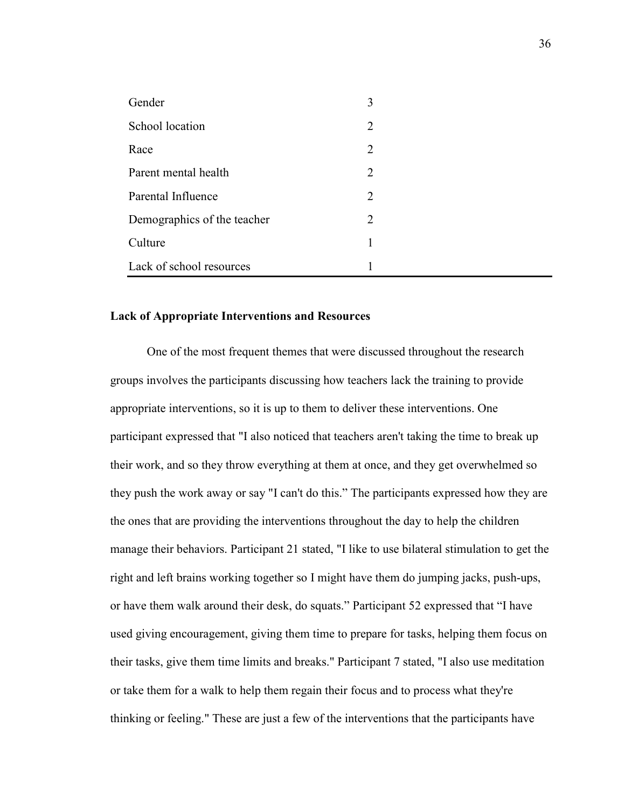| Gender                      | 3                           |  |
|-----------------------------|-----------------------------|--|
| School location             | $\mathcal{L}$               |  |
| Race                        | 2                           |  |
| Parent mental health        | $\mathcal{D}_{\mathcal{L}}$ |  |
| Parental Influence          | 2                           |  |
| Demographics of the teacher | $\mathcal{D}_{\mathcal{L}}$ |  |
| Culture                     |                             |  |
| Lack of school resources    |                             |  |

### **Lack of Appropriate Interventions and Resources**

One of the most frequent themes that were discussed throughout the research groups involves the participants discussing how teachers lack the training to provide appropriate interventions, so it is up to them to deliver these interventions. One participant expressed that "I also noticed that teachers aren't taking the time to break up their work, and so they throw everything at them at once, and they get overwhelmed so they push the work away or say "I can't do this." The participants expressed how they are the ones that are providing the interventions throughout the day to help the children manage their behaviors. Participant 21 stated, "I like to use bilateral stimulation to get the right and left brains working together so I might have them do jumping jacks, push-ups, or have them walk around their desk, do squats." Participant 52 expressed that "I have used giving encouragement, giving them time to prepare for tasks, helping them focus on their tasks, give them time limits and breaks." Participant 7 stated, "I also use meditation or take them for a walk to help them regain their focus and to process what they're thinking or feeling." These are just a few of the interventions that the participants have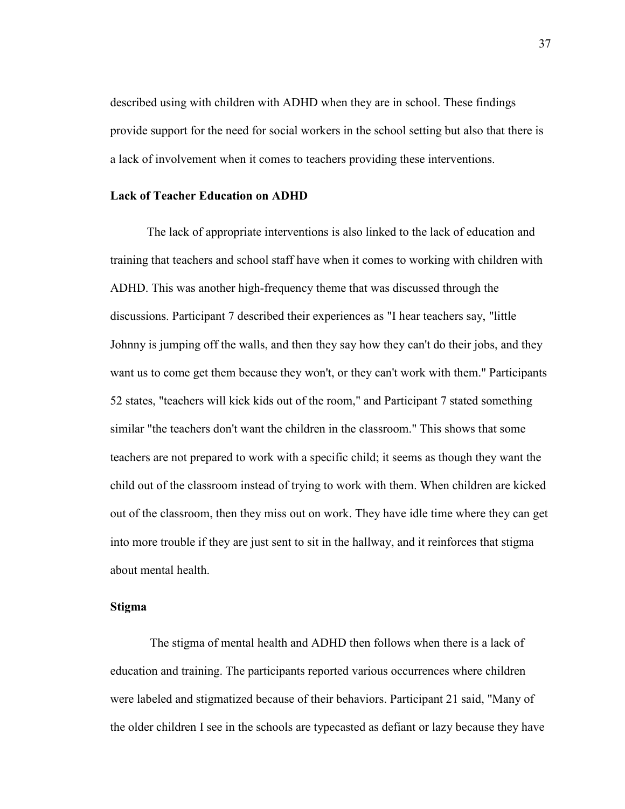described using with children with ADHD when they are in school. These findings provide support for the need for social workers in the school setting but also that there is a lack of involvement when it comes to teachers providing these interventions.

### **Lack of Teacher Education on ADHD**

The lack of appropriate interventions is also linked to the lack of education and training that teachers and school staff have when it comes to working with children with ADHD. This was another high-frequency theme that was discussed through the discussions. Participant 7 described their experiences as "I hear teachers say, "little Johnny is jumping off the walls, and then they say how they can't do their jobs, and they want us to come get them because they won't, or they can't work with them." Participants 52 states, "teachers will kick kids out of the room," and Participant 7 stated something similar "the teachers don't want the children in the classroom." This shows that some teachers are not prepared to work with a specific child; it seems as though they want the child out of the classroom instead of trying to work with them. When children are kicked out of the classroom, then they miss out on work. They have idle time where they can get into more trouble if they are just sent to sit in the hallway, and it reinforces that stigma about mental health.

### **Stigma**

The stigma of mental health and ADHD then follows when there is a lack of education and training. The participants reported various occurrences where children were labeled and stigmatized because of their behaviors. Participant 21 said, "Many of the older children I see in the schools are typecasted as defiant or lazy because they have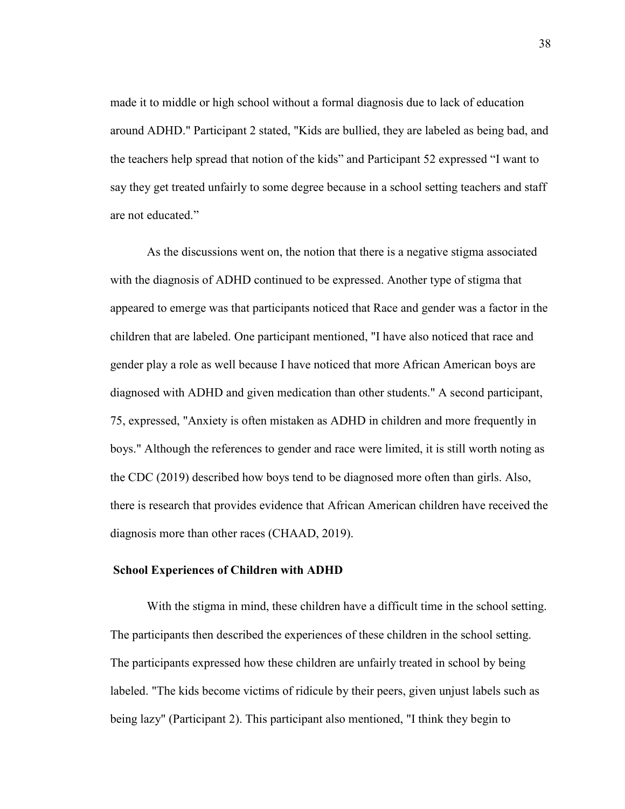made it to middle or high school without a formal diagnosis due to lack of education around ADHD." Participant 2 stated, "Kids are bullied, they are labeled as being bad, and the teachers help spread that notion of the kids" and Participant 52 expressed "I want to say they get treated unfairly to some degree because in a school setting teachers and staff are not educated."

As the discussions went on, the notion that there is a negative stigma associated with the diagnosis of ADHD continued to be expressed. Another type of stigma that appeared to emerge was that participants noticed that Race and gender was a factor in the children that are labeled. One participant mentioned, "I have also noticed that race and gender play a role as well because I have noticed that more African American boys are diagnosed with ADHD and given medication than other students." A second participant, 75, expressed, "Anxiety is often mistaken as ADHD in children and more frequently in boys." Although the references to gender and race were limited, it is still worth noting as the CDC (2019) described how boys tend to be diagnosed more often than girls. Also, there is research that provides evidence that African American children have received the diagnosis more than other races (CHAAD, 2019).

#### **School Experiences of Children with ADHD**

With the stigma in mind, these children have a difficult time in the school setting. The participants then described the experiences of these children in the school setting. The participants expressed how these children are unfairly treated in school by being labeled. "The kids become victims of ridicule by their peers, given unjust labels such as being lazy" (Participant 2). This participant also mentioned, "I think they begin to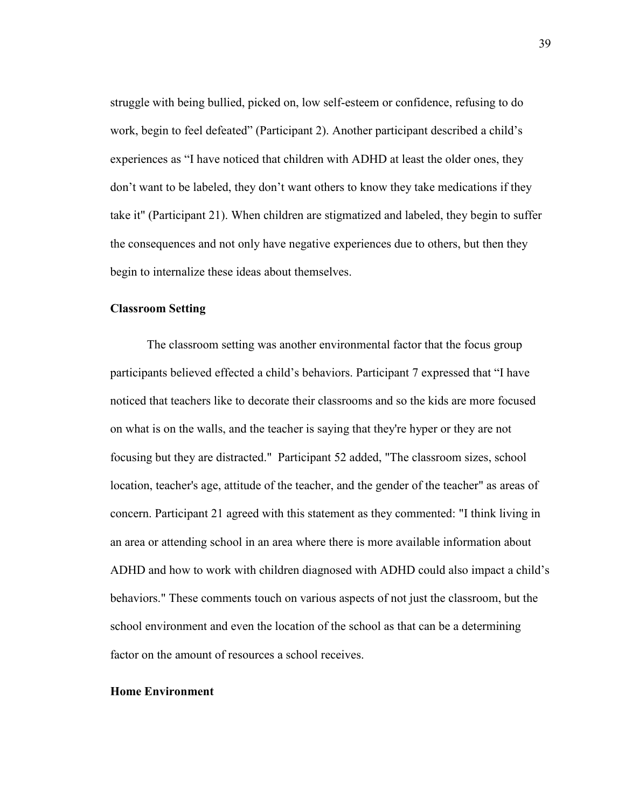struggle with being bullied, picked on, low self-esteem or confidence, refusing to do work, begin to feel defeated" (Participant 2). Another participant described a child's experiences as "I have noticed that children with ADHD at least the older ones, they don't want to be labeled, they don't want others to know they take medications if they take it" (Participant 21). When children are stigmatized and labeled, they begin to suffer the consequences and not only have negative experiences due to others, but then they begin to internalize these ideas about themselves.

### **Classroom Setting**

The classroom setting was another environmental factor that the focus group participants believed effected a child's behaviors. Participant 7 expressed that "I have noticed that teachers like to decorate their classrooms and so the kids are more focused on what is on the walls, and the teacher is saying that they're hyper or they are not focusing but they are distracted." Participant 52 added, "The classroom sizes, school location, teacher's age, attitude of the teacher, and the gender of the teacher" as areas of concern. Participant 21 agreed with this statement as they commented: "I think living in an area or attending school in an area where there is more available information about ADHD and how to work with children diagnosed with ADHD could also impact a child's behaviors." These comments touch on various aspects of not just the classroom, but the school environment and even the location of the school as that can be a determining factor on the amount of resources a school receives.

### **Home Environment**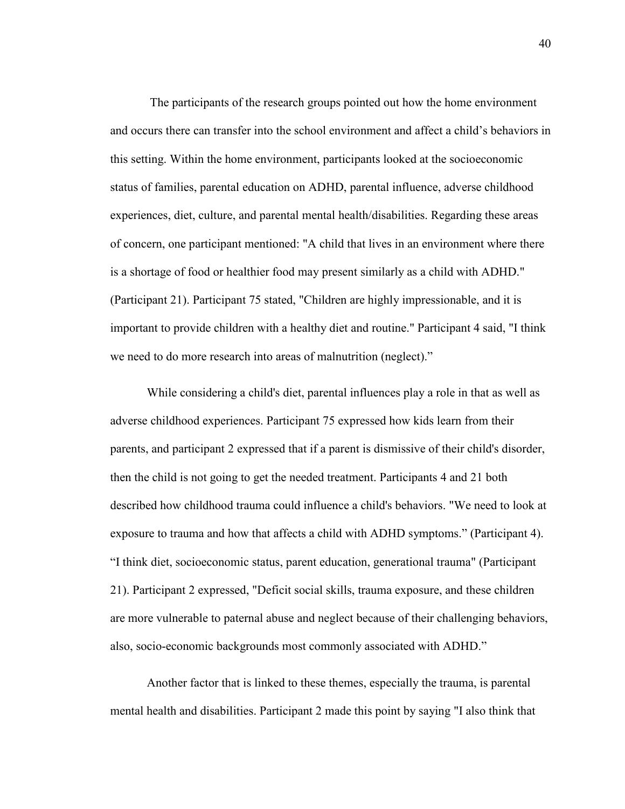The participants of the research groups pointed out how the home environment and occurs there can transfer into the school environment and affect a child's behaviors in this setting. Within the home environment, participants looked at the socioeconomic status of families, parental education on ADHD, parental influence, adverse childhood experiences, diet, culture, and parental mental health/disabilities. Regarding these areas of concern, one participant mentioned: "A child that lives in an environment where there is a shortage of food or healthier food may present similarly as a child with ADHD." (Participant 21). Participant 75 stated, "Children are highly impressionable, and it is important to provide children with a healthy diet and routine." Participant 4 said, "I think we need to do more research into areas of malnutrition (neglect)."

While considering a child's diet, parental influences play a role in that as well as adverse childhood experiences. Participant 75 expressed how kids learn from their parents, and participant 2 expressed that if a parent is dismissive of their child's disorder, then the child is not going to get the needed treatment. Participants 4 and 21 both described how childhood trauma could influence a child's behaviors. "We need to look at exposure to trauma and how that affects a child with ADHD symptoms." (Participant 4). "I think diet, socioeconomic status, parent education, generational trauma" (Participant 21). Participant 2 expressed, "Deficit social skills, trauma exposure, and these children are more vulnerable to paternal abuse and neglect because of their challenging behaviors, also, socio-economic backgrounds most commonly associated with ADHD."

Another factor that is linked to these themes, especially the trauma, is parental mental health and disabilities. Participant 2 made this point by saying "I also think that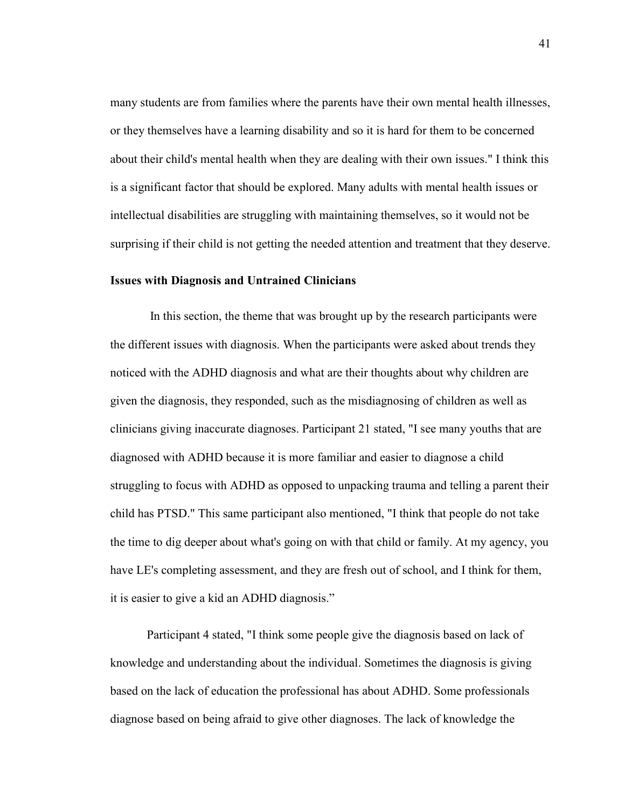many students are from families where the parents have their own mental health illnesses, or they themselves have a learning disability and so it is hard for them to be concerned about their child's mental health when they are dealing with their own issues." I think this is a significant factor that should be explored. Many adults with mental health issues or intellectual disabilities are struggling with maintaining themselves, so it would not be surprising if their child is not getting the needed attention and treatment that they deserve.

### **Issues with Diagnosis and Untrained Clinicians**

In this section, the theme that was brought up by the research participants were the different issues with diagnosis. When the participants were asked about trends they noticed with the ADHD diagnosis and what are their thoughts about why children are given the diagnosis, they responded, such as the misdiagnosing of children as well as clinicians giving inaccurate diagnoses. Participant 21 stated, "I see many youths that are diagnosed with ADHD because it is more familiar and easier to diagnose a child struggling to focus with ADHD as opposed to unpacking trauma and telling a parent their child has PTSD." This same participant also mentioned, "I think that people do not take the time to dig deeper about what's going on with that child or family. At my agency, you have LE's completing assessment, and they are fresh out of school, and I think for them, it is easier to give a kid an ADHD diagnosis."

Participant 4 stated, "I think some people give the diagnosis based on lack of knowledge and understanding about the individual. Sometimes the diagnosis is giving based on the lack of education the professional has about ADHD. Some professionals diagnose based on being afraid to give other diagnoses. The lack of knowledge the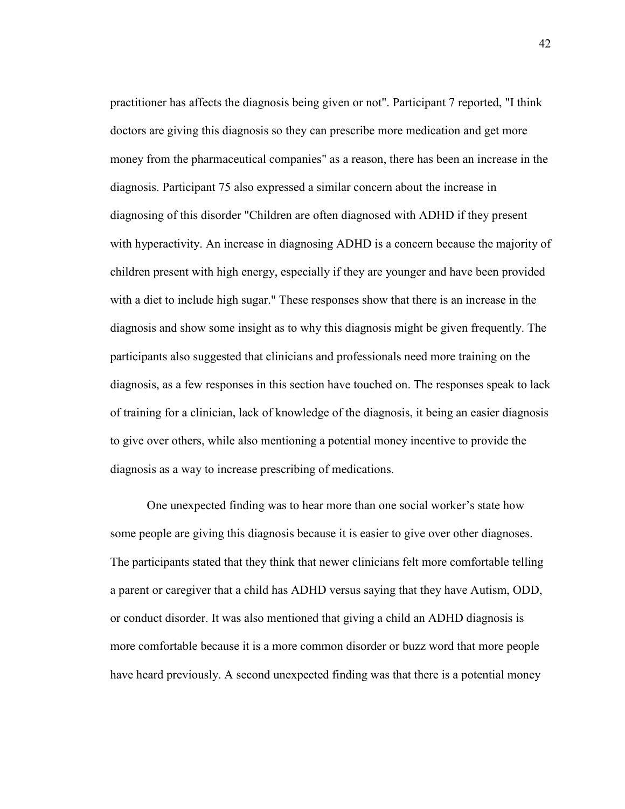practitioner has affects the diagnosis being given or not". Participant 7 reported, "I think doctors are giving this diagnosis so they can prescribe more medication and get more money from the pharmaceutical companies" as a reason, there has been an increase in the diagnosis. Participant 75 also expressed a similar concern about the increase in diagnosing of this disorder "Children are often diagnosed with ADHD if they present with hyperactivity. An increase in diagnosing ADHD is a concern because the majority of children present with high energy, especially if they are younger and have been provided with a diet to include high sugar." These responses show that there is an increase in the diagnosis and show some insight as to why this diagnosis might be given frequently. The participants also suggested that clinicians and professionals need more training on the diagnosis, as a few responses in this section have touched on. The responses speak to lack of training for a clinician, lack of knowledge of the diagnosis, it being an easier diagnosis to give over others, while also mentioning a potential money incentive to provide the diagnosis as a way to increase prescribing of medications.

One unexpected finding was to hear more than one social worker's state how some people are giving this diagnosis because it is easier to give over other diagnoses. The participants stated that they think that newer clinicians felt more comfortable telling a parent or caregiver that a child has ADHD versus saying that they have Autism, ODD, or conduct disorder. It was also mentioned that giving a child an ADHD diagnosis is more comfortable because it is a more common disorder or buzz word that more people have heard previously. A second unexpected finding was that there is a potential money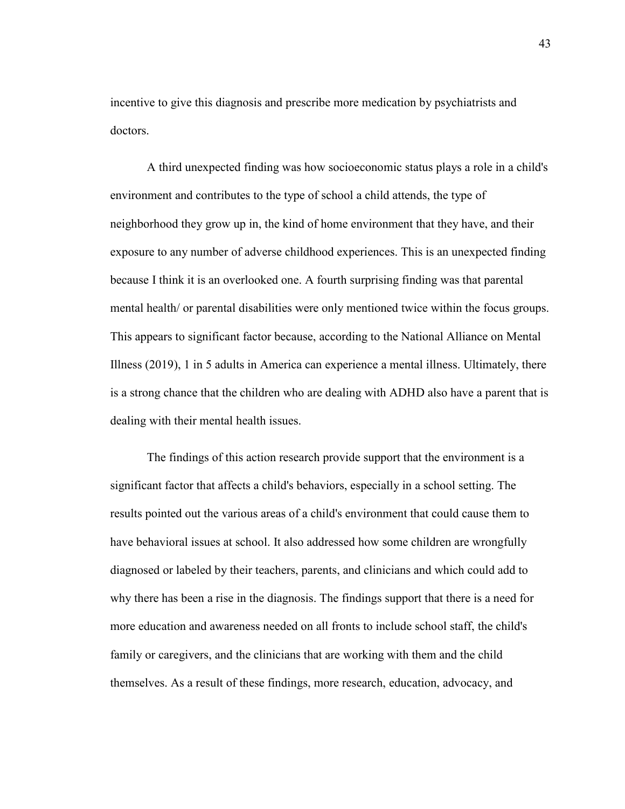incentive to give this diagnosis and prescribe more medication by psychiatrists and doctors.

A third unexpected finding was how socioeconomic status plays a role in a child's environment and contributes to the type of school a child attends, the type of neighborhood they grow up in, the kind of home environment that they have, and their exposure to any number of adverse childhood experiences. This is an unexpected finding because I think it is an overlooked one. A fourth surprising finding was that parental mental health/ or parental disabilities were only mentioned twice within the focus groups. This appears to significant factor because, according to the National Alliance on Mental Illness (2019), 1 in 5 adults in America can experience a mental illness. Ultimately, there is a strong chance that the children who are dealing with ADHD also have a parent that is dealing with their mental health issues.

The findings of this action research provide support that the environment is a significant factor that affects a child's behaviors, especially in a school setting. The results pointed out the various areas of a child's environment that could cause them to have behavioral issues at school. It also addressed how some children are wrongfully diagnosed or labeled by their teachers, parents, and clinicians and which could add to why there has been a rise in the diagnosis. The findings support that there is a need for more education and awareness needed on all fronts to include school staff, the child's family or caregivers, and the clinicians that are working with them and the child themselves. As a result of these findings, more research, education, advocacy, and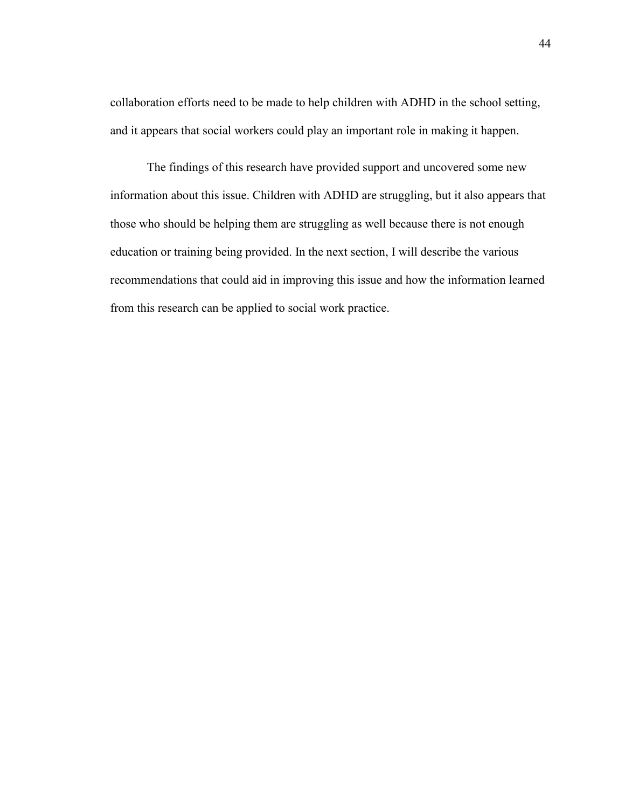collaboration efforts need to be made to help children with ADHD in the school setting, and it appears that social workers could play an important role in making it happen.

The findings of this research have provided support and uncovered some new information about this issue. Children with ADHD are struggling, but it also appears that those who should be helping them are struggling as well because there is not enough education or training being provided. In the next section, I will describe the various recommendations that could aid in improving this issue and how the information learned from this research can be applied to social work practice.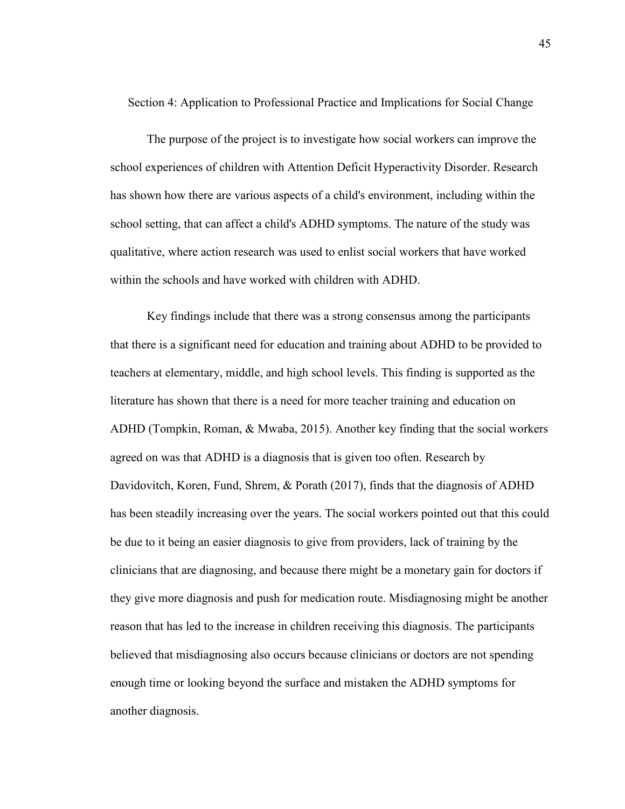Section 4: Application to Professional Practice and Implications for Social Change

The purpose of the project is to investigate how social workers can improve the school experiences of children with Attention Deficit Hyperactivity Disorder. Research has shown how there are various aspects of a child's environment, including within the school setting, that can affect a child's ADHD symptoms. The nature of the study was qualitative, where action research was used to enlist social workers that have worked within the schools and have worked with children with ADHD.

Key findings include that there was a strong consensus among the participants that there is a significant need for education and training about ADHD to be provided to teachers at elementary, middle, and high school levels. This finding is supported as the literature has shown that there is a need for more teacher training and education on ADHD (Tompkin, Roman, & Mwaba, 2015). Another key finding that the social workers agreed on was that ADHD is a diagnosis that is given too often. Research by Davidovitch, Koren, Fund, Shrem, & Porath (2017), finds that the diagnosis of ADHD has been steadily increasing over the years. The social workers pointed out that this could be due to it being an easier diagnosis to give from providers, lack of training by the clinicians that are diagnosing, and because there might be a monetary gain for doctors if they give more diagnosis and push for medication route. Misdiagnosing might be another reason that has led to the increase in children receiving this diagnosis. The participants believed that misdiagnosing also occurs because clinicians or doctors are not spending enough time or looking beyond the surface and mistaken the ADHD symptoms for another diagnosis.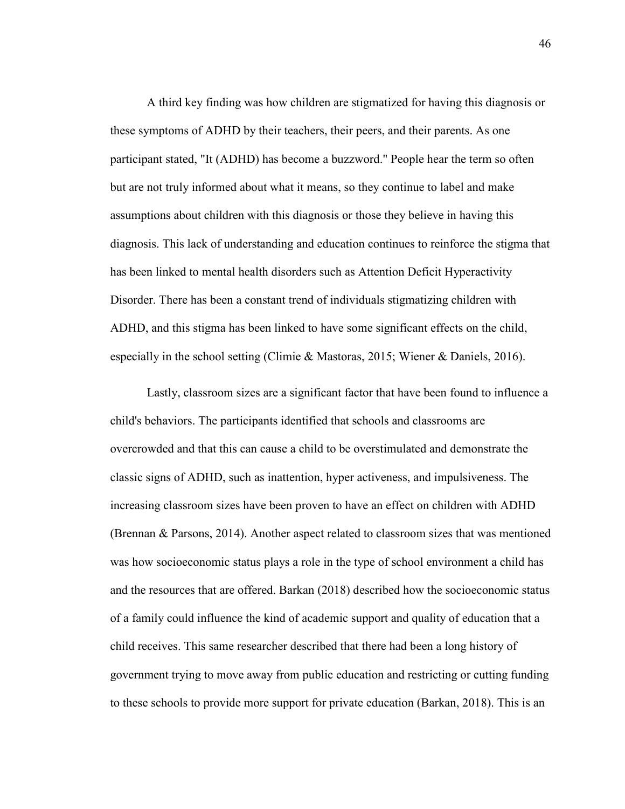A third key finding was how children are stigmatized for having this diagnosis or these symptoms of ADHD by their teachers, their peers, and their parents. As one participant stated, "It (ADHD) has become a buzzword." People hear the term so often but are not truly informed about what it means, so they continue to label and make assumptions about children with this diagnosis or those they believe in having this diagnosis. This lack of understanding and education continues to reinforce the stigma that has been linked to mental health disorders such as Attention Deficit Hyperactivity Disorder. There has been a constant trend of individuals stigmatizing children with ADHD, and this stigma has been linked to have some significant effects on the child, especially in the school setting (Climie & Mastoras, 2015; Wiener & Daniels, 2016).

Lastly, classroom sizes are a significant factor that have been found to influence a child's behaviors. The participants identified that schools and classrooms are overcrowded and that this can cause a child to be overstimulated and demonstrate the classic signs of ADHD, such as inattention, hyper activeness, and impulsiveness. The increasing classroom sizes have been proven to have an effect on children with ADHD (Brennan & Parsons, 2014). Another aspect related to classroom sizes that was mentioned was how socioeconomic status plays a role in the type of school environment a child has and the resources that are offered. Barkan (2018) described how the socioeconomic status of a family could influence the kind of academic support and quality of education that a child receives. This same researcher described that there had been a long history of government trying to move away from public education and restricting or cutting funding to these schools to provide more support for private education (Barkan, 2018). This is an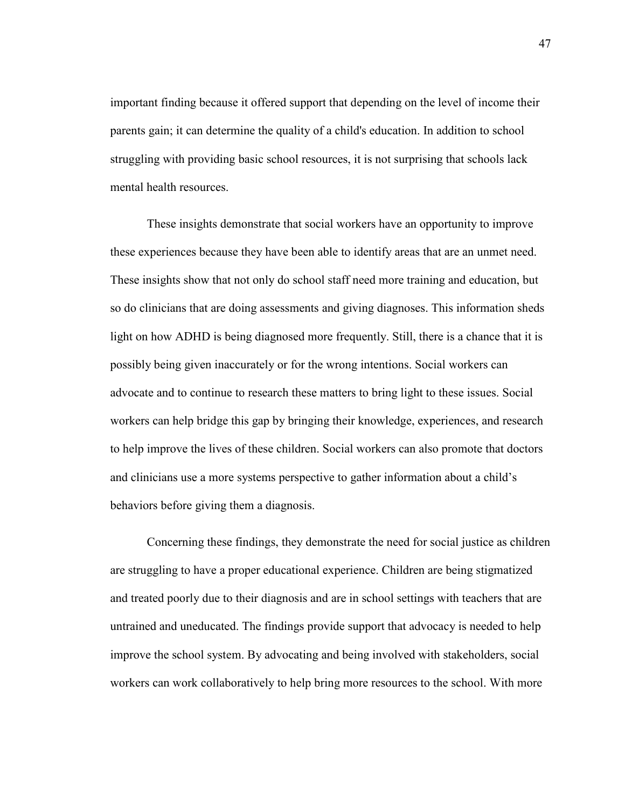important finding because it offered support that depending on the level of income their parents gain; it can determine the quality of a child's education. In addition to school struggling with providing basic school resources, it is not surprising that schools lack mental health resources.

These insights demonstrate that social workers have an opportunity to improve these experiences because they have been able to identify areas that are an unmet need. These insights show that not only do school staff need more training and education, but so do clinicians that are doing assessments and giving diagnoses. This information sheds light on how ADHD is being diagnosed more frequently. Still, there is a chance that it is possibly being given inaccurately or for the wrong intentions. Social workers can advocate and to continue to research these matters to bring light to these issues. Social workers can help bridge this gap by bringing their knowledge, experiences, and research to help improve the lives of these children. Social workers can also promote that doctors and clinicians use a more systems perspective to gather information about a child's behaviors before giving them a diagnosis.

Concerning these findings, they demonstrate the need for social justice as children are struggling to have a proper educational experience. Children are being stigmatized and treated poorly due to their diagnosis and are in school settings with teachers that are untrained and uneducated. The findings provide support that advocacy is needed to help improve the school system. By advocating and being involved with stakeholders, social workers can work collaboratively to help bring more resources to the school. With more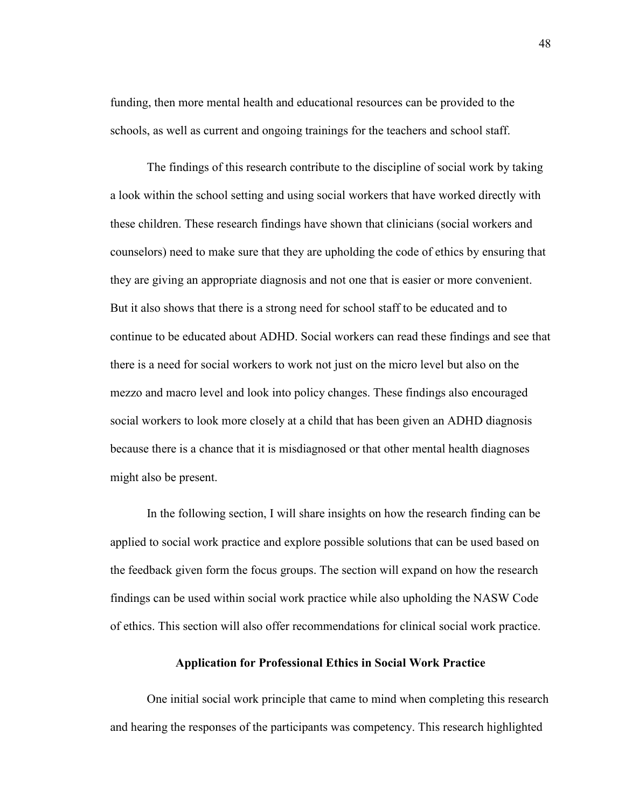funding, then more mental health and educational resources can be provided to the schools, as well as current and ongoing trainings for the teachers and school staff.

 The findings of this research contribute to the discipline of social work by taking a look within the school setting and using social workers that have worked directly with these children. These research findings have shown that clinicians (social workers and counselors) need to make sure that they are upholding the code of ethics by ensuring that they are giving an appropriate diagnosis and not one that is easier or more convenient. But it also shows that there is a strong need for school staff to be educated and to continue to be educated about ADHD. Social workers can read these findings and see that there is a need for social workers to work not just on the micro level but also on the mezzo and macro level and look into policy changes. These findings also encouraged social workers to look more closely at a child that has been given an ADHD diagnosis because there is a chance that it is misdiagnosed or that other mental health diagnoses might also be present.

 In the following section, I will share insights on how the research finding can be applied to social work practice and explore possible solutions that can be used based on the feedback given form the focus groups. The section will expand on how the research findings can be used within social work practice while also upholding the NASW Code of ethics. This section will also offer recommendations for clinical social work practice.

### **Application for Professional Ethics in Social Work Practice**

One initial social work principle that came to mind when completing this research and hearing the responses of the participants was competency. This research highlighted

48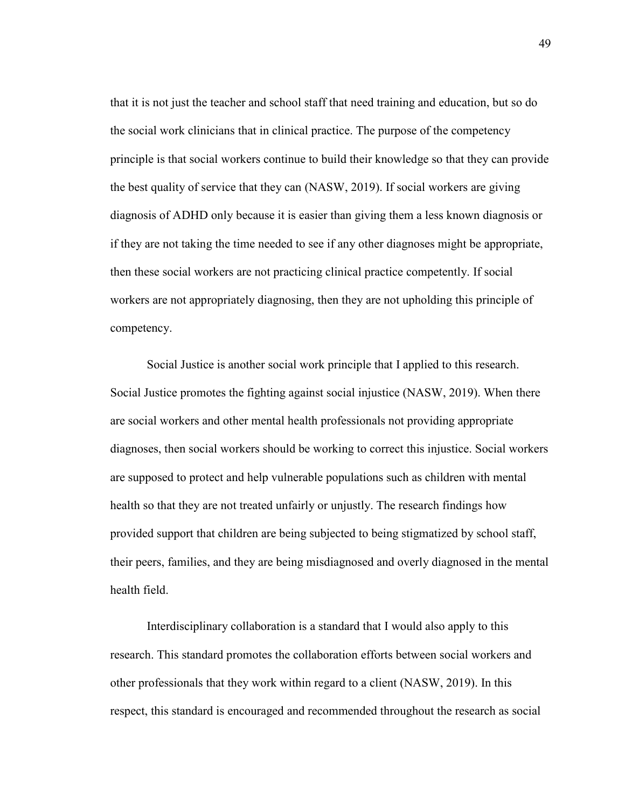that it is not just the teacher and school staff that need training and education, but so do the social work clinicians that in clinical practice. The purpose of the competency principle is that social workers continue to build their knowledge so that they can provide the best quality of service that they can (NASW, 2019). If social workers are giving diagnosis of ADHD only because it is easier than giving them a less known diagnosis or if they are not taking the time needed to see if any other diagnoses might be appropriate, then these social workers are not practicing clinical practice competently. If social workers are not appropriately diagnosing, then they are not upholding this principle of competency.

Social Justice is another social work principle that I applied to this research. Social Justice promotes the fighting against social injustice (NASW, 2019). When there are social workers and other mental health professionals not providing appropriate diagnoses, then social workers should be working to correct this injustice. Social workers are supposed to protect and help vulnerable populations such as children with mental health so that they are not treated unfairly or unjustly. The research findings how provided support that children are being subjected to being stigmatized by school staff, their peers, families, and they are being misdiagnosed and overly diagnosed in the mental health field.

Interdisciplinary collaboration is a standard that I would also apply to this research. This standard promotes the collaboration efforts between social workers and other professionals that they work within regard to a client (NASW, 2019). In this respect, this standard is encouraged and recommended throughout the research as social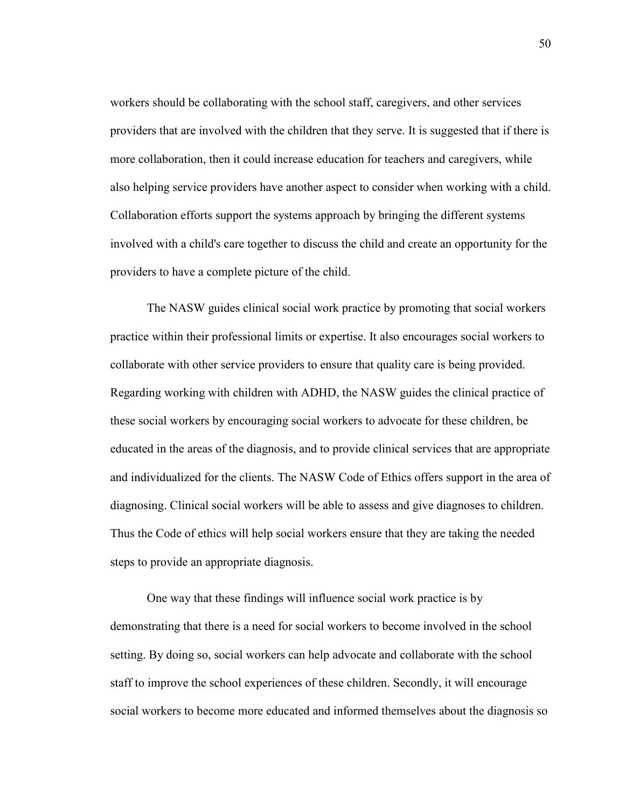workers should be collaborating with the school staff, caregivers, and other services providers that are involved with the children that they serve. It is suggested that if there is more collaboration, then it could increase education for teachers and caregivers, while also helping service providers have another aspect to consider when working with a child. Collaboration efforts support the systems approach by bringing the different systems involved with a child's care together to discuss the child and create an opportunity for the providers to have a complete picture of the child.

The NASW guides clinical social work practice by promoting that social workers practice within their professional limits or expertise. It also encourages social workers to collaborate with other service providers to ensure that quality care is being provided. Regarding working with children with ADHD, the NASW guides the clinical practice of these social workers by encouraging social workers to advocate for these children, be educated in the areas of the diagnosis, and to provide clinical services that are appropriate and individualized for the clients. The NASW Code of Ethics offers support in the area of diagnosing. Clinical social workers will be able to assess and give diagnoses to children. Thus the Code of ethics will help social workers ensure that they are taking the needed steps to provide an appropriate diagnosis.

One way that these findings will influence social work practice is by demonstrating that there is a need for social workers to become involved in the school setting. By doing so, social workers can help advocate and collaborate with the school staff to improve the school experiences of these children. Secondly, it will encourage social workers to become more educated and informed themselves about the diagnosis so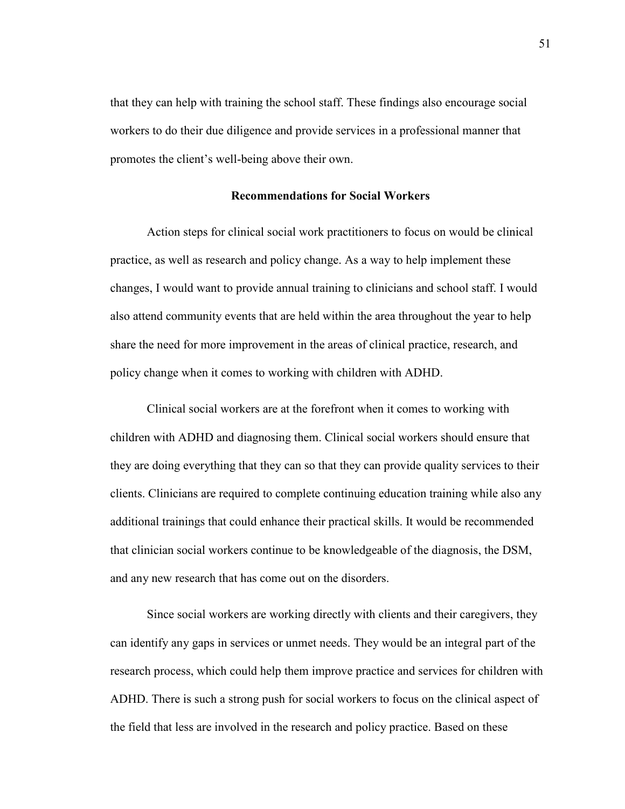that they can help with training the school staff. These findings also encourage social workers to do their due diligence and provide services in a professional manner that promotes the client's well-being above their own.

### **Recommendations for Social Workers**

Action steps for clinical social work practitioners to focus on would be clinical practice, as well as research and policy change. As a way to help implement these changes, I would want to provide annual training to clinicians and school staff. I would also attend community events that are held within the area throughout the year to help share the need for more improvement in the areas of clinical practice, research, and policy change when it comes to working with children with ADHD.

Clinical social workers are at the forefront when it comes to working with children with ADHD and diagnosing them. Clinical social workers should ensure that they are doing everything that they can so that they can provide quality services to their clients. Clinicians are required to complete continuing education training while also any additional trainings that could enhance their practical skills. It would be recommended that clinician social workers continue to be knowledgeable of the diagnosis, the DSM, and any new research that has come out on the disorders.

Since social workers are working directly with clients and their caregivers, they can identify any gaps in services or unmet needs. They would be an integral part of the research process, which could help them improve practice and services for children with ADHD. There is such a strong push for social workers to focus on the clinical aspect of the field that less are involved in the research and policy practice. Based on these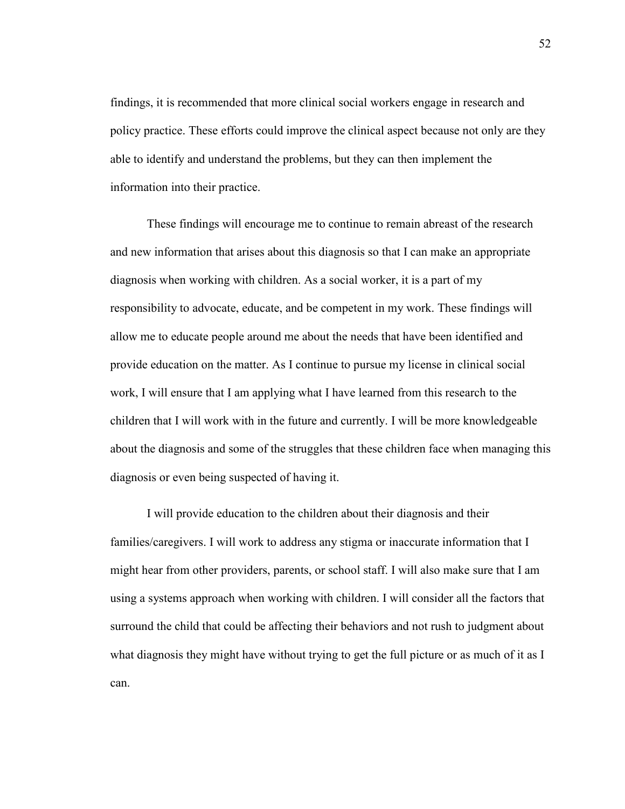findings, it is recommended that more clinical social workers engage in research and policy practice. These efforts could improve the clinical aspect because not only are they able to identify and understand the problems, but they can then implement the information into their practice.

These findings will encourage me to continue to remain abreast of the research and new information that arises about this diagnosis so that I can make an appropriate diagnosis when working with children. As a social worker, it is a part of my responsibility to advocate, educate, and be competent in my work. These findings will allow me to educate people around me about the needs that have been identified and provide education on the matter. As I continue to pursue my license in clinical social work, I will ensure that I am applying what I have learned from this research to the children that I will work with in the future and currently. I will be more knowledgeable about the diagnosis and some of the struggles that these children face when managing this diagnosis or even being suspected of having it.

I will provide education to the children about their diagnosis and their families/caregivers. I will work to address any stigma or inaccurate information that I might hear from other providers, parents, or school staff. I will also make sure that I am using a systems approach when working with children. I will consider all the factors that surround the child that could be affecting their behaviors and not rush to judgment about what diagnosis they might have without trying to get the full picture or as much of it as I can.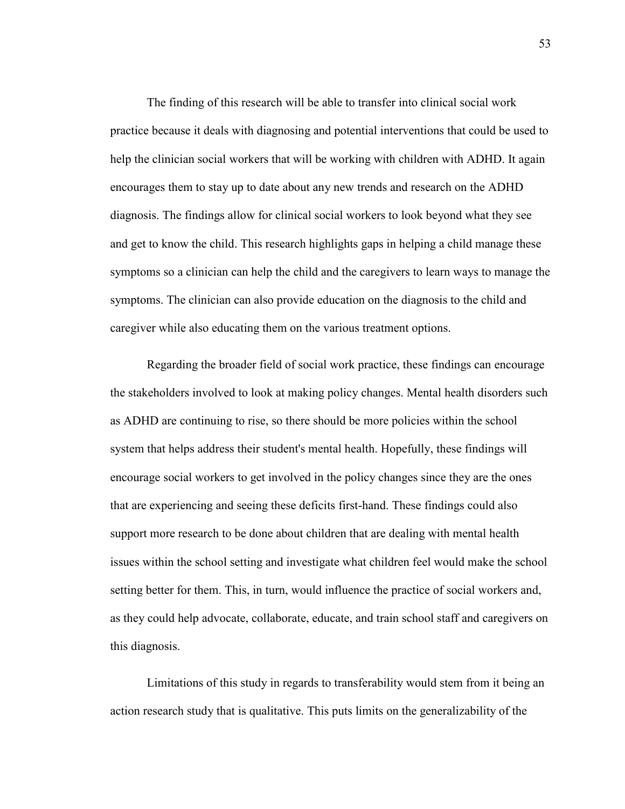The finding of this research will be able to transfer into clinical social work practice because it deals with diagnosing and potential interventions that could be used to help the clinician social workers that will be working with children with ADHD. It again encourages them to stay up to date about any new trends and research on the ADHD diagnosis. The findings allow for clinical social workers to look beyond what they see and get to know the child. This research highlights gaps in helping a child manage these symptoms so a clinician can help the child and the caregivers to learn ways to manage the symptoms. The clinician can also provide education on the diagnosis to the child and caregiver while also educating them on the various treatment options.

Regarding the broader field of social work practice, these findings can encourage the stakeholders involved to look at making policy changes. Mental health disorders such as ADHD are continuing to rise, so there should be more policies within the school system that helps address their student's mental health. Hopefully, these findings will encourage social workers to get involved in the policy changes since they are the ones that are experiencing and seeing these deficits first-hand. These findings could also support more research to be done about children that are dealing with mental health issues within the school setting and investigate what children feel would make the school setting better for them. This, in turn, would influence the practice of social workers and, as they could help advocate, collaborate, educate, and train school staff and caregivers on this diagnosis.

Limitations of this study in regards to transferability would stem from it being an action research study that is qualitative. This puts limits on the generalizability of the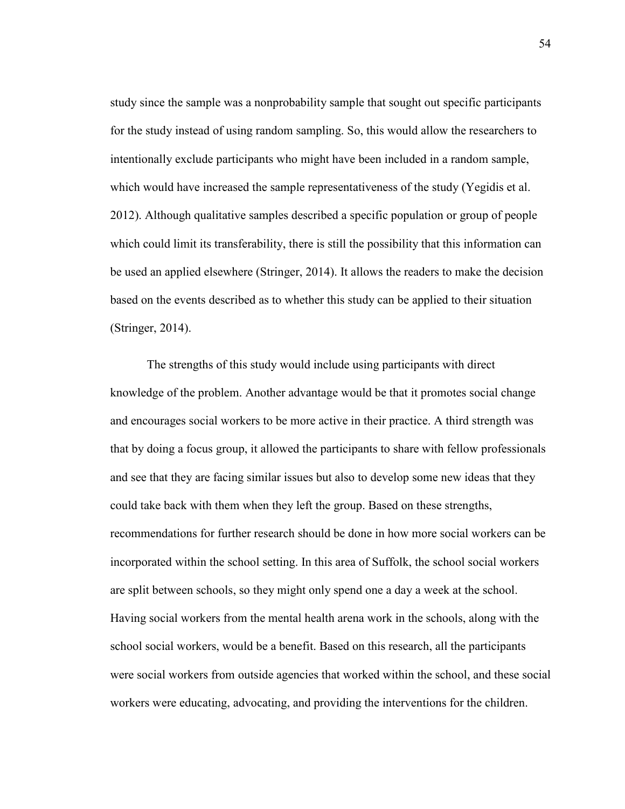study since the sample was a nonprobability sample that sought out specific participants for the study instead of using random sampling. So, this would allow the researchers to intentionally exclude participants who might have been included in a random sample, which would have increased the sample representativeness of the study (Yegidis et al. 2012). Although qualitative samples described a specific population or group of people which could limit its transferability, there is still the possibility that this information can be used an applied elsewhere (Stringer, 2014). It allows the readers to make the decision based on the events described as to whether this study can be applied to their situation (Stringer, 2014).

The strengths of this study would include using participants with direct knowledge of the problem. Another advantage would be that it promotes social change and encourages social workers to be more active in their practice. A third strength was that by doing a focus group, it allowed the participants to share with fellow professionals and see that they are facing similar issues but also to develop some new ideas that they could take back with them when they left the group. Based on these strengths, recommendations for further research should be done in how more social workers can be incorporated within the school setting. In this area of Suffolk, the school social workers are split between schools, so they might only spend one a day a week at the school. Having social workers from the mental health arena work in the schools, along with the school social workers, would be a benefit. Based on this research, all the participants were social workers from outside agencies that worked within the school, and these social workers were educating, advocating, and providing the interventions for the children.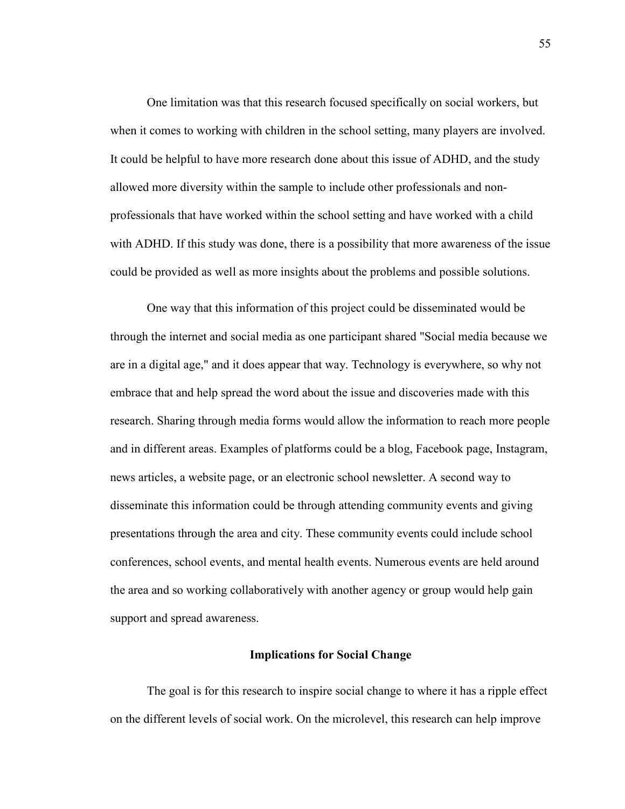One limitation was that this research focused specifically on social workers, but when it comes to working with children in the school setting, many players are involved. It could be helpful to have more research done about this issue of ADHD, and the study allowed more diversity within the sample to include other professionals and nonprofessionals that have worked within the school setting and have worked with a child with ADHD. If this study was done, there is a possibility that more awareness of the issue could be provided as well as more insights about the problems and possible solutions.

One way that this information of this project could be disseminated would be through the internet and social media as one participant shared "Social media because we are in a digital age," and it does appear that way. Technology is everywhere, so why not embrace that and help spread the word about the issue and discoveries made with this research. Sharing through media forms would allow the information to reach more people and in different areas. Examples of platforms could be a blog, Facebook page, Instagram, news articles, a website page, or an electronic school newsletter. A second way to disseminate this information could be through attending community events and giving presentations through the area and city. These community events could include school conferences, school events, and mental health events. Numerous events are held around the area and so working collaboratively with another agency or group would help gain support and spread awareness.

### **Implications for Social Change**

The goal is for this research to inspire social change to where it has a ripple effect on the different levels of social work. On the microlevel, this research can help improve

55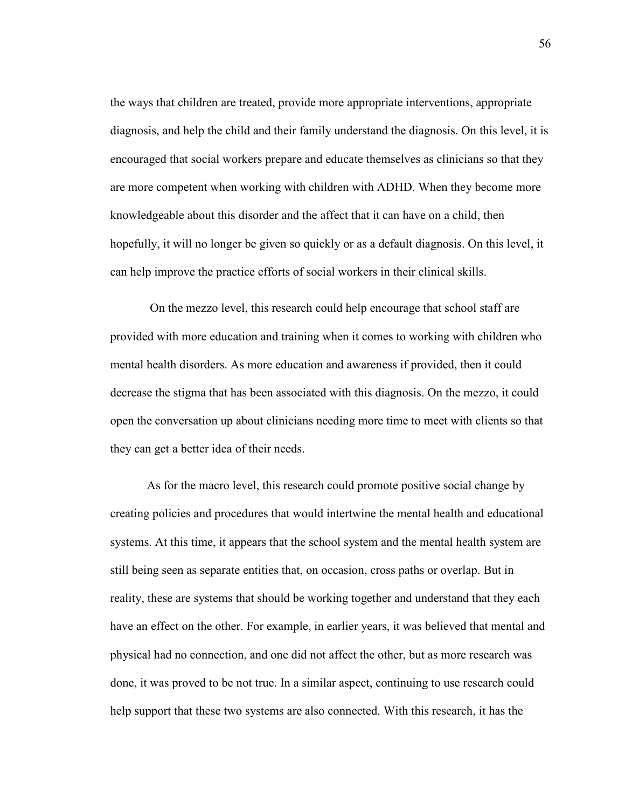the ways that children are treated, provide more appropriate interventions, appropriate diagnosis, and help the child and their family understand the diagnosis. On this level, it is encouraged that social workers prepare and educate themselves as clinicians so that they are more competent when working with children with ADHD. When they become more knowledgeable about this disorder and the affect that it can have on a child, then hopefully, it will no longer be given so quickly or as a default diagnosis. On this level, it can help improve the practice efforts of social workers in their clinical skills.

 On the mezzo level, this research could help encourage that school staff are provided with more education and training when it comes to working with children who mental health disorders. As more education and awareness if provided, then it could decrease the stigma that has been associated with this diagnosis. On the mezzo, it could open the conversation up about clinicians needing more time to meet with clients so that they can get a better idea of their needs.

As for the macro level, this research could promote positive social change by creating policies and procedures that would intertwine the mental health and educational systems. At this time, it appears that the school system and the mental health system are still being seen as separate entities that, on occasion, cross paths or overlap. But in reality, these are systems that should be working together and understand that they each have an effect on the other. For example, in earlier years, it was believed that mental and physical had no connection, and one did not affect the other, but as more research was done, it was proved to be not true. In a similar aspect, continuing to use research could help support that these two systems are also connected. With this research, it has the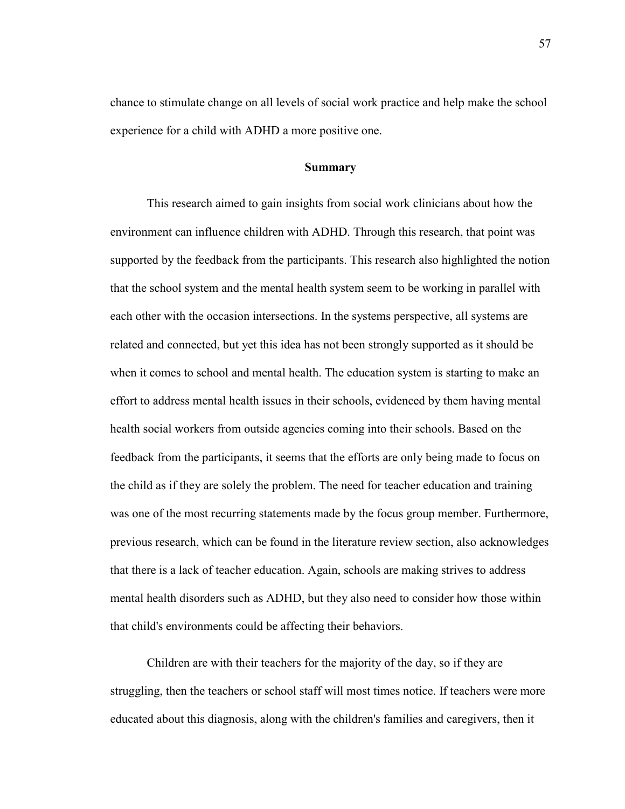chance to stimulate change on all levels of social work practice and help make the school experience for a child with ADHD a more positive one.

### **Summary**

This research aimed to gain insights from social work clinicians about how the environment can influence children with ADHD. Through this research, that point was supported by the feedback from the participants. This research also highlighted the notion that the school system and the mental health system seem to be working in parallel with each other with the occasion intersections. In the systems perspective, all systems are related and connected, but yet this idea has not been strongly supported as it should be when it comes to school and mental health. The education system is starting to make an effort to address mental health issues in their schools, evidenced by them having mental health social workers from outside agencies coming into their schools. Based on the feedback from the participants, it seems that the efforts are only being made to focus on the child as if they are solely the problem. The need for teacher education and training was one of the most recurring statements made by the focus group member. Furthermore, previous research, which can be found in the literature review section, also acknowledges that there is a lack of teacher education. Again, schools are making strives to address mental health disorders such as ADHD, but they also need to consider how those within that child's environments could be affecting their behaviors.

Children are with their teachers for the majority of the day, so if they are struggling, then the teachers or school staff will most times notice. If teachers were more educated about this diagnosis, along with the children's families and caregivers, then it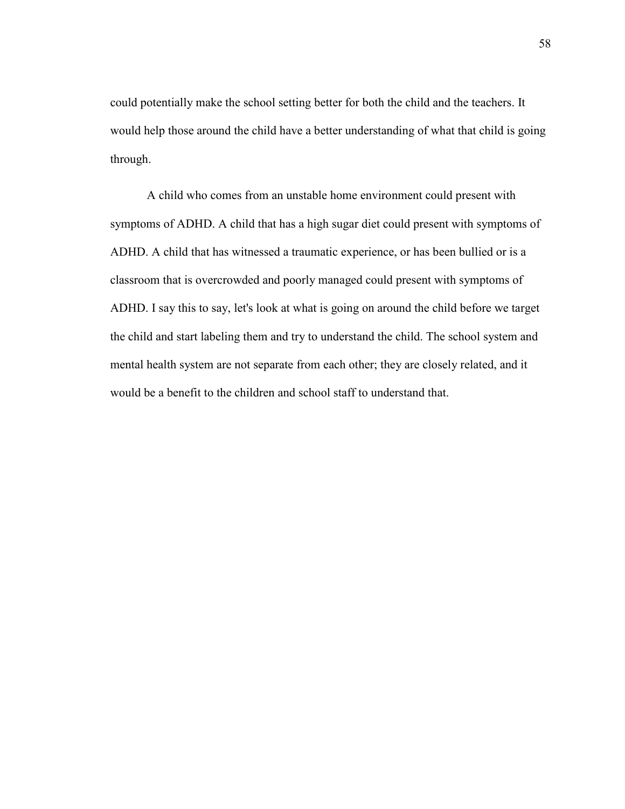could potentially make the school setting better for both the child and the teachers. It would help those around the child have a better understanding of what that child is going through.

A child who comes from an unstable home environment could present with symptoms of ADHD. A child that has a high sugar diet could present with symptoms of ADHD. A child that has witnessed a traumatic experience, or has been bullied or is a classroom that is overcrowded and poorly managed could present with symptoms of ADHD. I say this to say, let's look at what is going on around the child before we target the child and start labeling them and try to understand the child. The school system and mental health system are not separate from each other; they are closely related, and it would be a benefit to the children and school staff to understand that.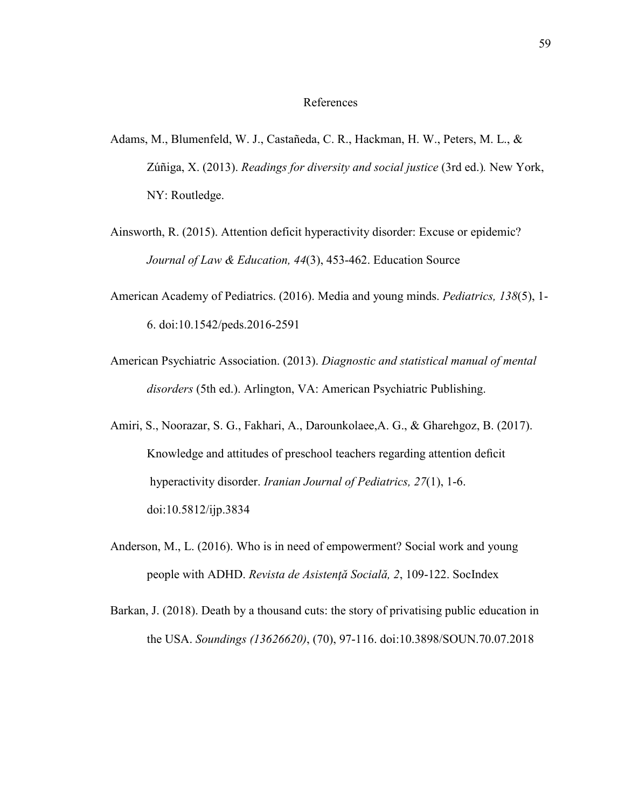#### References

- Adams, M., Blumenfeld, W. J., Castañeda, C. R., Hackman, H. W., Peters, M. L., & Zúñiga, X. (2013). *Readings for diversity and social justice* (3rd ed.)*.* New York, NY: Routledge.
- Ainsworth, R. (2015). Attention deficit hyperactivity disorder: Excuse or epidemic? *Journal of Law & Education, 44*(3), 453-462. Education Source
- American Academy of Pediatrics. (2016). Media and young minds. *Pediatrics, 138*(5), 1- 6. doi:10.1542/peds.2016-2591
- American Psychiatric Association. (2013). *Diagnostic and statistical manual of mental disorders* (5th ed.). Arlington, VA: American Psychiatric Publishing.
- Amiri, S., Noorazar, S. G., Fakhari, A., Darounkolaee,A. G., & Gharehgoz, B. (2017). Knowledge and attitudes of preschool teachers regarding attention deficit hyperactivity disorder. *Iranian Journal of Pediatrics, 27*(1), 1-6. doi:10.5812/ijp.3834
- Anderson, M., L. (2016). Who is in need of empowerment? Social work and young people with ADHD. *Revista de Asistenţă Socială, 2*, 109-122. SocIndex
- Barkan, J. (2018). Death by a thousand cuts: the story of privatising public education in the USA. *Soundings (13626620)*, (70), 97-116. doi:10.3898/SOUN.70.07.2018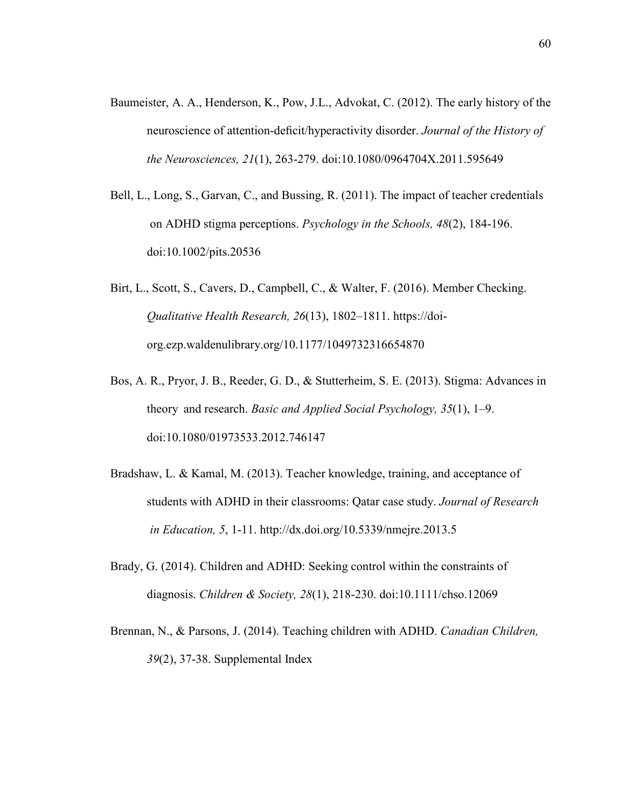- Baumeister, A. A., Henderson, K., Pow, J.L., Advokat, C. (2012). The early history of the neuroscience of attention-deficit/hyperactivity disorder. *Journal of the History of the Neurosciences, 21*(1), 263-279. doi:10.1080/0964704X.2011.595649
- Bell, L., Long, S., Garvan, C., and Bussing, R. (2011). The impact of teacher credentials on ADHD stigma perceptions. *Psychology in the Schools, 48*(2), 184-196. doi:10.1002/pits.20536
- Birt, L., Scott, S., Cavers, D., Campbell, C., & Walter, F. (2016). Member Checking. *Qualitative Health Research, 26*(13), 1802–1811. https://doi org.ezp.waldenulibrary.org/10.1177/1049732316654870
- Bos, A. R., Pryor, J. B., Reeder, G. D., & Stutterheim, S. E. (2013). Stigma: Advances in theory and research. *Basic and Applied Social Psychology, 35*(1), 1–9. doi:10.1080/01973533.2012.746147
- Bradshaw, L. & Kamal, M. (2013). Teacher knowledge, training, and acceptance of students with ADHD in their classrooms: Qatar case study. *Journal of Research in Education, 5*, 1-11. http://dx.doi.org/10.5339/nmejre.2013.5
- Brady, G. (2014). Children and ADHD: Seeking control within the constraints of diagnosis. *Children & Society, 28*(1), 218-230. doi:10.1111/chso.12069
- Brennan, N., & Parsons, J. (2014). Teaching children with ADHD. *Canadian Children, 39*(2), 37-38. Supplemental Index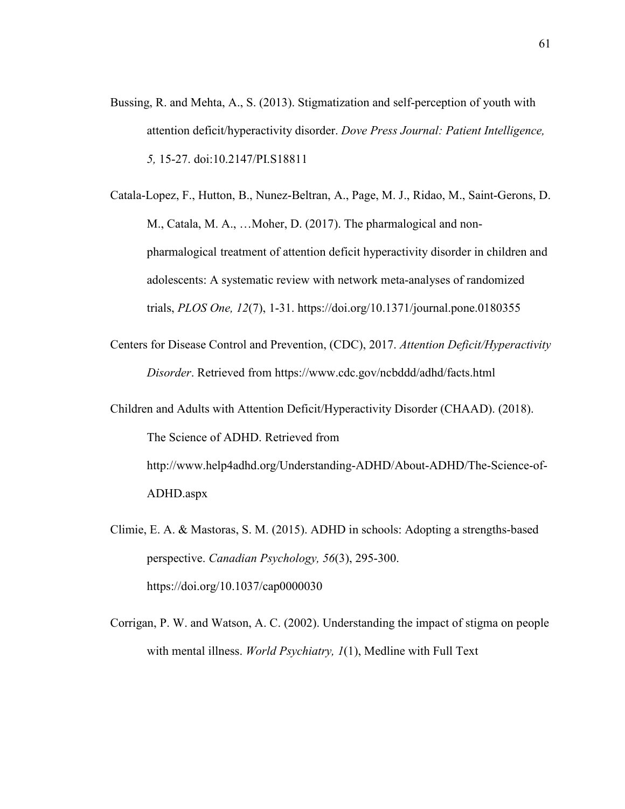- Bussing, R. and Mehta, A., S. (2013). Stigmatization and self-perception of youth with attention deficit/hyperactivity disorder. *Dove Press Journal: Patient Intelligence, 5,* 15-27. doi:10.2147/PI.S18811
- Catala-Lopez, F., Hutton, B., Nunez-Beltran, A., Page, M. J., Ridao, M., Saint-Gerons, D. M., Catala, M. A., …Moher, D. (2017). The pharmalogical and non pharmalogical treatment of attention deficit hyperactivity disorder in children and adolescents: A systematic review with network meta-analyses of randomized trials, *PLOS One, 12*(7), 1-31. https://doi.org/10.1371/journal.pone.0180355
- Centers for Disease Control and Prevention, (CDC), 2017. *Attention Deficit/Hyperactivity Disorder*. Retrieved from https://www.cdc.gov/ncbddd/adhd/facts.html
- Children and Adults with Attention Deficit/Hyperactivity Disorder (CHAAD). (2018). The Science of ADHD. Retrieved from http://www.help4adhd.org/Understanding-ADHD/About-ADHD/The-Science-of-ADHD.aspx
- Climie, E. A. & Mastoras, S. M. (2015). ADHD in schools: Adopting a strengths-based perspective. *Canadian Psychology, 56*(3), 295-300. https://doi.org/10.1037/cap0000030
- Corrigan, P. W. and Watson, A. C. (2002). Understanding the impact of stigma on people with mental illness. *World Psychiatry, 1*(1), Medline with Full Text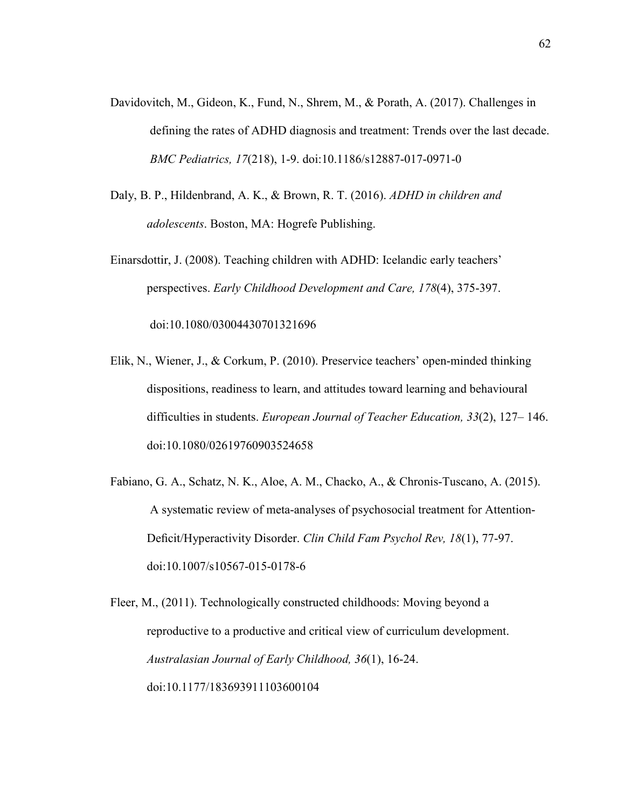- Davidovitch, M., Gideon, K., Fund, N., Shrem, M., & Porath, A. (2017). Challenges in defining the rates of ADHD diagnosis and treatment: Trends over the last decade. *BMC Pediatrics, 17*(218), 1-9. doi:10.1186/s12887-017-0971-0
- Daly, B. P., Hildenbrand, A. K., & Brown, R. T. (2016). *ADHD in children and adolescents*. Boston, MA: Hogrefe Publishing.
- Einarsdottir, J. (2008). Teaching children with ADHD: Icelandic early teachers' perspectives. *Early Childhood Development and Care, 178*(4), 375-397. doi:10.1080/03004430701321696
- Elik, N., Wiener, J., & Corkum, P. (2010). Preservice teachers' open-minded thinking dispositions, readiness to learn, and attitudes toward learning and behavioural difficulties in students. *European Journal of Teacher Education, 33*(2), 127– 146. doi:10.1080/02619760903524658
- Fabiano, G. A., Schatz, N. K., Aloe, A. M., Chacko, A., & Chronis-Tuscano, A. (2015). A systematic review of meta-analyses of psychosocial treatment for Attention- Deficit/Hyperactivity Disorder. *Clin Child Fam Psychol Rev, 18*(1), 77-97. doi:10.1007/s10567-015-0178-6

Fleer, M., (2011). Technologically constructed childhoods: Moving beyond a reproductive to a productive and critical view of curriculum development. *Australasian Journal of Early Childhood, 36*(1), 16-24. doi:10.1177/183693911103600104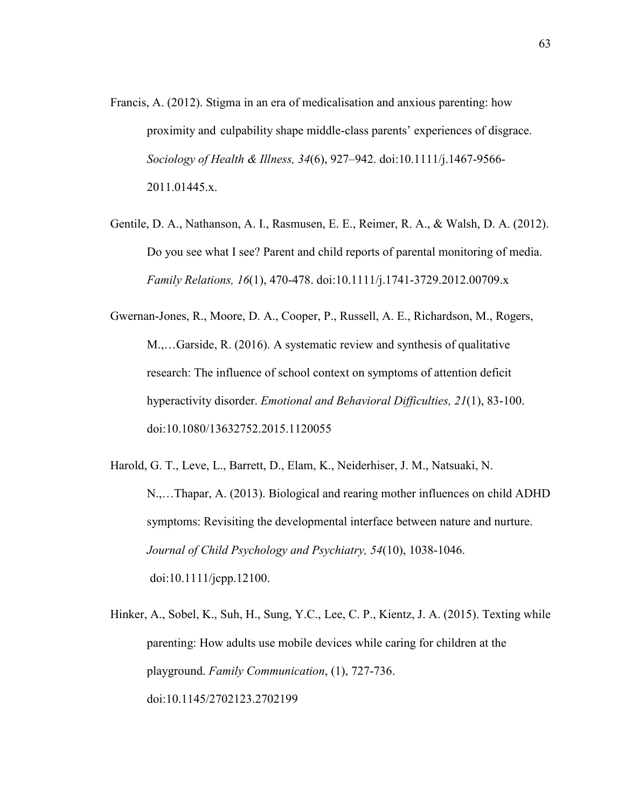- Francis, A. (2012). Stigma in an era of medicalisation and anxious parenting: how proximity and culpability shape middle-class parents' experiences of disgrace. *Sociology of Health & Illness, 34*(6), 927–942. doi:10.1111/j.1467-9566- 2011.01445.x.
- Gentile, D. A., Nathanson, A. I., Rasmusen, E. E., Reimer, R. A., & Walsh, D. A. (2012). Do you see what I see? Parent and child reports of parental monitoring of media. *Family Relations, 16*(1), 470-478. doi:10.1111/j.1741-3729.2012.00709.x

Gwernan-Jones, R., Moore, D. A., Cooper, P., Russell, A. E., Richardson, M., Rogers, M.,…Garside, R. (2016). A systematic review and synthesis of qualitative research: The influence of school context on symptoms of attention deficit hyperactivity disorder. *Emotional and Behavioral Difficulties, 21*(1), 83-100. doi:10.1080/13632752.2015.1120055

Harold, G. T., Leve, L., Barrett, D., Elam, K., Neiderhiser, J. M., Natsuaki, N. N.,…Thapar, A. (2013). Biological and rearing mother influences on child ADHD symptoms: Revisiting the developmental interface between nature and nurture. *Journal of Child Psychology and Psychiatry, 54*(10), 1038-1046. doi:10.1111/jcpp.12100.

Hinker, A., Sobel, K., Suh, H., Sung, Y.C., Lee, C. P., Kientz, J. A. (2015). Texting while parenting: How adults use mobile devices while caring for children at the playground. *Family Communication*, (1), 727-736. doi:10.1145/2702123.2702199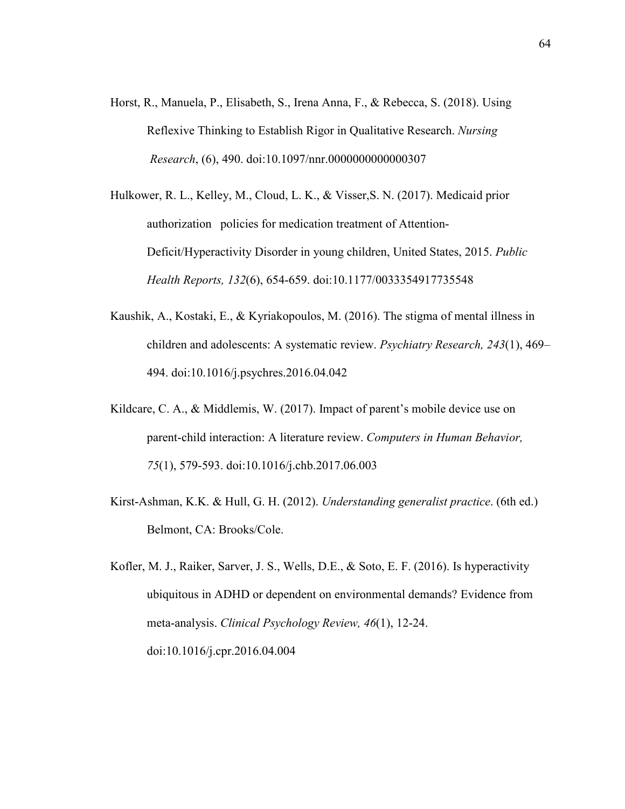- Horst, R., Manuela, P., Elisabeth, S., Irena Anna, F., & Rebecca, S. (2018). Using Reflexive Thinking to Establish Rigor in Qualitative Research. *Nursing Research*, (6), 490. doi:10.1097/nnr.0000000000000307
- Hulkower, R. L., Kelley, M., Cloud, L. K., & Visser,S. N. (2017). Medicaid prior authorization policies for medication treatment of Attention- Deficit/Hyperactivity Disorder in young children, United States, 2015. *Public Health Reports, 132*(6), 654-659. doi:10.1177/0033354917735548
- Kaushik, A., Kostaki, E., & Kyriakopoulos, M. (2016). The stigma of mental illness in children and adolescents: A systematic review. *Psychiatry Research, 243*(1), 469– 494. doi:10.1016/j.psychres.2016.04.042
- Kildcare, C. A., & Middlemis, W. (2017). Impact of parent's mobile device use on parent-child interaction: A literature review. *Computers in Human Behavior, 75*(1), 579-593. doi:10.1016/j.chb.2017.06.003
- Kirst-Ashman, K.K. & Hull, G. H. (2012). *Understanding generalist practice*. (6th ed.) Belmont, CA: Brooks/Cole.
- Kofler, M. J., Raiker, Sarver, J. S., Wells, D.E., & Soto, E. F. (2016). Is hyperactivity ubiquitous in ADHD or dependent on environmental demands? Evidence from meta-analysis. *Clinical Psychology Review, 46*(1), 12-24. doi:10.1016/j.cpr.2016.04.004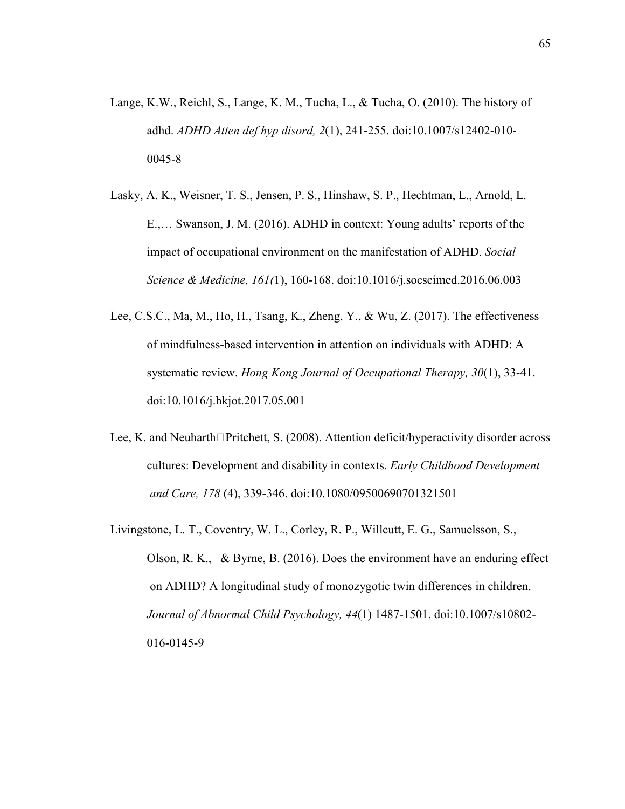- Lange, K.W., Reichl, S., Lange, K. M., Tucha, L., & Tucha, O. (2010). The history of adhd. *ADHD Atten def hyp disord, 2*(1), 241-255. doi:10.1007/s12402-010- 0045-8
- Lasky, A. K., Weisner, T. S., Jensen, P. S., Hinshaw, S. P., Hechtman, L., Arnold, L. E.,… Swanson, J. M. (2016). ADHD in context: Young adults' reports of the impact of occupational environment on the manifestation of ADHD. *Social Science & Medicine, 161(*1), 160-168. doi:10.1016/j.socscimed.2016.06.003
- Lee, C.S.C., Ma, M., Ho, H., Tsang, K., Zheng, Y., & Wu, Z. (2017). The effectiveness of mindfulness-based intervention in attention on individuals with ADHD: A systematic review. *Hong Kong Journal of Occupational Therapy, 30*(1), 33-41. doi:10.1016/j.hkjot.2017.05.001
- Lee, K. and Neuharth $\Box$ Pritchett, S. (2008). Attention deficit/hyperactivity disorder across cultures: Development and disability in contexts. *Early Childhood Development and Care, 178* (4), 339-346. doi:10.1080/09500690701321501
- Livingstone, L. T., Coventry, W. L., Corley, R. P., Willcutt, E. G., Samuelsson, S., Olson, R. K., & Byrne, B. (2016). Does the environment have an enduring effect on ADHD? A longitudinal study of monozygotic twin differences in children. *Journal of Abnormal Child Psychology, 44*(1) 1487-1501. doi:10.1007/s10802- 016-0145-9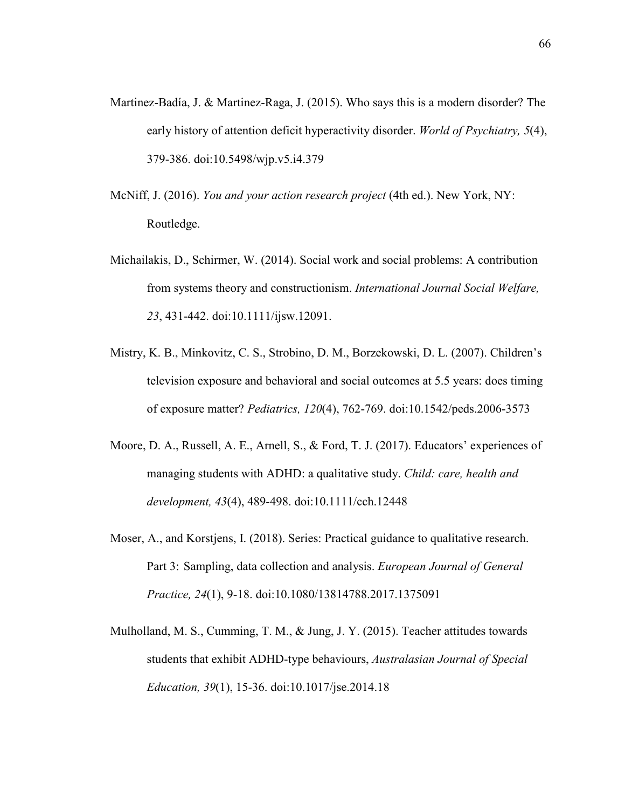- Martinez-Badía, J. & Martinez-Raga, J. (2015). Who says this is a modern disorder? The early history of attention deficit hyperactivity disorder. *World of Psychiatry, 5*(4), 379-386. doi:10.5498/wjp.v5.i4.379
- McNiff, J. (2016). *You and your action research project* (4th ed.). New York, NY: Routledge.
- Michailakis, D., Schirmer, W. (2014). Social work and social problems: A contribution from systems theory and constructionism. *International Journal Social Welfare, 23*, 431-442. doi:10.1111/ijsw.12091.
- Mistry, K. B., Minkovitz, C. S., Strobino, D. M., Borzekowski, D. L. (2007). Children's television exposure and behavioral and social outcomes at 5.5 years: does timing of exposure matter? *Pediatrics, 120*(4), 762-769. doi:10.1542/peds.2006-3573
- Moore, D. A., Russell, A. E., Arnell, S., & Ford, T. J. (2017). Educators' experiences of managing students with ADHD: a qualitative study. *Child: care, health and development, 43*(4), 489-498. doi:10.1111/cch.12448
- Moser, A., and Korstjens, I. (2018). Series: Practical guidance to qualitative research. Part 3: Sampling, data collection and analysis. *European Journal of General Practice, 24*(1), 9-18. doi:10.1080/13814788.2017.1375091
- Mulholland, M. S., Cumming, T. M., & Jung, J. Y. (2015). Teacher attitudes towards students that exhibit ADHD-type behaviours, *Australasian Journal of Special Education, 39*(1), 15-36. doi:10.1017/jse.2014.18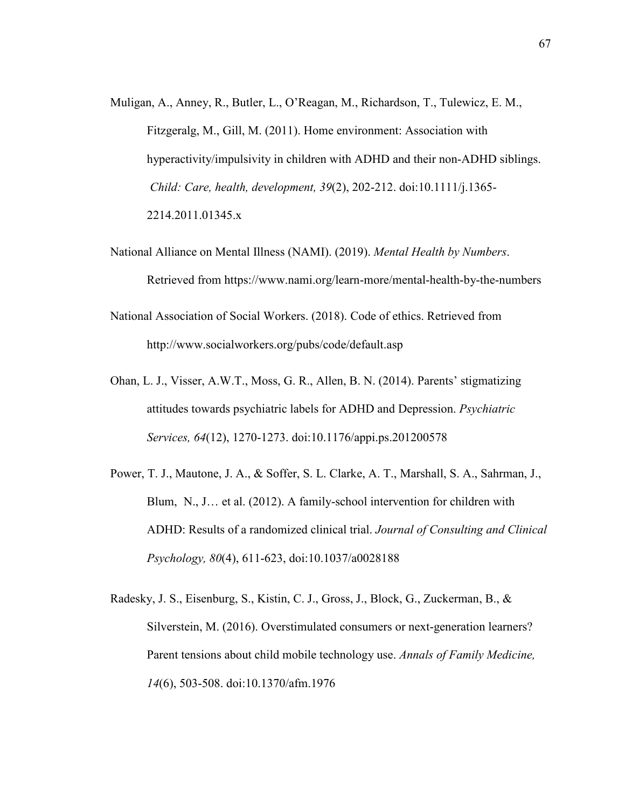- Muligan, A., Anney, R., Butler, L., O'Reagan, M., Richardson, T., Tulewicz, E. M., Fitzgeralg, M., Gill, M. (2011). Home environment: Association with hyperactivity/impulsivity in children with ADHD and their non-ADHD siblings. *Child: Care, health, development, 39*(2), 202-212. doi:10.1111/j.1365- 2214.2011.01345.x
- National Alliance on Mental Illness (NAMI). (2019). *Mental Health by Numbers*. Retrieved from https://www.nami.org/learn-more/mental-health-by-the-numbers
- National Association of Social Workers. (2018). Code of ethics. Retrieved from http://www.socialworkers.org/pubs/code/default.asp
- Ohan, L. J., Visser, A.W.T., Moss, G. R., Allen, B. N. (2014). Parents' stigmatizing attitudes towards psychiatric labels for ADHD and Depression. *Psychiatric Services, 64*(12), 1270-1273. doi:10.1176/appi.ps.201200578
- Power, T. J., Mautone, J. A., & Soffer, S. L. Clarke, A. T., Marshall, S. A., Sahrman, J., Blum, N., J… et al. (2012). A family-school intervention for children with ADHD: Results of a randomized clinical trial. *Journal of Consulting and Clinical Psychology, 80*(4), 611-623, doi:10.1037/a0028188
- Radesky, J. S., Eisenburg, S., Kistin, C. J., Gross, J., Block, G., Zuckerman, B., & Silverstein, M. (2016). Overstimulated consumers or next-generation learners? Parent tensions about child mobile technology use. *Annals of Family Medicine, 14*(6), 503-508. doi:10.1370/afm.1976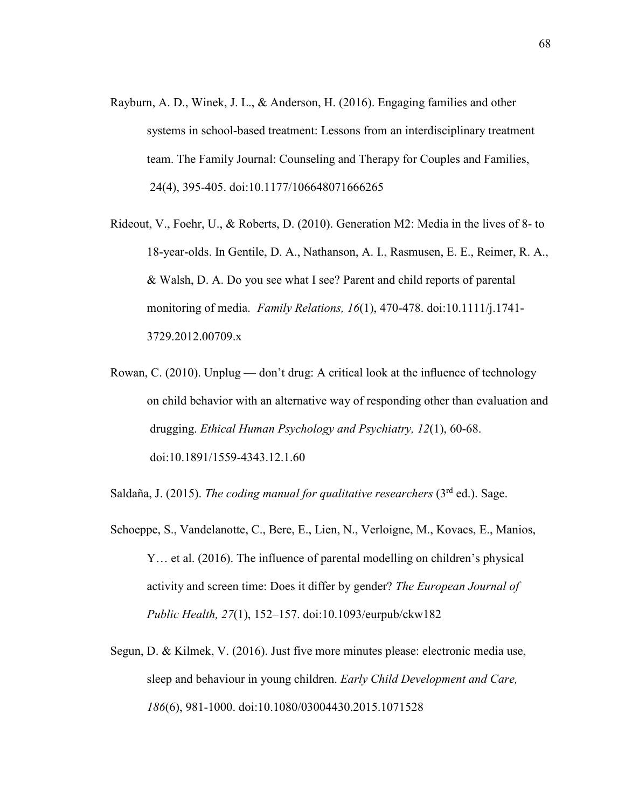- Rayburn, A. D., Winek, J. L., & Anderson, H. (2016). Engaging families and other systems in school-based treatment: Lessons from an interdisciplinary treatment team. The Family Journal: Counseling and Therapy for Couples and Families, 24(4), 395-405. doi:10.1177/106648071666265
- Rideout, V., Foehr, U., & Roberts, D. (2010). Generation M2: Media in the lives of 8- to 18-year-olds. In Gentile, D. A., Nathanson, A. I., Rasmusen, E. E., Reimer, R. A., & Walsh, D. A. Do you see what I see? Parent and child reports of parental monitoring of media. *Family Relations, 16*(1), 470-478. doi:10.1111/j.1741- 3729.2012.00709.x
- Rowan, C. (2010). Unplug don't drug: A critical look at the influence of technology on child behavior with an alternative way of responding other than evaluation and drugging. *Ethical Human Psychology and Psychiatry, 12*(1), 60-68. doi:10.1891/1559-4343.12.1.60

Saldaña, J. (2015). *The coding manual for qualitative researchers* (3<sup>rd</sup> ed.). Sage.

- Schoeppe, S., Vandelanotte, C., Bere, E., Lien, N., Verloigne, M., Kovacs, E., Manios, Y… et al. (2016). The influence of parental modelling on children's physical activity and screen time: Does it differ by gender? *The European Journal of Public Health, 27*(1), 152–157. doi:10.1093/eurpub/ckw182
- Segun, D. & Kilmek, V. (2016). Just five more minutes please: electronic media use, sleep and behaviour in young children. *Early Child Development and Care, 186*(6), 981-1000. doi:10.1080/03004430.2015.1071528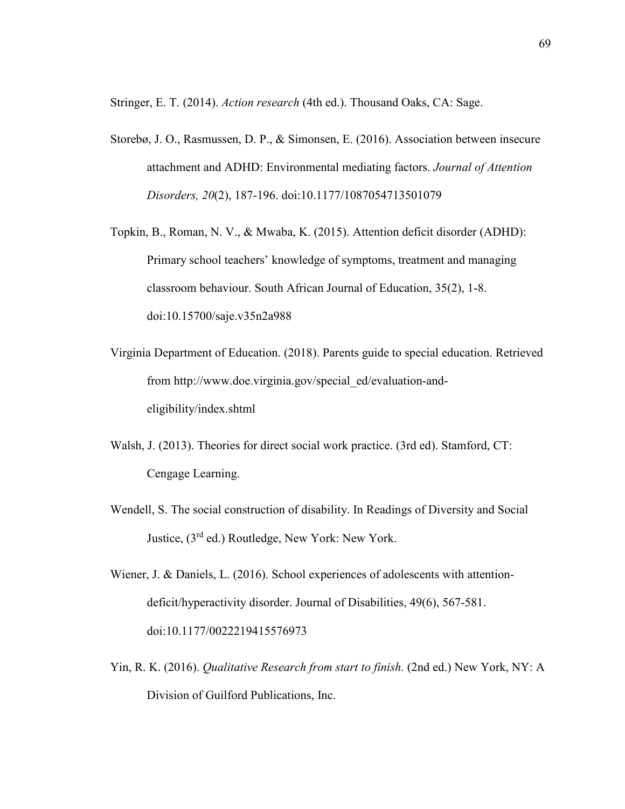Stringer, E. T. (2014). *Action research* (4th ed.). Thousand Oaks, CA: Sage.

- Storebø, J. O., Rasmussen, D. P., & Simonsen, E. (2016). Association between insecure attachment and ADHD: Environmental mediating factors. *Journal of Attention Disorders, 20*(2), 187-196. doi:10.1177/1087054713501079
- Topkin, B., Roman, N. V., & Mwaba, K. (2015). Attention deficit disorder (ADHD): Primary school teachers' knowledge of symptoms, treatment and managing classroom behaviour. South African Journal of Education, 35(2), 1-8. doi:10.15700/saje.v35n2a988
- Virginia Department of Education. (2018). Parents guide to special education. Retrieved from http://www.doe.virginia.gov/special\_ed/evaluation-and eligibility/index.shtml
- Walsh, J. (2013). Theories for direct social work practice. (3rd ed). Stamford, CT: Cengage Learning.
- Wendell, S. The social construction of disability. In Readings of Diversity and Social Justice, (3rd ed.) Routledge, New York: New York.
- Wiener, J. & Daniels, L. (2016). School experiences of adolescents with attention deficit/hyperactivity disorder. Journal of Disabilities, 49(6), 567-581. doi:10.1177/0022219415576973
- Yin, R. K. (2016). *Qualitative Research from start to finish.* (2nd ed.) New York, NY: A Division of Guilford Publications, Inc.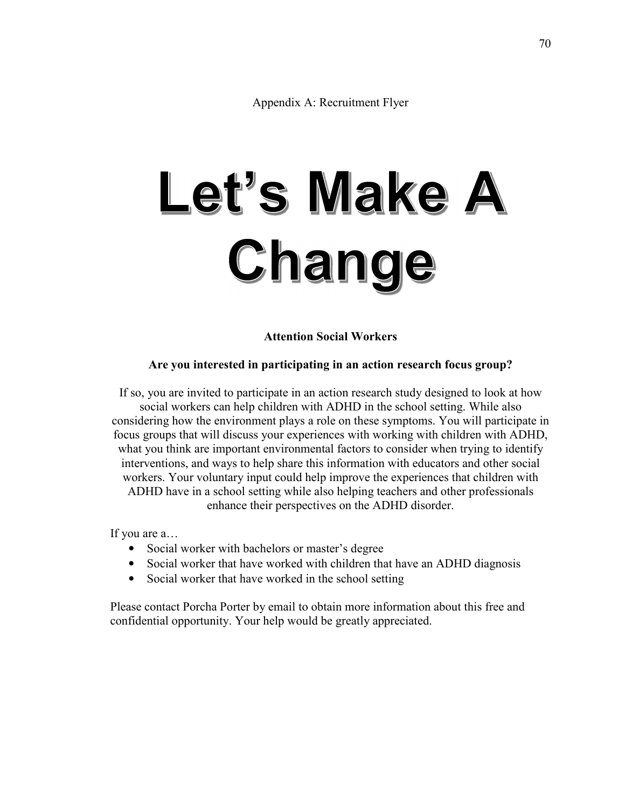Appendix A: Recruitment Flyer

# Let's Make A Change

**Attention Social Workers** 

# **Are you interested in participating in an action research focus group?**

If so, you are invited to participate in an action research study designed to look at how social workers can help children with ADHD in the school setting. While also considering how the environment plays a role on these symptoms. You will participate in focus groups that will discuss your experiences with working with children with ADHD, what you think are important environmental factors to consider when trying to identify interventions, and ways to help share this information with educators and other social workers. Your voluntary input could help improve the experiences that children with ADHD have in a school setting while also helping teachers and other professionals enhance their perspectives on the ADHD disorder.

If you are a…

- Social worker with bachelors or master's degree
- Social worker that have worked with children that have an ADHD diagnosis
- Social worker that have worked in the school setting

Please contact Porcha Porter by email to obtain more information about this free and confidential opportunity. Your help would be greatly appreciated.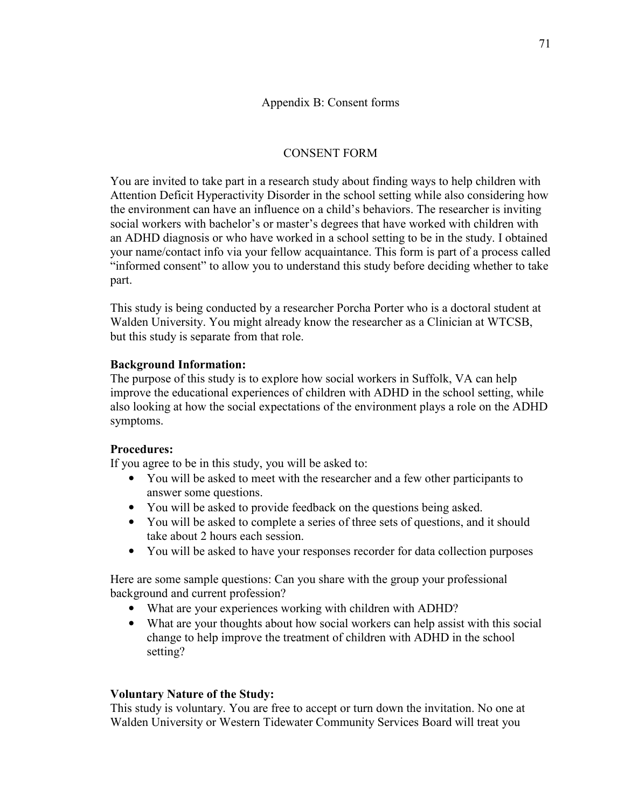# Appendix B: Consent forms

# CONSENT FORM

You are invited to take part in a research study about finding ways to help children with Attention Deficit Hyperactivity Disorder in the school setting while also considering how the environment can have an influence on a child's behaviors. The researcher is inviting social workers with bachelor's or master's degrees that have worked with children with an ADHD diagnosis or who have worked in a school setting to be in the study. I obtained your name/contact info via your fellow acquaintance. This form is part of a process called "informed consent" to allow you to understand this study before deciding whether to take part.

This study is being conducted by a researcher Porcha Porter who is a doctoral student at Walden University. You might already know the researcher as a Clinician at WTCSB, but this study is separate from that role.

# **Background Information:**

The purpose of this study is to explore how social workers in Suffolk, VA can help improve the educational experiences of children with ADHD in the school setting, while also looking at how the social expectations of the environment plays a role on the ADHD symptoms.

# **Procedures:**

If you agree to be in this study, you will be asked to:

- You will be asked to meet with the researcher and a few other participants to answer some questions.
- You will be asked to provide feedback on the questions being asked.
- You will be asked to complete a series of three sets of questions, and it should take about 2 hours each session.
- You will be asked to have your responses recorder for data collection purposes

Here are some sample questions: Can you share with the group your professional background and current profession?

- What are your experiences working with children with ADHD?
- What are your thoughts about how social workers can help assist with this social change to help improve the treatment of children with ADHD in the school setting?

# **Voluntary Nature of the Study:**

This study is voluntary. You are free to accept or turn down the invitation. No one at Walden University or Western Tidewater Community Services Board will treat you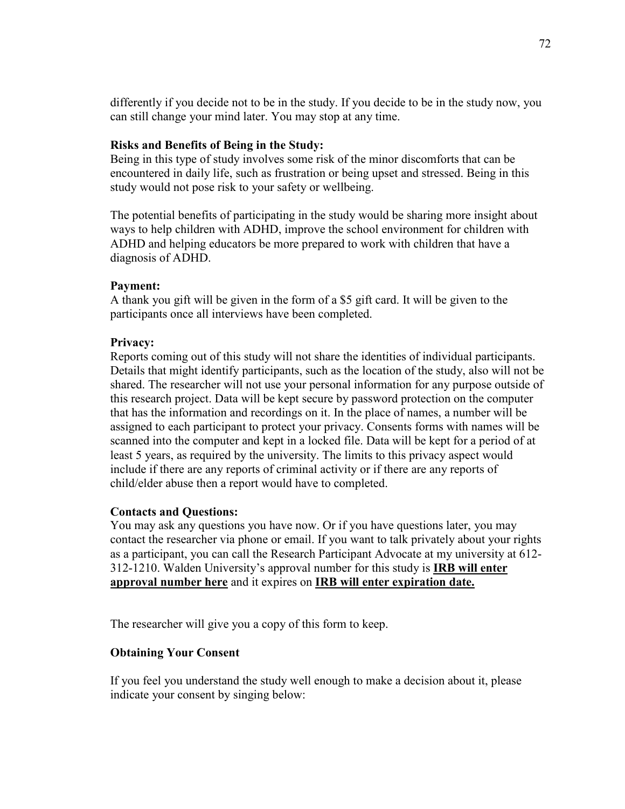differently if you decide not to be in the study. If you decide to be in the study now, you can still change your mind later. You may stop at any time.

#### **Risks and Benefits of Being in the Study:**

Being in this type of study involves some risk of the minor discomforts that can be encountered in daily life, such as frustration or being upset and stressed. Being in this study would not pose risk to your safety or wellbeing.

The potential benefits of participating in the study would be sharing more insight about ways to help children with ADHD, improve the school environment for children with ADHD and helping educators be more prepared to work with children that have a diagnosis of ADHD.

## **Payment:**

A thank you gift will be given in the form of a \$5 gift card. It will be given to the participants once all interviews have been completed.

#### **Privacy:**

Reports coming out of this study will not share the identities of individual participants. Details that might identify participants, such as the location of the study, also will not be shared. The researcher will not use your personal information for any purpose outside of this research project. Data will be kept secure by password protection on the computer that has the information and recordings on it. In the place of names, a number will be assigned to each participant to protect your privacy. Consents forms with names will be scanned into the computer and kept in a locked file. Data will be kept for a period of at least 5 years, as required by the university. The limits to this privacy aspect would include if there are any reports of criminal activity or if there are any reports of child/elder abuse then a report would have to completed.

#### **Contacts and Questions:**

You may ask any questions you have now. Or if you have questions later, you may contact the researcher via phone or email. If you want to talk privately about your rights as a participant, you can call the Research Participant Advocate at my university at 612- 312-1210. Walden University's approval number for this study is **IRB will enter approval number here** and it expires on **IRB will enter expiration date.**

The researcher will give you a copy of this form to keep.

## **Obtaining Your Consent**

If you feel you understand the study well enough to make a decision about it, please indicate your consent by singing below: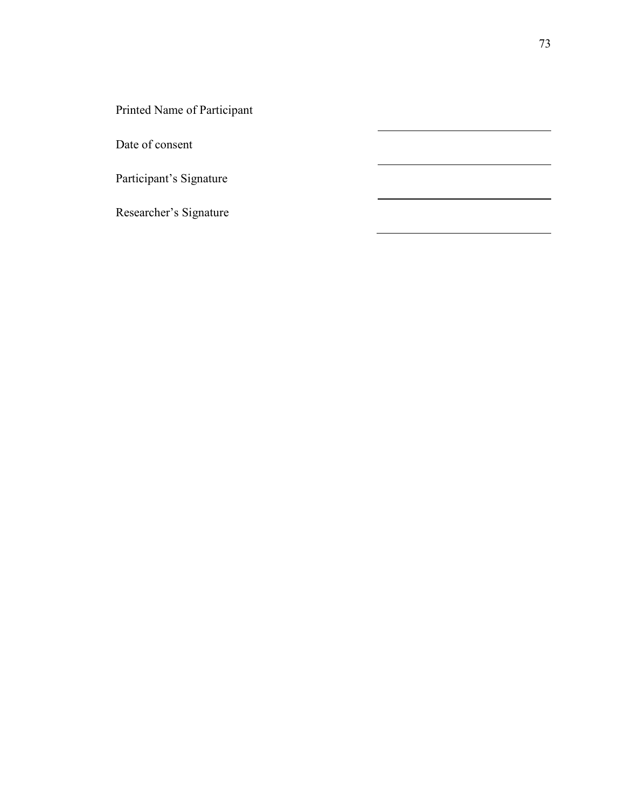Printed Name of Participant

Date of consent

Participant's Signature

Researcher's Signature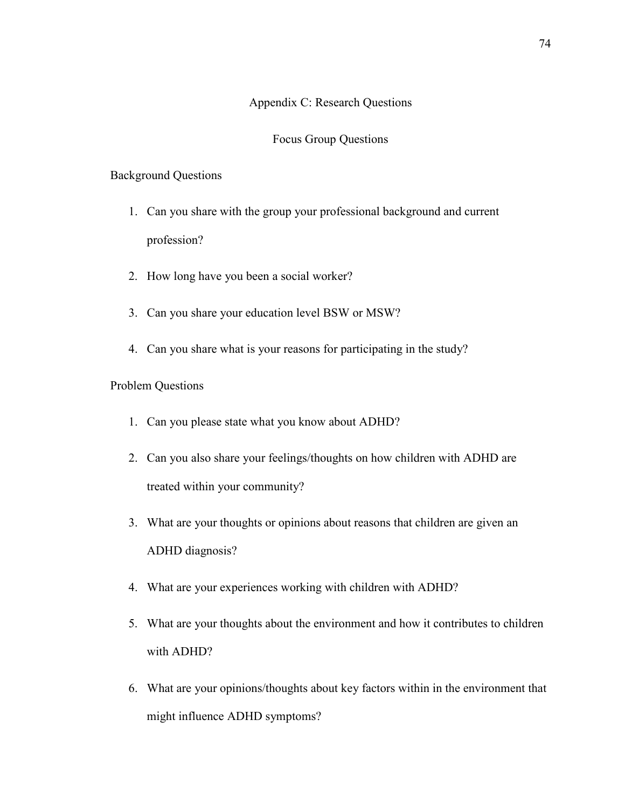## Appendix C: Research Questions

#### Focus Group Questions

#### Background Questions

- 1. Can you share with the group your professional background and current profession?
- 2. How long have you been a social worker?
- 3. Can you share your education level BSW or MSW?
- 4. Can you share what is your reasons for participating in the study?

## Problem Questions

- 1. Can you please state what you know about ADHD?
- 2. Can you also share your feelings/thoughts on how children with ADHD are treated within your community?
- 3. What are your thoughts or opinions about reasons that children are given an ADHD diagnosis?
- 4. What are your experiences working with children with ADHD?
- 5. What are your thoughts about the environment and how it contributes to children with ADHD?
- 6. What are your opinions/thoughts about key factors within in the environment that might influence ADHD symptoms?